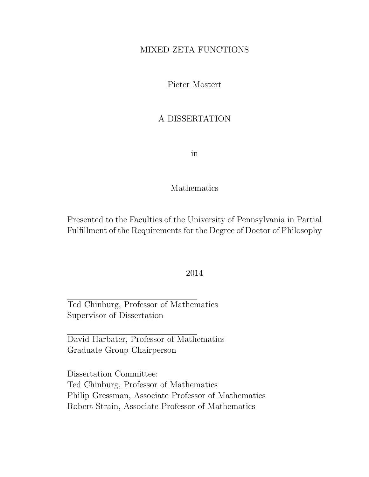### MIXED ZETA FUNCTIONS

Pieter Mostert

### A DISSERTATION

in

### Mathematics

Presented to the Faculties of the University of Pennsylvania in Partial Fulfillment of the Requirements for the Degree of Doctor of Philosophy

### 2014

Ted Chinburg, Professor of Mathematics Supervisor of Dissertation

David Harbater, Professor of Mathematics Graduate Group Chairperson

Dissertation Committee: Ted Chinburg, Professor of Mathematics Philip Gressman, Associate Professor of Mathematics Robert Strain, Associate Professor of Mathematics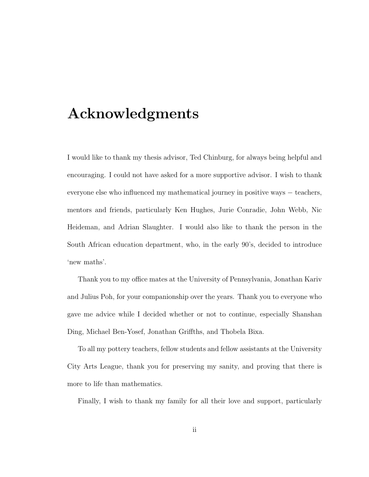## Acknowledgments

I would like to thank my thesis advisor, Ted Chinburg, for always being helpful and encouraging. I could not have asked for a more supportive advisor. I wish to thank everyone else who influenced my mathematical journey in positive ways − teachers, mentors and friends, particularly Ken Hughes, Jurie Conradie, John Webb, Nic Heideman, and Adrian Slaughter. I would also like to thank the person in the South African education department, who, in the early 90's, decided to introduce 'new maths'.

Thank you to my office mates at the University of Pennsylvania, Jonathan Kariv and Julius Poh, for your companionship over the years. Thank you to everyone who gave me advice while I decided whether or not to continue, especially Shanshan Ding, Michael Ben-Yosef, Jonathan Griffths, and Thobela Bixa.

To all my pottery teachers, fellow students and fellow assistants at the University City Arts League, thank you for preserving my sanity, and proving that there is more to life than mathematics.

Finally, I wish to thank my family for all their love and support, particularly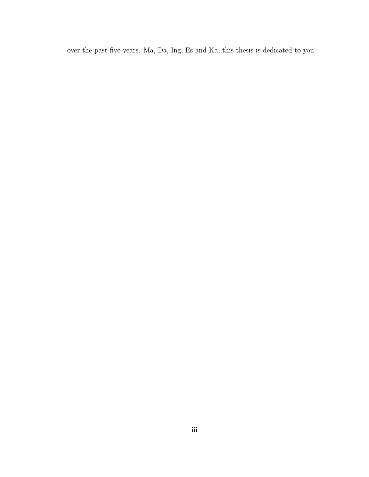over the past five years. Ma, Da, Ing, Es and Ka, this thesis is dedicated to you.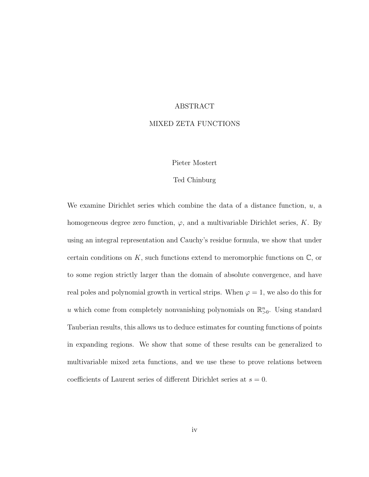### ABSTRACT

#### MIXED ZETA FUNCTIONS

#### Pieter Mostert

#### Ted Chinburg

We examine Dirichlet series which combine the data of a distance function,  $u$ , a homogeneous degree zero function,  $\varphi$ , and a multivariable Dirichlet series, K. By using an integral representation and Cauchy's residue formula, we show that under certain conditions on  $K$ , such functions extend to meromorphic functions on  $\mathbb{C}$ , or to some region strictly larger than the domain of absolute convergence, and have real poles and polynomial growth in vertical strips. When  $\varphi = 1$ , we also do this for u which come from completely nonvanishing polynomials on  $\mathbb{R}^n_{>0}$ . Using standard Tauberian results, this allows us to deduce estimates for counting functions of points in expanding regions. We show that some of these results can be generalized to multivariable mixed zeta functions, and we use these to prove relations between coefficients of Laurent series of different Dirichlet series at  $s = 0$ .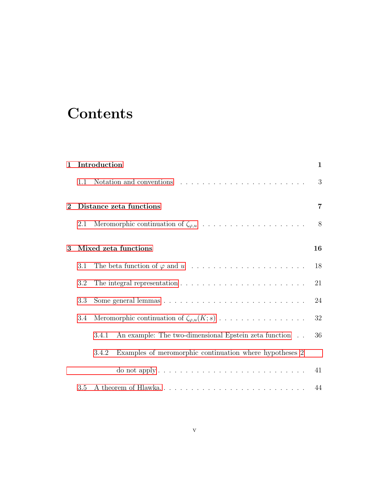# **Contents**

| $\mathbf{1}$ |     | Introduction                                                                     | 1  |  |  |
|--------------|-----|----------------------------------------------------------------------------------|----|--|--|
|              | 1.1 |                                                                                  | 3  |  |  |
| $\bf{2}$     |     | Distance zeta functions                                                          |    |  |  |
|              | 2.1 |                                                                                  | 8  |  |  |
| 3            |     | Mixed zeta functions                                                             | 16 |  |  |
|              | 3.1 |                                                                                  | 18 |  |  |
|              | 3.2 |                                                                                  | 21 |  |  |
|              | 3.3 |                                                                                  | 24 |  |  |
|              | 3.4 |                                                                                  | 32 |  |  |
|              |     | An example: The two-dimensional Epstein zeta function<br>3.4.1                   | 36 |  |  |
|              |     | Examples of meromorphic continuation where hypotheses 2<br>3.4.2                 |    |  |  |
|              |     | do not apply $\dots \dots \dots \dots \dots \dots \dots \dots \dots \dots \dots$ | 41 |  |  |
|              | 3.5 | A theorem of Hlawka                                                              | 44 |  |  |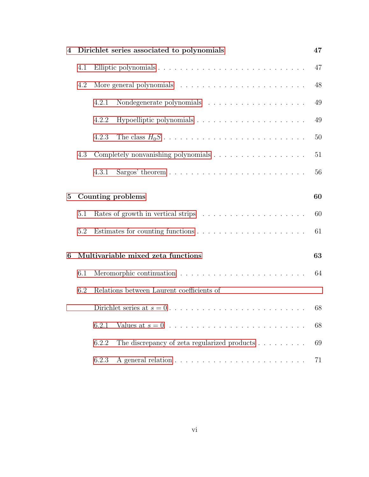| 4        |     | Dirichlet series associated to polynomials                                     | 47 |
|----------|-----|--------------------------------------------------------------------------------|----|
|          | 4.1 |                                                                                | 47 |
|          | 4.2 |                                                                                | 48 |
|          |     | Nondegenerate polynomials $\ldots \ldots \ldots \ldots \ldots \ldots$<br>4.2.1 | 49 |
|          |     | 4.2.2                                                                          | 49 |
|          |     | 4.2.3                                                                          | 50 |
|          | 4.3 |                                                                                | 51 |
|          |     | 4.3.1                                                                          | 56 |
| $\bf{5}$ |     | Counting problems                                                              | 60 |
|          | 5.1 |                                                                                | 60 |
|          | 5.2 |                                                                                | 61 |
| 6        |     | Multivariable mixed zeta functions                                             | 63 |
|          | 6.1 |                                                                                | 64 |
|          | 6.2 | Relations between Laurent coefficients of                                      |    |
|          |     |                                                                                | 68 |
|          |     | 6.2.1                                                                          | 68 |
|          |     | The discrepancy of zeta regularized products $\dots \dots \dots$<br>6.2.2      | 69 |
|          |     | 6.2.3                                                                          | 71 |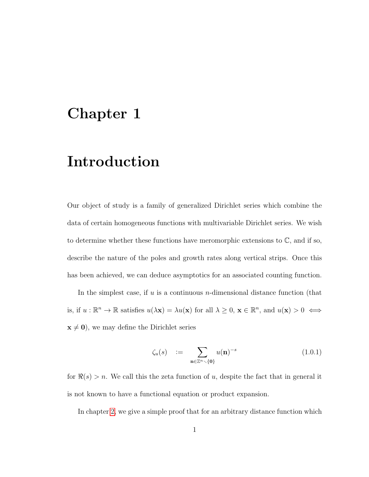## <span id="page-6-0"></span>Chapter 1

# Introduction

Our object of study is a family of generalized Dirichlet series which combine the data of certain homogeneous functions with multivariable Dirichlet series. We wish to determine whether these functions have meromorphic extensions to  $\mathbb{C}$ , and if so, describe the nature of the poles and growth rates along vertical strips. Once this has been achieved, we can deduce asymptotics for an associated counting function.

In the simplest case, if  $u$  is a continuous *n*-dimensional distance function (that is, if  $u : \mathbb{R}^n \to \mathbb{R}$  satisfies  $u(\lambda \mathbf{x}) = \lambda u(\mathbf{x})$  for all  $\lambda \geq 0$ ,  $\mathbf{x} \in \mathbb{R}^n$ , and  $u(\mathbf{x}) > 0 \iff$  $\mathbf{x} \neq \mathbf{0}$ , we may define the Dirichlet series

<span id="page-6-1"></span>
$$
\zeta_u(s) \quad := \quad \sum_{\mathbf{n} \in \mathbb{Z}^n \setminus \{\mathbf{0}\}} u(\mathbf{n})^{-s} \tag{1.0.1}
$$

for  $\Re(s) > n$ . We call this the zeta function of u, despite the fact that in general it is not known to have a functional equation or product expansion.

In chapter [2,](#page-12-0) we give a simple proof that for an arbitrary distance function which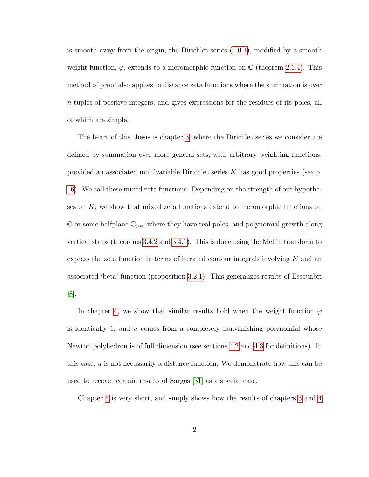is smooth away from the origin, the Dirichlet series [\(1.0.1\)](#page-6-1), modified by a smooth weight function,  $\varphi$ , extends to a meromorphic function on  $\mathbb C$  (theorem [2.1.4\)](#page-16-0). This method of proof also applies to distance zeta functions where the summation is over  $n$ -tuples of positive integers, and gives expressions for the residues of its poles, all of which are simple.

The heart of this thesis is chapter [3,](#page-21-0) where the Dirichlet series we consider are defined by summation over more general sets, with arbitrary weighting functions, provided an associated multivariable Dirichlet series K has good properties (see p. [16\)](#page-21-0). We call these mixed zeta functions. Depending on the strength of our hypotheses on  $K$ , we show that mixed zeta functions extend to meromorphic functions on C or some halfplane  $\mathbb{C}_{>\kappa}$ , where they have real poles, and polynomial growth along vertical strips (theorems [3.4.2](#page-39-0) and [3.4.1\)](#page-38-0). This is done using the Mellin transform to express the zeta function in terms of iterated contour integrals involving  $K$  and an associated 'beta' function (proposition [3.2.1\)](#page-27-0). This generalizes results of Essouabri [\[8\]](#page-80-0).

In chapter [4,](#page-52-0) we show that similar results hold when the weight function  $\varphi$ is identically 1, and u comes from a completely nonvanishing polynomial whose Newton polyhedron is of full dimension (see sections [4.2](#page-53-0) and [4.3](#page-56-0) for definitions). In this case,  $u$  is not necessarily a distance function. We demonstrate how this can be used to recover certain results of Sargos [\[31\]](#page-83-0) as a special case.

Chapter [5](#page-65-0) is very short, and simply shows how the results of chapters [3](#page-21-0) and [4](#page-52-0)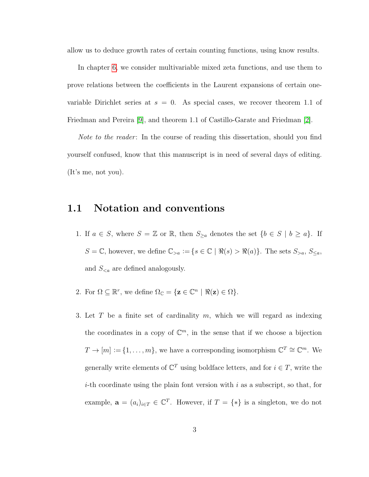allow us to deduce growth rates of certain counting functions, using know results.

In chapter [6,](#page-68-0) we consider multivariable mixed zeta functions, and use them to prove relations between the coefficients in the Laurent expansions of certain onevariable Dirichlet series at  $s = 0$ . As special cases, we recover theorem 1.1 of Friedman and Pereira [\[9\]](#page-80-1), and theorem 1.1 of Castillo-Garate and Friedman [\[2\]](#page-79-0).

Note to the reader: In the course of reading this dissertation, should you find yourself confused, know that this manuscript is in need of several days of editing. (It's me, not you).

### <span id="page-8-0"></span>1.1 Notation and conventions

- 1. If  $a \in S$ , where  $S = \mathbb{Z}$  or  $\mathbb{R}$ , then  $S_{\geq a}$  denotes the set  $\{b \in S \mid b \geq a\}$ . If  $S = \mathbb{C}$ , however, we define  $\mathbb{C}_{>a} := \{s \in \mathbb{C} \mid \Re(s) > \Re(a)\}\$ . The sets  $S_{>a}$ ,  $S_{\leq a}$ , and  $S_{\leq a}$  are defined analogously.
- 2. For  $\Omega \subseteq \mathbb{R}^r$ , we define  $\Omega_{\mathbb{C}} = {\mathbf{z} \in \mathbb{C}^n \mid \Re(\mathbf{z}) \in \Omega}.$
- 3. Let T be a finite set of cardinality  $m$ , which we will regard as indexing the coordinates in a copy of  $\mathbb{C}^m$ , in the sense that if we choose a bijection  $T \to [m] \coloneqq \{1, \ldots, m\}$ , we have a corresponding isomorphism  $\mathbb{C}^T \cong \mathbb{C}^m$ . We generally write elements of  $\mathbb{C}^T$  using boldface letters, and for  $i \in T$ , write the *i*-th coordinate using the plain font version with i as a subscript, so that, for example,  $\mathbf{a} = (a_i)_{i \in T} \in \mathbb{C}^T$ . However, if  $T = \{ * \}$  is a singleton, we do not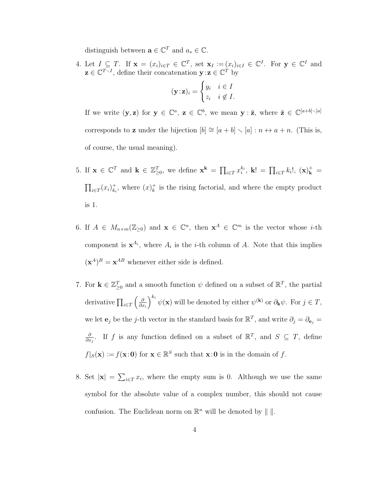distinguish between  $\mathbf{a} \in \mathbb{C}^T$  and  $a_* \in \mathbb{C}$ .

4. Let  $I \subseteq T$ . If  $\mathbf{x} = (x_i)_{i \in T} \in \mathbb{C}^T$ , set  $\mathbf{x}_I := (x_i)_{i \in I} \in \mathbb{C}^I$ . For  $\mathbf{y} \in \mathbb{C}^I$  and  $\mathbf{z} \in \mathbb{C}^{T \setminus I}$ , define their concatenation  $\mathbf{y} : \mathbf{z} \in \mathbb{C}^{T}$  by

$$
(\mathbf{y} \cdot \mathbf{z})_i = \begin{cases} y_i & i \in I \\ z_i & i \notin I. \end{cases}
$$

If we write  $(\mathbf{y}, \mathbf{z})$  for  $\mathbf{y} \in \mathbb{C}^a$ ,  $\mathbf{z} \in \mathbb{C}^b$ , we mean  $\mathbf{y} : \tilde{\mathbf{z}}$ , where  $\tilde{\mathbf{z}} \in \mathbb{C}^{[a+b]\setminus [a]}$ corresponds to **z** under the bijection  $[b] \cong [a + b] \setminus [a] : n \leftrightarrow a + n$ . (This is, of course, the usual meaning).

- 5. If  $\mathbf{x} \in \mathbb{C}^T$  and  $\mathbf{k} \in \mathbb{Z}_{\geq 0}^T$ , we define  $\mathbf{x}^{\mathbf{k}} = \prod_{i \in T} x_i^{k_i}$ ,  $\mathbf{k}! = \prod_{i \in T} k_i!$ ,  $(\mathbf{x})_{\mathbf{k}}^+ =$  $\prod_{i\in T}(x_i)_{k_i}^+$  $_{k_i}^+$ , where  $(x)_k^+$  $\frac{1}{k}$  is the rising factorial, and where the empty product is 1.
- 6. If  $A \in M_{n \times m}(\mathbb{Z}_{\geq 0})$  and  $\mathbf{x} \in \mathbb{C}^n$ , then  $\mathbf{x}^A \in \mathbb{C}^m$  is the vector whose *i*-th component is  $x^{A_i}$ , where  $A_i$  is the *i*-th column of A. Note that this implies  $(\mathbf{x}^A)^B = \mathbf{x}^{AB}$  whenever either side is defined.
- 7. For  $\mathbf{k} \in \mathbb{Z}_{\geq 0}^T$  and a smooth function  $\psi$  defined on a subset of  $\mathbb{R}^T$ , the partial derivative  $\prod_{i \in T} \left( \frac{\partial}{\partial x_i} \right)$  $\partial x_i$  $\int^{k_i} \psi(\mathbf{x})$  will be denoted by either  $\psi^{(\mathbf{k})}$  or  $\partial_{\mathbf{k}} \psi$ . For  $j \in T$ , we let  $\mathbf{e}_j$  be the j-th vector in the standard basis for  $\mathbb{R}^T$ , and write  $\partial_j = \partial_{\mathbf{e}_j} =$ ∂  $\frac{\partial}{\partial x_j}$ . If f is any function defined on a subset of  $\mathbb{R}^T$ , and  $S \subseteq T$ , define  $f|_S(\mathbf{x}) := f(\mathbf{x}:0)$  for  $\mathbf{x} \in \mathbb{R}^S$  such that  $\mathbf{x}:0$  is in the domain of f.
- 8. Set  $|\mathbf{x}| = \sum_{i \in \mathcal{I}} x_i$ , where the empty sum is 0. Although we use the same symbol for the absolute value of a complex number, this should not cause confusion. The Euclidean norm on  $\mathbb{R}^n$  will be denoted by  $\|\cdot\|$ .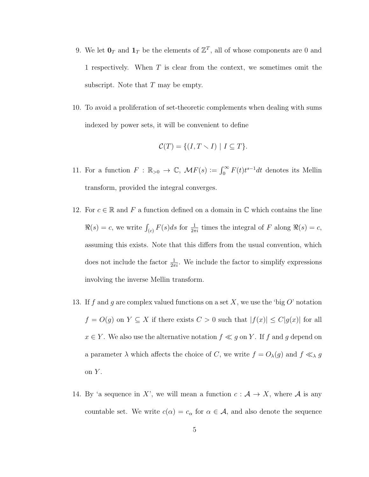- 9. We let  $\mathbf{0}_T$  and  $\mathbf{1}_T$  be the elements of  $\mathbb{Z}^T$ , all of whose components are 0 and 1 respectively. When T is clear from the context, we sometimes omit the subscript. Note that  $T$  may be empty.
- 10. To avoid a proliferation of set-theoretic complements when dealing with sums indexed by power sets, it will be convenient to define

$$
\mathcal{C}(T) = \{ (I, T \setminus I) \mid I \subseteq T \}.
$$

- 11. For a function  $F : \mathbb{R}_{>0} \to \mathbb{C}$ ,  $\mathcal{M}F(s) := \int_0^\infty F(t)t^{s-1}dt$  denotes its Mellin transform, provided the integral converges.
- 12. For  $c \in \mathbb{R}$  and F a function defined on a domain in  $\mathbb{C}$  which contains the line  $\Re(s) = c$ , we write  $\int_{(c)} F(s)ds$  for  $\frac{1}{2\pi i}$  times the integral of F along  $\Re(s) = c$ , assuming this exists. Note that this differs from the usual convention, which does not include the factor  $\frac{1}{2\pi i}$ . We include the factor to simplify expressions involving the inverse Mellin transform.
- 13. If f and g are complex valued functions on a set X, we use the 'big  $O$ ' notation  $f = O(g)$  on  $Y \subseteq X$  if there exists  $C > 0$  such that  $|f(x)| \leq C|g(x)|$  for all  $x \in Y$ . We also use the alternative notation  $f \ll g$  on Y. If f and g depend on a parameter  $\lambda$  which affects the choice of C, we write  $f = O_{\lambda}(g)$  and  $f \ll_{\lambda} g$ on  $Y$ .
- 14. By 'a sequence in X', we will mean a function  $c : A \rightarrow X$ , where A is any countable set. We write  $c(\alpha) = c_{\alpha}$  for  $\alpha \in \mathcal{A}$ , and also denote the sequence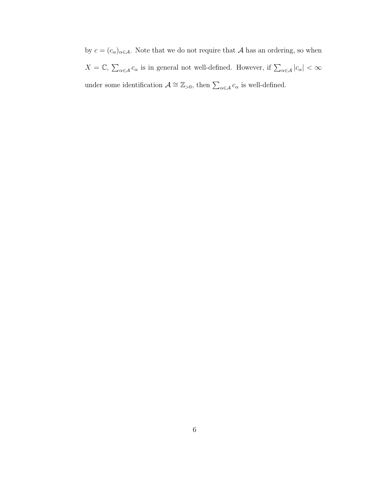by  $c = (c_{\alpha})_{\alpha \in \mathcal{A}}$ . Note that we do not require that  $\mathcal{A}$  has an ordering, so when  $X = \mathbb{C}, \sum_{\alpha \in \mathcal{A}} c_{\alpha}$  is in general not well-defined. However, if  $\sum_{\alpha \in \mathcal{A}} |c_{\alpha}| < \infty$ under some identification  $\mathcal{A} \cong \mathbb{Z}_{>0}$ , then  $\sum_{\alpha \in \mathcal{A}} c_{\alpha}$  is well-defined.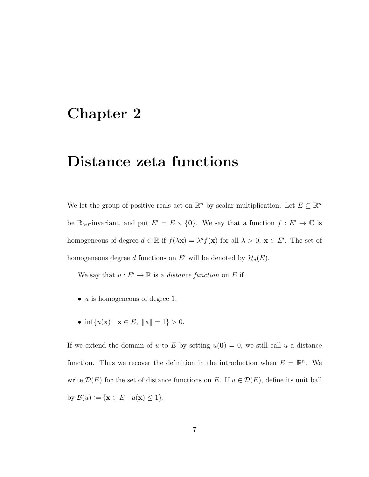## <span id="page-12-0"></span>Chapter 2

# Distance zeta functions

We let the group of positive reals act on  $\mathbb{R}^n$  by scalar multiplication. Let  $E \subseteq \mathbb{R}^n$ be  $\mathbb{R}_{>0}$ -invariant, and put  $E' = E \setminus \{0\}$ . We say that a function  $f : E' \to \mathbb{C}$  is homogeneous of degree  $d \in \mathbb{R}$  if  $f(\lambda \mathbf{x}) = \lambda^d f(\mathbf{x})$  for all  $\lambda > 0$ ,  $\mathbf{x} \in E'$ . The set of homogeneous degree d functions on E' will be denoted by  $\mathcal{H}_d(E)$ .

We say that  $u : E' \to \mathbb{R}$  is a *distance function* on E if

- $u$  is homogeneous of degree 1,
- inf{ $u(\mathbf{x}) | \mathbf{x} \in E$ ,  $\|\mathbf{x}\| = 1$ } > 0.

If we extend the domain of u to E by setting  $u(\mathbf{0}) = 0$ , we still call u a distance function. Thus we recover the definition in the introduction when  $E = \mathbb{R}^n$ . We write  $\mathcal{D}(E)$  for the set of distance functions on E. If  $u \in \mathcal{D}(E)$ , define its unit ball by  $\mathcal{B}(u) \coloneqq \{ \mathbf{x} \in E \mid u(\mathbf{x}) \leq 1 \}.$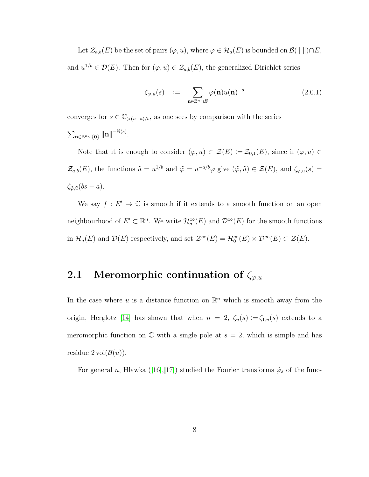Let  $\mathcal{Z}_{a,b}(E)$  be the set of pairs  $(\varphi, u)$ , where  $\varphi \in \mathcal{H}_a(E)$  is bounded on  $\mathcal{B}(\Vert \Vert) \cap E$ , and  $u^{1/b} \in \mathcal{D}(E)$ . Then for  $(\varphi, u) \in \mathcal{Z}_{a,b}(E)$ , the generalized Dirichlet series

$$
\zeta_{\varphi,u}(s) \quad := \quad \sum_{\mathbf{n} \in \mathbb{Z}^n \cap E} \varphi(\mathbf{n}) u(\mathbf{n})^{-s} \tag{2.0.1}
$$

converges for  $s \in \mathbb{C}_{\geq (n+a)/b}$ , as one sees by comparison with the series  $\sum_{\mathbf{n}\in\mathbb{Z}^n\smallsetminus\{\mathbf{0}\}}\|\mathbf{n}\|^{-\Re(s)}.$ 

Note that it is enough to consider  $(\varphi, u) \in \mathcal{Z}(E) \coloneqq \mathcal{Z}_{0,1}(E)$ , since if  $(\varphi, u) \in$  $\mathcal{Z}_{a,b}(E)$ , the functions  $\tilde{u} = u^{1/b}$  and  $\tilde{\varphi} = u^{-a/b}\varphi$  give  $(\tilde{\varphi}, \tilde{u}) \in \mathcal{Z}(E)$ , and  $\zeta_{\varphi,u}(s) =$  $\zeta_{\tilde{\varphi},\tilde{u}}(bs - a).$ 

We say  $f: E' \to \mathbb{C}$  is smooth if it extends to a smooth function on an open neighbourhood of  $E' \subset \mathbb{R}^n$ . We write  $\mathcal{H}_a^{\infty}(E)$  and  $\mathcal{D}^{\infty}(E)$  for the smooth functions in  $\mathcal{H}_a(E)$  and  $\mathcal{D}(E)$  respectively, and set  $\mathcal{Z}^{\infty}(E) = \mathcal{H}_0^{\infty}(E) \times \mathcal{D}^{\infty}(E) \subset \mathcal{Z}(E)$ .

### <span id="page-13-0"></span>2.1 Meromorphic continuation of  $\zeta_{\varphi,u}$

In the case where u is a distance function on  $\mathbb{R}^n$  which is smooth away from the origin, Herglotz [\[14\]](#page-81-0) has shown that when  $n = 2$ ,  $\zeta_u(s) := \zeta_{1,u}(s)$  extends to a meromorphic function on  $\mathbb C$  with a single pole at  $s = 2$ , which is simple and has residue  $2 \text{vol}(\mathcal{B}(u))$ .

Forgeneral n, Hlawka ([\[16\]](#page-81-1),[\[17\]](#page-81-2)) studied the Fourier transforms  $\hat{\varphi}_{\delta}$  of the func-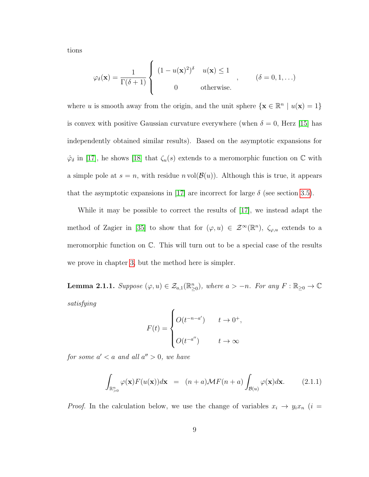tions

$$
\varphi_{\delta}(\mathbf{x}) = \frac{1}{\Gamma(\delta+1)} \begin{cases} (1 - u(\mathbf{x})^2)^{\delta} & u(\mathbf{x}) \le 1 \\ 0 & \text{otherwise.} \end{cases} , \qquad (\delta = 0, 1, ...)
$$

where u is smooth away from the origin, and the unit sphere  $\{x \in \mathbb{R}^n \mid u(x) = 1\}$ is convex with positive Gaussian curvature everywhere (when  $\delta = 0$ , Herz [\[15\]](#page-81-3) has independently obtained similar results). Based on the asymptotic expansions for  $\hat{\varphi}_{\delta}$  in [\[17\]](#page-81-2), he shows [\[18\]](#page-81-4) that  $\zeta_u(s)$  extends to a meromorphic function on  $\mathbb C$  with a simple pole at  $s = n$ , with residue  $n \text{ vol}(\mathcal{B}(u))$ . Although this is true, it appears that the asymptotic expansions in [\[17\]](#page-81-2) are incorrect for large  $\delta$  (see section [3.5\)](#page-49-0).

While it may be possible to correct the results of [\[17\]](#page-81-2), we instead adapt the method of Zagier in [\[35\]](#page-83-1) to show that for  $(\varphi, u) \in \mathcal{Z}^{\infty}(\mathbb{R}^{n})$ ,  $\zeta_{\varphi, u}$  extends to a meromorphic function on C. This will turn out to be a special case of the results we prove in chapter [3,](#page-21-0) but the method here is simpler.

<span id="page-14-1"></span>**Lemma 2.1.1.** Suppose  $(\varphi, u) \in \mathcal{Z}_{a,1}(\mathbb{R}_{\geq 0}^n)$ , where  $a > -n$ . For any  $F : \mathbb{R}_{\geq 0} \to \mathbb{C}$ satisfying

$$
F(t) = \begin{cases} O(t^{-n-a'}) & t \to 0^+, \\ O(t^{-a''}) & t \to \infty \end{cases}
$$

for some  $a' < a$  and all  $a'' > 0$ , we have

<span id="page-14-0"></span>
$$
\int_{\mathbb{R}_{>0}^n} \varphi(\mathbf{x}) F(u(\mathbf{x})) d\mathbf{x} = (n+a) \mathcal{M} F(n+a) \int_{\mathcal{B}(u)} \varphi(\mathbf{x}) d\mathbf{x}.
$$
 (2.1.1)

*Proof.* In the calculation below, we use the change of variables  $x_i \rightarrow y_i x_n$  (i =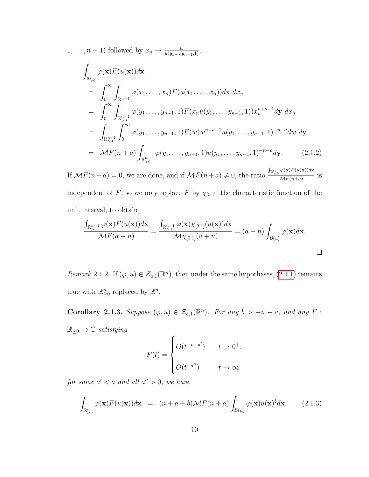$1, \ldots, n-1$ ) followed by  $x_n \to \frac{w}{u(y_1, \ldots, y_{n-1}, 1)}$ .

$$
\int_{\mathbb{R}_{>0}^{n}} \varphi(\mathbf{x}) F(u(\mathbf{x})) d\mathbf{x} \n= \int_{0}^{\infty} \int_{\mathbb{R}^{n-1}} \varphi(x_{1}, \ldots, x_{n}) F(u(x_{1}, \ldots, x_{n})) d\mathbf{x} dx_{n} \n= \int_{0}^{\infty} \int_{\mathbb{R}_{>0}^{n-1}} \varphi(y_{1}, \ldots, y_{n-1}, 1) F(x_{n} u(y_{1}, \ldots, y_{n-1}, 1)) x_{n}^{n+a-1} d\mathbf{y} dx_{n} \n= \int_{\mathbb{R}_{>0}^{n-1}} \int_{0}^{\infty} \varphi(y_{1}, \ldots, y_{n-1}, 1) F(w) w^{n+a-1} u(y_{1}, \ldots, y_{n-1}, 1)^{-n-a} dw dy \n= \mathcal{M} F(n+a) \int_{\mathbb{R}_{>0}^{n-1}} \varphi(y_{1}, \ldots, y_{n-1}, 1) u(y_{1}, \ldots, y_{n-1}, 1)^{-n-a} dy.
$$
\n(2.1.2)

If  $\mathcal{M}F(n+a) = 0$ , we are done, and if  $\mathcal{M}F(n+a) \neq 0$ , the ratio  $\frac{\int_{\mathbb{R}^n} \phi(\mathbf{x}) F(u(\mathbf{x})) d\mathbf{x}}{\mathcal{M}F(n+a)}$  $\frac{\overbrace{\mathcal{M}}(n+a)}{\mathcal{M}(\mathcal{M}+a)}$  is

independent of F, so we may replace F by  $\chi_{[0,1]}$ , the characteristic function of the unit interval, to obtain

$$
\frac{\int_{\mathbb{R}_{>0}^{n-1}} \varphi(\mathbf{x}) F(u(\mathbf{x})) d\mathbf{x}}{\mathcal{M} F(a+n)} = \frac{\int_{\mathbb{R}_{>0}^{n-1}} \varphi(\mathbf{x}) \chi_{[0,1]}(u(\mathbf{x})) d\mathbf{x}}{\mathcal{M} \chi_{[0,1]}(a+n)} = (a+n) \int_{\mathcal{B}(u)} \varphi(\mathbf{x}) d\mathbf{x}.
$$

<span id="page-15-0"></span>Remark 2.1.2. If  $(\varphi, u) \in \mathcal{Z}_{a,1}(\mathbb{R}^n)$ , then under the same hypotheses,  $(2.1.1)$  remains true with  $\mathbb{R}_{\geq 0}^n$  replaced by  $\mathbb{R}^n$ .

<span id="page-15-1"></span>Corollary 2.1.3. Suppose  $(\varphi, u) \in \mathcal{Z}_{a,1}(\mathbb{R}^n)$ . For any  $b > -n - a$ , and any F:  $\mathbb{R}_{\geq 0} \to \mathbb{C}$  satisfying  $\overline{ }$ 

$$
F(t) = \begin{cases} O(t^{-n-a'}) & t \to 0^+, \\ O(t^{-a''}) & t \to \infty \end{cases}
$$

for some  $a' < a$  and all  $a'' > 0$ , we have

$$
\int_{\mathbb{R}_{>0}^n} \varphi(\mathbf{x}) F(u(\mathbf{x})) d\mathbf{x} = (n+a+b) \mathcal{M} F(n+a) \int_{\mathcal{B}(u)} \varphi(\mathbf{x}) u(\mathbf{x})^b d\mathbf{x}.
$$
 (2.1.3)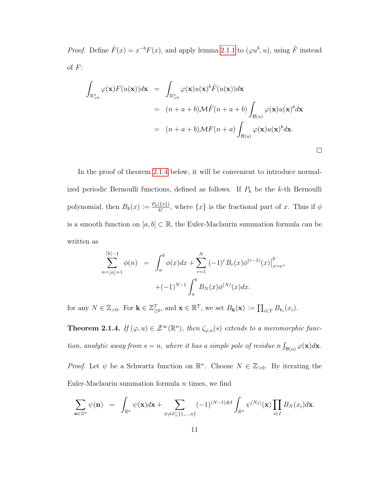*Proof.* Define  $\tilde{F}(x) = x^{-b}F(x)$ , and apply lemma [2.1.1](#page-14-1) to  $(\varphi u^b, u)$ , using  $\tilde{F}$  instead of  $F$ :

$$
\int_{\mathbb{R}_{>0}^n} \varphi(\mathbf{x}) F(u(\mathbf{x})) d\mathbf{x} = \int_{\mathbb{R}_{>0}^n} \varphi(\mathbf{x}) u(\mathbf{x})^b \tilde{F}(u(\mathbf{x})) d\mathbf{x}
$$
\n
$$
= (n+a+b) \mathcal{M} \tilde{F}(n+a+b) \int_{\mathcal{B}(u)} \varphi(\mathbf{x}) u(\mathbf{x})^b d\mathbf{x}
$$
\n
$$
= (n+a+b) \mathcal{M} F(n+a) \int_{\mathcal{B}(u)} \varphi(\mathbf{x}) u(\mathbf{x})^b d\mathbf{x}.
$$

In the proof of theorem [2.1.4](#page-16-0) below, it will be convenient to introduce normalized periodic Bernoulli functions, defined as follows. If  $P_k$  be the k-th Bernoulli polynomial, then  $B_k(x) \coloneqq \frac{P_k(\{x\})}{k!}$  $\frac{\langle \{x\} \rangle}{k!}$ , where  $\{x\}$  is the fractional part of x. Thus if  $\phi$ is a smooth function on  $[a, b] \subset \mathbb{R}$ , the Euler-Maclaurin summation formula can be written as

$$
\sum_{n=\lfloor a\rfloor+1}^{\lceil b\rceil-1} \phi(n) = \int_a^b \phi(x)dx + \sum_{r=1}^N (-1)^r B_r(x) \phi^{(r-1)}(x)\Big|_{x=a^+}^{b^-} + (-1)^{N-1} \int_a^b B_N(x) \phi^{(N)}(x)dx.
$$

<span id="page-16-0"></span>for any  $N \in \mathbb{Z}_{>0}$ . For  $\mathbf{k} \in \mathbb{Z}_{\geq 0}^T$ , and  $\mathbf{x} \in \mathbb{R}^T$ , we set  $B_{\mathbf{k}}(\mathbf{x}) \coloneqq \prod_{i \in T} B_{k_i}(x_i)$ .

**Theorem 2.1.4.** If  $(\varphi, u) \in \mathcal{Z}^{\infty}(\mathbb{R}^n)$ , then  $\zeta_{\varphi, u}(s)$  extends to a meromorphic function, analytic away from  $s = n$ , where it has a simple pole of residue  $n \int_{\mathcal{B}(u)} \varphi(\mathbf{x}) d\mathbf{x}$ .

*Proof.* Let  $\psi$  be a Schwartz function on  $\mathbb{R}^n$ . Choose  $N \in \mathbb{Z}_{>0}$ . By iterating the Euler-Maclaurin summation formula  $n$  times, we find

$$
\sum_{\mathbf{n}\in\mathbb{Z}^n}\psi(\mathbf{n}) = \int_{\mathbb{R}^n}\psi(\mathbf{x})d\mathbf{x} + \sum_{\varnothing\neq I\subseteq\{1,\ldots,n\}}(-1)^{(N-1)\#I}\int_{\mathbb{R}^n}\psi^{(N_I)}(\mathbf{x})\prod_{i\in I}B_N(x_i)d\mathbf{x}.
$$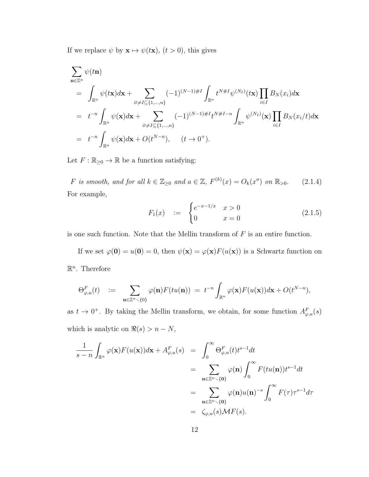If we replace  $\psi$  by  $\mathbf{x} \mapsto \psi(t\mathbf{x})$ ,  $(t > 0)$ , this gives

$$
\sum_{\mathbf{n}\in\mathbb{Z}^n} \psi(t\mathbf{n})
$$
\n
$$
= \int_{\mathbb{R}^n} \psi(t\mathbf{x})d\mathbf{x} + \sum_{\varnothing\neq I\subseteq\{1,\ldots,n\}} (-1)^{(N-1)\#I} \int_{\mathbb{R}^n} t^{N\#I} \psi^{(N_I)}(t\mathbf{x}) \prod_{i\in I} B_N(x_i) d\mathbf{x}
$$
\n
$$
= t^{-n} \int_{\mathbb{R}^n} \psi(\mathbf{x})d\mathbf{x} + \sum_{\varnothing\neq I\subseteq\{1,\ldots,n\}} (-1)^{(N-1)\#I} t^{N\#I-n} \int_{\mathbb{R}^n} \psi^{(N_I)}(\mathbf{x}) \prod_{i\in I} B_N(x_i/t) d\mathbf{x}
$$
\n
$$
= t^{-n} \int_{\mathbb{R}^n} \psi(\mathbf{x})d\mathbf{x} + O(t^{N-n}), \quad (t \to 0^+).
$$

Let  $F: \mathbb{R}_{\geq 0} \to \mathbb{R}$  be a function satisfying:

<span id="page-17-0"></span>F is smooth, and for all  $k \in \mathbb{Z}_{\geq 0}$  and  $a \in \mathbb{Z}$ ,  $F^{(k)}(x) = O_k(x^a)$  on  $\mathbb{R}_{> 0}$ . (2.1.4) For example,

$$
F_1(x) := \begin{cases} e^{-x-1/x} & x > 0 \\ 0 & x = 0 \end{cases}
$$
 (2.1.5)

is one such function. Note that the Mellin transform of  $F$  is an entire function.

If we set  $\varphi(\mathbf{0}) = u(\mathbf{0}) = 0$ , then  $\psi(\mathbf{x}) = \varphi(\mathbf{x})F(u(\mathbf{x}))$  is a Schwartz function on  $\mathbb{R}^n$ . Therefore

$$
\Theta_{\varphi,u}^F(t) \quad := \quad \sum_{\mathbf{n}\in\mathbb{Z}^n\smallsetminus\{0\}} \varphi(\mathbf{n}) F(tu(\mathbf{n})) \ = \ t^{-n}\int_{\mathbb{R}^n} \varphi(\mathbf{x}) F(u(\mathbf{x}))d\mathbf{x} + O(t^{N-n}),
$$

as  $t \to 0^+$ . By taking the Mellin transform, we obtain, for some function  $A_{\varphi,u}^F(s)$ which is analytic on  $\Re(s) > n - N$ ,

$$
\frac{1}{s-n} \int_{\mathbb{R}^n} \varphi(\mathbf{x}) F(u(\mathbf{x})) d\mathbf{x} + A_{\varphi,u}^F(s) = \int_0^\infty \Theta_{\varphi,u}^F(t) t^{s-1} dt
$$
  
\n
$$
= \sum_{\mathbf{n} \in \mathbb{Z}^n \setminus \{\mathbf{0}\}} \varphi(\mathbf{n}) \int_0^\infty F(tu(\mathbf{n})) t^{s-1} dt
$$
  
\n
$$
= \sum_{\mathbf{n} \in \mathbb{Z}^n \setminus \{\mathbf{0}\}} \varphi(\mathbf{n}) u(\mathbf{n})^{-s} \int_0^\infty F(\tau) \tau^{s-1} d\tau
$$
  
\n
$$
= \zeta_{\varphi,u}(s) \mathcal{M} F(s).
$$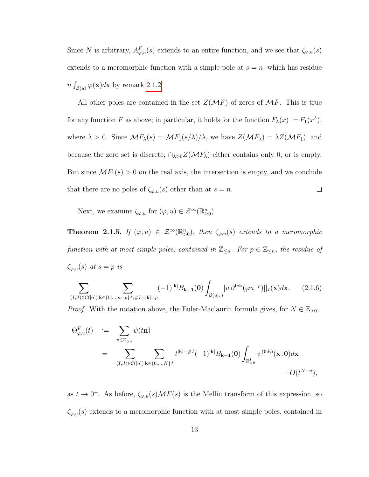Since N is arbitrary,  $A_{\varphi,u}^F(s)$  extends to an entire function, and we see that  $\zeta_{\varphi,u}(s)$ extends to a meromorphic function with a simple pole at  $s = n$ , which has residue  $n \int_{\mathcal{B}(u)} \varphi(\mathbf{x}) d\mathbf{x}$  by remark [2.1.2.](#page-15-0)

All other poles are contained in the set  $Z(\mathcal{M}F)$  of zeros of  $\mathcal{M}F$ . This is true for any function F as above; in particular, it holds for the function  $F_{\lambda}(x) \coloneqq F_1(x^{\lambda}),$ where  $\lambda > 0$ . Since  $\mathcal{M}F_{\lambda}(s) = \mathcal{M}F_1(s/\lambda)/\lambda$ , we have  $Z(\mathcal{M}F_{\lambda}) = \lambda Z(\mathcal{M}F_1)$ , and because the zero set is discrete,  $\cap_{\lambda>0}Z(\mathcal{M}F_{\lambda})$  either contains only 0, or is empty. But since  $\mathcal{M}F_1(s) > 0$  on the real axis, the intersection is empty, and we conclude that there are no poles of  $\zeta_{\varphi,u}(s)$  other than at  $s = n$ .  $\Box$ 

Next, we examine  $\zeta_{\varphi,u}$  for  $(\varphi, u) \in \mathcal{Z}^{\infty}(\mathbb{R}_{\geq 0}^n)$ .

**Theorem 2.1.5.** If  $(\varphi, u) \in \mathcal{Z}^{\infty}(\mathbb{R}_{>0}^n)$ , then  $\zeta_{\varphi, u}(s)$  extends to a meromorphic function with at most simple poles, contained in  $\mathbb{Z}_{\leq n}$ . For  $p \in \mathbb{Z}_{\leq n}$ , the residue of  $\zeta_{\varphi,u}(s)$  at  $s=p$  is

<span id="page-18-0"></span>
$$
\sum_{(I,J)\in\mathcal{C}([n])}\sum_{\mathbf{k}\in\{0,\dots,n-p\}^J,\#I-|\mathbf{k}|=p}(-1)^{|\mathbf{k}|}B_{\mathbf{k}+\mathbf{1}}(\mathbf{0})\int_{\mathcal{B}(u|_{I})}[u\,\partial^{\mathbf{0}:\mathbf{k}}(\varphi u^{-p})]|_{I}(\mathbf{x})d\mathbf{x}.\tag{2.1.6}
$$

*Proof.* With the notation above, the Euler-Maclaurin formula gives, for  $N \in \mathbb{Z}_{>0}$ ,

$$
\Theta_{\varphi,u}^{F}(t) \quad := \quad \sum_{\mathbf{n} \in \mathbb{Z}_{>0}^{n}} \psi(t\mathbf{n})
$$
\n
$$
= \quad \sum_{(I,J) \in \mathcal{C}([n])} \sum_{\mathbf{k} \in \{0,\dots,N\}^{J}} t^{|\mathbf{k}| - \#I} (-1)^{|\mathbf{k}|} B_{\mathbf{k}+\mathbf{1}}(\mathbf{0}) \int_{\mathbb{R}_{>0}^{I}} \psi^{(\mathbf{0}:\mathbf{k})}(\mathbf{x}:\mathbf{0}) d\mathbf{x} + O(t^{N-n}),
$$

as  $t \to 0^+$ . As before,  $\zeta_{\varphi,u}(s) \mathcal{M}F(s)$  is the Mellin transform of this expression, so  $\zeta_{\varphi,u}(s)$  extends to a meromorphic function with at most simple poles, contained in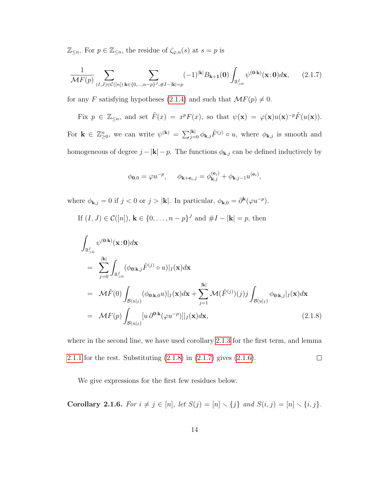$\mathbb{Z}_{\leq n}$ . For  $p \in \mathbb{Z}_{\leq n}$ , the residue of  $\zeta_{\varphi,u}(s)$  at  $s = p$  is

<span id="page-19-1"></span>
$$
\frac{1}{\mathcal{M}F(p)} \sum_{(I,J)\in\mathcal{C}([n])} \sum_{\mathbf{k}\in\{0,\dots,n-p\}^J,\#I-|\mathbf{k}|=p} (-1)^{|\mathbf{k}|} B_{\mathbf{k}+\mathbf{1}}(\mathbf{0}) \int_{\mathbb{R}_{>0}^I} \psi^{(\mathbf{0}:\mathbf{k})}(\mathbf{x};\mathbf{0}) d\mathbf{x},\qquad(2.1.7)
$$

for any F satisfying hypotheses [\(2.1.4\)](#page-17-0) and such that  $\mathcal{M}F(p) \neq 0$ .

Fix 
$$
p \in \mathbb{Z}_{\leq n}
$$
, and set  $\tilde{F}(x) = x^p F(x)$ , so that  $\psi(\mathbf{x}) = \varphi(\mathbf{x}) u(\mathbf{x})^{-p} \tilde{F}(u(\mathbf{x}))$ .

For  $\mathbf{k} \in \mathbb{Z}_{\geq 0}^n$ , we can write  $\psi^{(\mathbf{k})} = \sum_{j=0}^{|\mathbf{k}|} \phi_{\mathbf{k},j} \tilde{F}^{(j)} \circ u$ , where  $\phi_{\mathbf{k},j}$  is smooth and homogeneous of degree  $j - |\mathbf{k}| - p$ . The functions  $\phi_{\mathbf{k},j}$  can be defined inductively by

$$
\phi_{\mathbf{0},0} = \varphi u^{-p}, \quad \phi_{\mathbf{k}+\mathbf{e}_i,j} = \phi_{\mathbf{k},j}^{(\mathbf{e}_i)} + \phi_{\mathbf{k},j-1} u^{(\mathbf{e}_i)},
$$

where  $\phi_{\mathbf{k},j} = 0$  if  $j < 0$  or  $j > |\mathbf{k}|$ . In particular,  $\phi_{\mathbf{k},0} = \partial^{\mathbf{k}}(\varphi u^{-p})$ .

If  $(I, J) \in \mathcal{C}([n])$ ,  $\mathbf{k} \in \{0, \ldots, n-p\}^J$  and  $\#I - |\mathbf{k}| = p$ , then

<span id="page-19-0"></span>
$$
\int_{\mathbb{R}_{>0}^{I}} \psi^{(\mathbf{0}:k)}(\mathbf{x}:0) d\mathbf{x} \n= \sum_{j=0}^{|k|} \int_{\mathbb{R}_{>0}^{I}} (\phi_{\mathbf{0}:k,j} \tilde{F}^{(j)} \circ u)|_{I}(\mathbf{x}) d\mathbf{x} \n= \mathcal{M}\tilde{F}(0) \int_{\mathcal{B}(u|_{I})} (\phi_{\mathbf{0}:k,0} u)|_{I}(\mathbf{x}) d\mathbf{x} + \sum_{j=1}^{|k|} \mathcal{M}(\tilde{F}^{(j)})(j) j \int_{\mathcal{B}(u|_{I})} \phi_{\mathbf{0}:k,j}|_{I}(\mathbf{x}) d\mathbf{x} \n= \mathcal{M}F(p) \int_{\mathcal{B}(u|_{I})} [u \, \partial^{\mathbf{0}:k}(\varphi u^{-p})]|_{I}(\mathbf{x}) d\mathbf{x},
$$
\n(2.1.8)

where in the second line, we have used corollary [2.1.3](#page-15-1) for the first term, and lemma [2.1.1](#page-14-1) for the rest. Substituting  $(2.1.8)$  in  $(2.1.7)$  gives  $(2.1.6)$ .  $\Box$ 

We give expressions for the first few residues below.

Corollary 2.1.6. For  $i \neq j \in [n]$ , let  $S(j) = [n] \setminus \{j\}$  and  $S(i, j) = [n] \setminus \{i, j\}$ .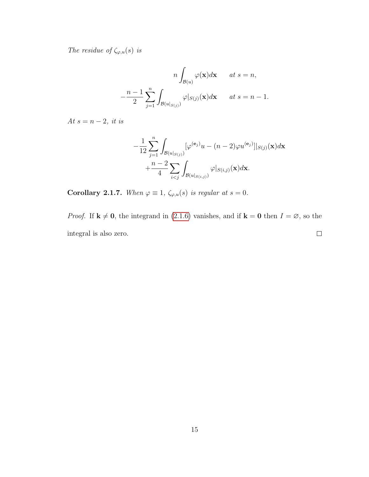The residue of  $\zeta_{\varphi,u}(s)$  is

$$
n \int_{\mathcal{B}(u)} \varphi(\mathbf{x}) d\mathbf{x} \quad at \ s = n,
$$

$$
-\frac{n-1}{2} \sum_{j=1}^{n} \int_{\mathcal{B}(u|_{S(j)})} \varphi|_{S(j)}(\mathbf{x}) d\mathbf{x} \quad at \ s = n-1.
$$

At  $s = n - 2$ , it is

$$
-\frac{1}{12}\sum_{j=1}^{n}\int_{\mathcal{B}(u|_{S(j)})}[\varphi^{(\mathbf{e}_j)}u - (n-2)\varphi u^{(\mathbf{e}_j)}]|_{S(j)}(\mathbf{x})d\mathbf{x}
$$

$$
+\frac{n-2}{4}\sum_{i
$$

Corollary 2.1.7. When  $\varphi \equiv 1$ ,  $\zeta_{\varphi,u}(s)$  is regular at  $s = 0$ .

*Proof.* If  $\mathbf{k} \neq \mathbf{0}$ , the integrand in [\(2.1.6\)](#page-18-0) vanishes, and if  $\mathbf{k} = \mathbf{0}$  then  $I = \emptyset$ , so the integral is also zero.  $\Box$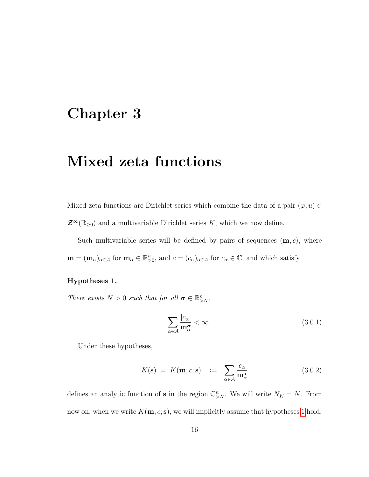## <span id="page-21-0"></span>Chapter 3

# Mixed zeta functions

Mixed zeta functions are Dirichlet series which combine the data of a pair  $(\varphi, u) \in$  $\mathcal{Z}^{\infty}(\mathbb{R}_{\geq 0})$  and a multivariable Dirichlet series K, which we now define.

Such multivariable series will be defined by pairs of sequences  $(m, c)$ , where  $\mathbf{m} = (\mathbf{m}_{\alpha})_{\alpha \in \mathcal{A}}$  for  $\mathbf{m}_{\alpha} \in \mathbb{R}_{>0}^n$ , and  $c = (c_{\alpha})_{\alpha \in \mathcal{A}}$  for  $c_{\alpha} \in \mathbb{C}$ , and which satisfy

#### <span id="page-21-1"></span>Hypotheses 1.

There exists  $N > 0$  such that for all  $\sigma \in \mathbb{R}^n_{>N}$ ,

<span id="page-21-2"></span>
$$
\sum_{\alpha \in \mathcal{A}} \frac{|c_{\alpha}|}{\mathbf{m}_{\alpha}^{\sigma}} < \infty. \tag{3.0.1}
$$

Under these hypotheses,

$$
K(\mathbf{s}) = K(\mathbf{m}, c; \mathbf{s}) := \sum_{\alpha \in \mathcal{A}} \frac{c_{\alpha}}{\mathbf{m}_{\alpha}^{\mathbf{s}}} \tag{3.0.2}
$$

defines an analytic function of **s** in the region  $\mathbb{C}_{\geq N}^n$ . We will write  $N_K = N$ . From now on, when we write  $K(\mathbf{m}, c; \mathbf{s})$ , we will implicitly assume that hypotheses [1](#page-21-1) hold.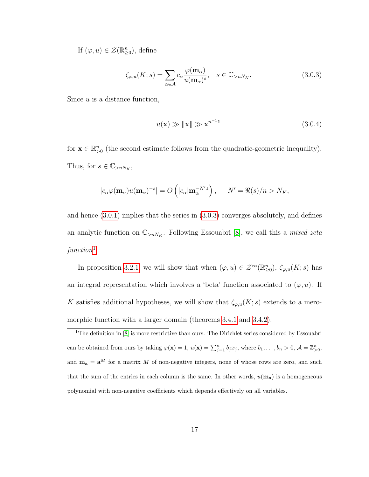If  $(\varphi, u) \in \mathcal{Z}(\mathbb{R}^n_{\geq 0})$ , define

<span id="page-22-0"></span>
$$
\zeta_{\varphi,u}(K;s) = \sum_{\alpha \in \mathcal{A}} c_{\alpha} \frac{\varphi(\mathbf{m}_{\alpha})}{u(\mathbf{m}_{\alpha})^s}, \quad s \in \mathbb{C}_{>nN_K}.
$$
\n(3.0.3)

Since  $u$  is a distance function,

$$
u(\mathbf{x}) \gg \|\mathbf{x}\| \gg \mathbf{x}^{n-1}\mathbf{1}
$$
\n(3.0.4)

for  $\mathbf{x} \in \mathbb{R}_{>0}^n$  (the second estimate follows from the quadratic-geometric inequality). Thus, for  $s \in \mathbb{C}_{>nN_K}$ ,

$$
|c_{\alpha}\varphi(\mathbf{m}_{\alpha})u(\mathbf{m}_{\alpha})^{-s}| = O\left(|c_{\alpha}|\mathbf{m}_{\alpha}^{-N'\mathbf{1}}\right), \quad N' = \Re(s)/n > N_K,
$$

and hence [\(3.0.1\)](#page-21-2) implies that the series in [\(3.0.3\)](#page-22-0) converges absolutely, and defines an analytic function on  $\mathbb{C}_{\ge nN_K}$ . Following Essouabri [\[8\]](#page-80-0), we call this a *mixed zeta*  $function<sup>1</sup>$  $function<sup>1</sup>$  $function<sup>1</sup>$ .

In proposition [3.2.1,](#page-27-0) we will show that when  $(\varphi, u) \in \mathcal{Z}^{\infty}(\mathbb{R}^n_{\geq 0}), \zeta_{\varphi, u}(K; s)$  has an integral representation which involves a 'beta' function associated to  $(\varphi, u)$ . If K satisfies additional hypotheses, we will show that  $\zeta_{\varphi,u}(K; s)$  extends to a meromorphic function with a larger domain (theorems [3.4.1](#page-38-0) and [3.4.2\)](#page-39-0).

<span id="page-22-1"></span><sup>1</sup>The definition in [\[8\]](#page-80-0) is more restrictive than ours. The Dirichlet series considered by Essouabri can be obtained from ours by taking  $\varphi(\mathbf{x}) = 1$ ,  $u(\mathbf{x}) = \sum_{j=1}^{n} b_j x_j$ , where  $b_1, \ldots, b_n > 0$ ,  $\mathcal{A} = \mathbb{Z}_{>0}^n$ , and  $\mathbf{m}_\mathbf{a} = \mathbf{a}^M$  for a matrix M of non-negative integers, none of whose rows are zero, and such that the sum of the entries in each column is the same. In other words,  $u(\mathbf{m}_a)$  is a homogeneous polynomial with non-negative coefficients which depends effectively on all variables.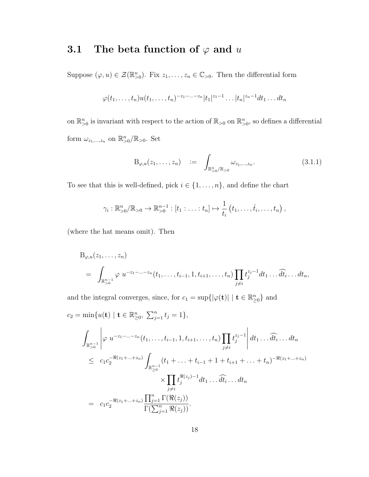## <span id="page-23-0"></span>3.1 The beta function of  $\varphi$  and u

Suppose  $(\varphi, u) \in \mathcal{Z}(\mathbb{R}_{>0}^n)$ . Fix  $z_1, \ldots, z_n \in \mathbb{C}_{>0}$ . Then the differential form

$$
\varphi(t_1,\ldots,t_n)u(t_1,\ldots,t_n)^{-z_1-\ldots-z_n}|t_1|^{z_1-1}\ldots|t_n|^{z_n-1}dt_1\ldots dt_n
$$

on  $\mathbb{R}_{>0}^n$  is invariant with respect to the action of  $\mathbb{R}_{>0}$  on  $\mathbb{R}_{>0}^n$ , so defines a differential form  $\omega_{z_1,\dots,z_n}$  on  $\mathbb{R}^n_{>0}/\mathbb{R}_{>0}$ . Set

$$
B_{\varphi,u}(z_1,\ldots,z_n) \quad := \quad \int_{\mathbb{R}^n_{>0}/\mathbb{R}_{>0}} \omega_{z_1,\ldots,z_n}.\tag{3.1.1}
$$

To see that this is well-defined, pick  $i \in \{1, \ldots, n\}$ , and define the chart

$$
\gamma_i : \mathbb{R}_{>0}^n / \mathbb{R}_{>0} \to \mathbb{R}_{>0}^{n-1} : [t_1 : \ldots : t_n] \mapsto \frac{1}{t_i} (t_1, \ldots, \hat{t}_i, \ldots, t_n),
$$

(where the hat means omit). Then

$$
B_{\varphi,u}(z_1,\ldots,z_n) = \int_{\mathbb{R}_{>0}^{n-1}} \varphi u^{-z_1-\ldots-z_n}(t_1,\ldots,t_{i-1},1,t_{i+1},\ldots,t_n) \prod_{j\neq i} t_j^{z_j-1} dt_1 \ldots dt_i \ldots dt_n,
$$

and the integral converges, since, for  $c_1 = \sup\{|\varphi(\mathbf{t})| \mid \mathbf{t} \in \mathbb{R}_{\geq 0}^n\}$  and

$$
c_2 = \min \{ u(\mathbf{t}) \mid \mathbf{t} \in \mathbb{R}_{\geq 0}^n, \sum_{j=1}^n t_j = 1 \},
$$
  

$$
\int_{\mathbb{R}_{>0}^{n-1}} \left| \varphi u^{-z_1 - \dots - z_n} (t_1, \dots, t_{i-1}, 1, t_{i+1}, \dots, t_n) \prod_{j \neq i} t_j^{z_j - 1} \right| dt_1 \dots \widehat{dt}_i \dots dt_n
$$
  

$$
\leq c_1 c_2^{-\Re(z_1 + \dots + z_n)} \int_{\mathbb{R}_{\geq 0}^{n-1}} (t_1 + \dots + t_{i-1} + 1 + t_{i+1} + \dots + t_n)^{-\Re(z_1 + \dots + z_n)}
$$
  

$$
\times \prod_{j \neq i} t_j^{\Re(z_j) - 1} dt_1 \dots \widehat{dt}_i \dots dt_n
$$
  

$$
= c_1 c_2^{-\Re(z_1 + \dots + z_n)} \frac{\prod_{j=1}^n \Gamma(\Re(z_j))}{\Gamma(\sum_{j=1}^n \Re(z_j))}.
$$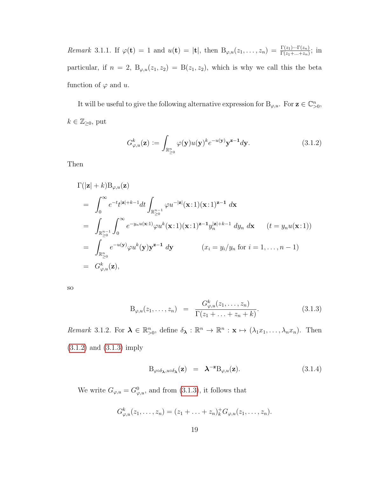Remark 3.1.1. If  $\varphi(\mathbf{t}) = 1$  and  $u(\mathbf{t}) = |\mathbf{t}|$ , then  $B_{\varphi,u}(z_1,\ldots,z_n) = \frac{\Gamma(z_1)\cdots\Gamma(z_n)}{\Gamma(z_1+\cdots+z_n)}$ ; in particular, if  $n = 2$ ,  $B_{\varphi,u}(z_1, z_2) = B(z_1, z_2)$ , which is why we call this the beta function of  $\varphi$  and u.

It will be useful to give the following alternative expression for  $B_{\varphi,u}$ . For  $z \in \mathbb{C}_{>0}^n$ ,  $k \in \mathbb{Z}_{\geq 0}$ , put

<span id="page-24-0"></span>
$$
G_{\varphi,u}^{k}(\mathbf{z}) := \int_{\mathbb{R}_{\geq 0}^{n}} \varphi(\mathbf{y}) u(\mathbf{y})^{k} e^{-u(\mathbf{y})} \mathbf{y}^{\mathbf{z}-1} d\mathbf{y}.
$$
 (3.1.2)

Then

$$
\Gamma(|\mathbf{z}| + k)B_{\varphi,u}(\mathbf{z})
$$
\n
$$
= \int_0^\infty e^{-t}t^{|\mathbf{z}|+k-1}dt \int_{\mathbb{R}_{\geq 0}^{n-1}} \varphi u^{-|\mathbf{z}|}(\mathbf{x}:1)(\mathbf{x}:1)^{\mathbf{z}-\mathbf{1}} d\mathbf{x}
$$
\n
$$
= \int_{\mathbb{R}_{\geq 0}^{n-1}} \int_0^\infty e^{-y_n u(\mathbf{x}:1)} \varphi u^k(\mathbf{x}:1)(\mathbf{x}:1)^{\mathbf{z}-\mathbf{1}} y_n^{|\mathbf{z}|+k-1} dy_n dx \qquad (t = y_n u(\mathbf{x}:1))
$$
\n
$$
= \int_{\mathbb{R}_{\geq 0}^n} e^{-u(\mathbf{y})} \varphi u^k(\mathbf{y}) \mathbf{y}^{\mathbf{z}-\mathbf{1}} d\mathbf{y} \qquad (x_i = y_i/y_n \text{ for } i = 1,\dots,n-1)
$$
\n
$$
= G_{\varphi,u}^k(\mathbf{z}),
$$

so

<span id="page-24-1"></span>
$$
B_{\varphi,u}(z_1,\ldots,z_n) = \frac{G_{\varphi,u}^k(z_1,\ldots,z_n)}{\Gamma(z_1+\ldots+z_n+k)}.
$$
 (3.1.3)

Remark 3.1.2. For  $\lambda \in \mathbb{R}_{>0}^n$ , define  $\delta_{\lambda}: \mathbb{R}^n \to \mathbb{R}^n : \mathbf{x} \mapsto (\lambda_1 x_1, \dots, \lambda_n x_n)$ . Then [\(3.1.2\)](#page-24-0) and [\(3.1.3\)](#page-24-1) imply

<span id="page-24-2"></span>
$$
B_{\varphi \circ \delta_{\lambda}, u \circ \delta_{\lambda}}(z) = \lambda^{-z} B_{\varphi, u}(z).
$$
 (3.1.4)

We write  $G_{\varphi, u} = G_{\varphi, u}^0$ , and from [\(3.1.3\)](#page-24-1), it follows that

$$
G_{\varphi,u}^k(z_1,\ldots,z_n) = (z_1 + \ldots + z_n)_k^+ G_{\varphi,u}(z_1,\ldots,z_n).
$$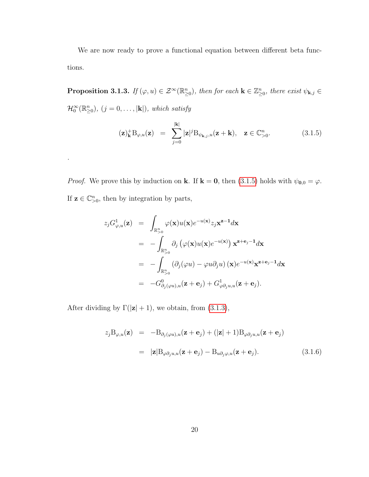We are now ready to prove a functional equation between different beta functions.

**Proposition 3.1.3.** If  $(\varphi, u) \in \mathcal{Z}^{\infty}(\mathbb{R}_{\geq 0}^n)$ , then for each  $\mathbf{k} \in \mathbb{Z}_{\geq 0}^n$ , there exist  $\psi_{\mathbf{k},j} \in$  $\mathcal{H}_0^{\infty}(\mathbb{R}_{\geq 0}^n), (j = 0, \ldots, |\mathbf{k}|), which satisfy$ 

<span id="page-25-0"></span>
$$
(\mathbf{z})_{\mathbf{k}}^{+} \mathbf{B}_{\varphi,u}(\mathbf{z}) = \sum_{j=0}^{|\mathbf{k}|} |\mathbf{z}|^{j} \mathbf{B}_{\psi_{\mathbf{k},j},u}(\mathbf{z} + \mathbf{k}), \quad \mathbf{z} \in \mathbb{C}_{>0}^{n}.
$$
 (3.1.5)

*Proof.* We prove this by induction on **k**. If **k** = **0**, then [\(3.1.5\)](#page-25-0) holds with  $\psi_{0,0} = \varphi$ . If  $z \in \mathbb{C}_{>0}^n$ , then by integration by parts,

$$
z_j G_{\varphi, u}^1(\mathbf{z}) = \int_{\mathbb{R}_{>0}^n} \varphi(\mathbf{x}) u(\mathbf{x}) e^{-u(\mathbf{x})} z_j \mathbf{x}^{\mathbf{z}-1} d\mathbf{x}
$$
  
\n
$$
= - \int_{\mathbb{R}_{>0}^n} \partial_j (\varphi(\mathbf{x}) u(\mathbf{x}) e^{-u(\mathbf{x})}) \mathbf{x}^{\mathbf{z}+\mathbf{e}_j-1} d\mathbf{x}
$$
  
\n
$$
= - \int_{\mathbb{R}_{>0}^n} (\partial_j (\varphi u) - \varphi u \partial_j u) (\mathbf{x}) e^{-u(\mathbf{x})} \mathbf{x}^{\mathbf{z}+\mathbf{e}_j-1} d\mathbf{x}
$$
  
\n
$$
= -G_{\partial_j(\varphi u), u}^0(\mathbf{z}+\mathbf{e}_j) + G_{\varphi \partial_j u, u}^1(\mathbf{z}+\mathbf{e}_j).
$$

After dividing by  $\Gamma(|z|+1)$ , we obtain, from [\(3.1.3\)](#page-24-1),

.

$$
z_j B_{\varphi, u}(\mathbf{z}) = -B_{\partial_j(\varphi u), u}(\mathbf{z} + \mathbf{e}_j) + (|\mathbf{z}| + 1) B_{\varphi \partial_j u, u}(\mathbf{z} + \mathbf{e}_j)
$$
  

$$
= |\mathbf{z}| B_{\varphi \partial_j u, u}(\mathbf{z} + \mathbf{e}_j) - B_{u \partial_j \varphi, u}(\mathbf{z} + \mathbf{e}_j). \tag{3.1.6}
$$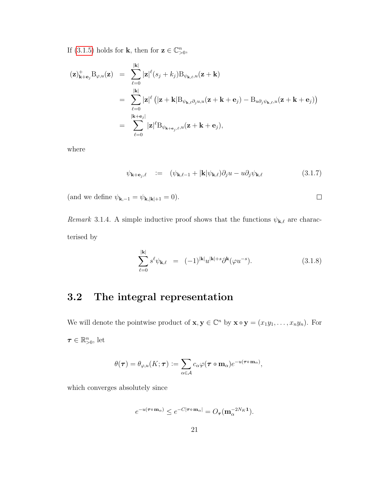If [\(3.1.5\)](#page-25-0) holds for **k**, then for  $z \in \mathbb{C}_{>0}^n$ ,

$$
\begin{array}{lcl} (\mathbf{z})_{\mathbf{k}+\mathbf{e}_j}^+ \mathrm{B}_{\varphi, u}(\mathbf{z}) & = & \displaystyle \sum_{\ell=0}^{|\mathbf{k}|} |\mathbf{z}|^\ell (s_j + k_j) \mathrm{B}_{\psi_{\mathbf{k},\ell}, u}(\mathbf{z}+\mathbf{k}) \\ \\ & = & \displaystyle \sum_{\ell=0}^{|\mathbf{k}|} |\mathbf{z}|^\ell \left( |\mathbf{z}+\mathbf{k}| \mathrm{B}_{\psi_{\mathbf{k},\ell}\partial_j u, u}(\mathbf{z}+\mathbf{k}+\mathbf{e}_j) - \mathrm{B}_{u\partial_j \psi_{\mathbf{k},\ell}, u}(\mathbf{z}+\mathbf{k}+\mathbf{e}_j) \right) \\ \\ & = & \displaystyle \sum_{\ell=0}^{|\mathbf{k}+\mathbf{e}_j|} |\mathbf{z}|^\ell \mathrm{B}_{\psi_{\mathbf{k}+\mathbf{e}_j,\ell}, u}(\mathbf{z}+\mathbf{k}+\mathbf{e}_j), \end{array}
$$

where

$$
\psi_{\mathbf{k}+\mathbf{e}_j,\ell} \quad := \quad (\psi_{\mathbf{k},\ell-1} + |\mathbf{k}| \psi_{\mathbf{k},\ell}) \partial_j u - u \partial_j \psi_{\mathbf{k},\ell} \tag{3.1.7}
$$

 $\Box$ 

(and we define  $\psi_{{\bf k},-1}=\psi_{{\bf k},|{\bf k}|+1}=0).$ 

Remark 3.1.4. A simple inductive proof shows that the functions  $\psi_{\mathbf{k},\ell}$  are characterised by

$$
\sum_{\ell=0}^{|\mathbf{k}|} s^{\ell} \psi_{\mathbf{k},\ell} = (-1)^{|\mathbf{k}|} u^{|\mathbf{k}|+s} \partial^{\mathbf{k}} (\varphi u^{-s}). \tag{3.1.8}
$$

## <span id="page-26-0"></span>3.2 The integral representation

We will denote the pointwise product of  $\mathbf{x}, \mathbf{y} \in \mathbb{C}^n$  by  $\mathbf{x} \circ \mathbf{y} = (x_1y_1, \dots, x_ny_n)$ . For  $\boldsymbol{\tau} \in \mathbb{R}_{>0}^n$ , let

$$
\theta(\boldsymbol{\tau}) = \theta_{\varphi,u}(K;\boldsymbol{\tau}) := \sum_{\alpha \in \mathcal{A}} c_{\alpha} \varphi(\boldsymbol{\tau} \circ \mathbf{m}_{\alpha}) e^{-u(\boldsymbol{\tau} \circ \mathbf{m}_{\alpha})},
$$

which converges absolutely since

$$
e^{-u(\tau\circ\mathbf{m}_{\alpha})}\leq e^{-C|\tau\circ\mathbf{m}_{\alpha}|}=O_{\tau}(\mathbf{m}_{\alpha}^{-2N_K\mathbf{1}}).
$$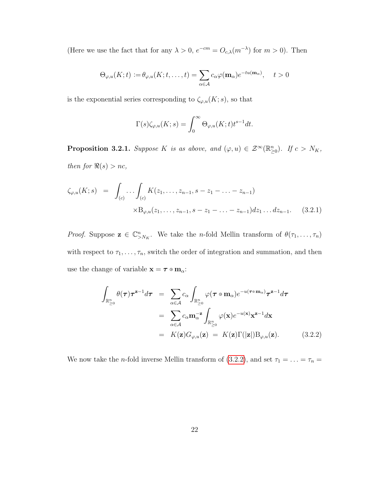(Here we use the fact that for any  $\lambda > 0$ ,  $e^{-cm} = O_{c,\lambda}(m^{-\lambda})$  for  $m > 0$ ). Then

$$
\Theta_{\varphi,u}(K;t) := \theta_{\varphi,u}(K;t,\ldots,t) = \sum_{\alpha \in \mathcal{A}} c_{\alpha} \varphi(\mathbf{m}_{\alpha}) e^{-tu(\mathbf{m}_{\alpha})}, \quad t > 0
$$

is the exponential series corresponding to  $\zeta_{\varphi,u}(K;s),$  so that

$$
\Gamma(s)\zeta_{\varphi,u}(K;s) = \int_0^\infty \Theta_{\varphi,u}(K;t)t^{s-1}dt.
$$

<span id="page-27-0"></span>**Proposition 3.2.1.** Suppose K is as above, and  $(\varphi, u) \in \mathcal{Z}^{\infty}(\mathbb{R}_{\geq 0}^n)$ . If  $c > N_K$ , then for  $\Re(s) > nc$ ,

$$
\zeta_{\varphi,u}(K;s) = \int_{(c)} \cdots \int_{(c)} K(z_1, \ldots, z_{n-1}, s - z_1 - \ldots - z_{n-1})
$$
  
 
$$
\times \mathcal{B}_{\varphi,u}(z_1, \ldots, z_{n-1}, s - z_1 - \ldots - z_{n-1}) dz_1 \ldots dz_{n-1}.
$$
 (3.2.1)

*Proof.* Suppose  $\mathbf{z} \in \mathbb{C}_{>N_K}^n$ . We take the *n*-fold Mellin transform of  $\theta(\tau_1, \ldots, \tau_n)$ with respect to  $\tau_1, \ldots, \tau_n$ , switch the order of integration and summation, and then use the change of variable  $\mathbf{x} = \boldsymbol{\tau} \circ \mathbf{m}_{\alpha}$ :

<span id="page-27-1"></span>
$$
\int_{\mathbb{R}_{\geq 0}^n} \theta(\tau) \tau^{z-1} d\tau = \sum_{\alpha \in \mathcal{A}} c_{\alpha} \int_{\mathbb{R}_{\geq 0}^n} \varphi(\tau \circ \mathbf{m}_{\alpha}) e^{-u(\tau \circ \mathbf{m}_{\alpha})} \tau^{z-1} d\tau
$$
\n
$$
= \sum_{\alpha \in \mathcal{A}} c_{\alpha} \mathbf{m}_{\alpha}^{-z} \int_{\mathbb{R}_{\geq 0}^n} \varphi(\mathbf{x}) e^{-u(\mathbf{x})} \mathbf{x}^{z-1} d\mathbf{x}
$$
\n
$$
= K(\mathbf{z}) G_{\varphi, u}(\mathbf{z}) = K(\mathbf{z}) \Gamma(|\mathbf{z}|) B_{\varphi, u}(\mathbf{z}). \tag{3.2.2}
$$

We now take the *n*-fold inverse Mellin transform of [\(3.2.2\)](#page-27-1), and set  $\tau_1 = \ldots = \tau_n =$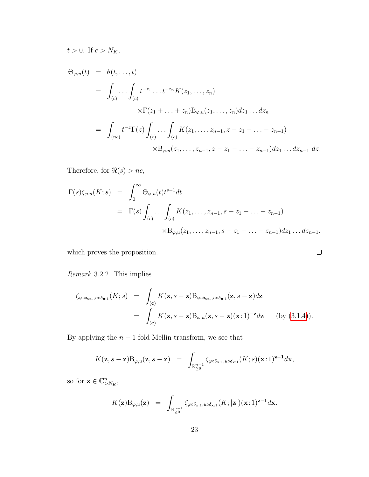$t > 0$ . If  $c > N_K$ ,

$$
\Theta_{\varphi,u}(t) = \theta(t, ..., t)
$$
\n
$$
= \int_{(c)} \dots \int_{(c)} t^{-z_1} \dots t^{-z_n} K(z_1, ..., z_n)
$$
\n
$$
\times \Gamma(z_1 + ... + z_n) B_{\varphi,u}(z_1, ..., z_n) dz_1 ... dz_n
$$
\n
$$
= \int_{(nc)} t^{-z} \Gamma(z) \int_{(c)} \dots \int_{(c)} K(z_1, ..., z_{n-1}, z - z_1 - ... - z_{n-1}) dz_1 ... dz_{n-1} dz.
$$
\n
$$
\times B_{\varphi,u}(z_1, ..., z_{n-1}, z - z_1 - ... - z_{n-1}) dz_1 ... dz_{n-1} dz.
$$

Therefore, for  $\Re(s) > nc$ ,

$$
\Gamma(s)\zeta_{\varphi,u}(K;s) = \int_0^\infty \Theta_{\varphi,u}(t)t^{s-1}dt
$$
  
=  $\Gamma(s)\int_{(c)}\ldots\int_{(c)}K(z_1,\ldots,z_{n-1},s-z_1-\ldots-z_{n-1})$   
 $\times B_{\varphi,u}(z_1,\ldots,z_{n-1},s-z_1-\ldots-z_{n-1})dz_1\ldots dz_{n-1},$ 

 $\Box$ 

which proves the proposition.

Remark 3.2.2. This implies

$$
\zeta_{\varphi \circ \delta_{\mathbf{x}:1}, u \circ \delta_{\mathbf{x}:1}}(K; s) = \int_{(\mathbf{c})} K(\mathbf{z}, s - \mathbf{z}) \mathcal{B}_{\varphi \circ \delta_{\mathbf{x}:1}, u \circ \delta_{\mathbf{x}:1}}(\mathbf{z}, s - \mathbf{z}) d\mathbf{z}
$$
  
= 
$$
\int_{(\mathbf{c})} K(\mathbf{z}, s - \mathbf{z}) \mathcal{B}_{\varphi, u}(\mathbf{z}, s - \mathbf{z})(\mathbf{x}:1)^{-\mathbf{z}} d\mathbf{z} \qquad \text{(by (3.1.4))}.
$$

By applying the  $n - 1$  fold Mellin transform, we see that

$$
K(\mathbf{z}, s-\mathbf{z})B_{\varphi, u}(\mathbf{z}, s-\mathbf{z}) = \int_{\mathbb{R}_{\geq 0}^{n-1}} \zeta_{\varphi \circ \delta_{\mathbf{x}:1}, u \circ \delta_{\mathbf{x}:1}}(K; s)(\mathbf{x}:1)^{\mathbf{z}-1} d\mathbf{x},
$$

so for  $\mathbf{z} \in \mathbb{C}^n_{>N_K}$ ,

$$
K(\mathbf{z})\mathrm{B}_{\varphi,u}(\mathbf{z}) = \int_{\mathbb{R}_{\geq 0}^{n-1}} \zeta_{\varphi \circ \delta_{\mathbf{x}:1},u \circ \delta_{\mathbf{x}:1}}(K;|\mathbf{z}|)(\mathbf{x}:1)^{\mathbf{z}-1} d\mathbf{x}.
$$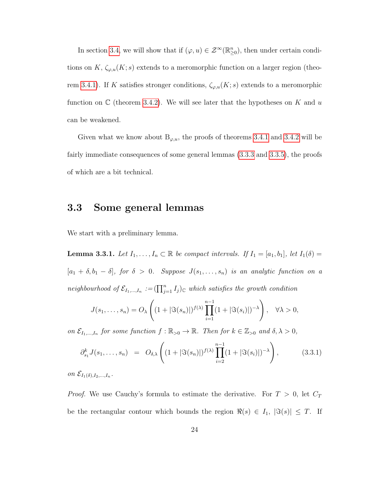In section [3.4,](#page-37-0) we will show that if  $(\varphi, u) \in \mathcal{Z}^{\infty}(\mathbb{R}^n_{\geq 0})$ , then under certain conditions on K,  $\zeta_{\varphi,u}(K; s)$  extends to a meromorphic function on a larger region (theo-rem [3.4.1\)](#page-38-0). If K satisfies stronger conditions,  $\zeta_{\varphi,u}(K;s)$  extends to a meromorphic function on  $\mathbb C$  (theorem [3.4.2\)](#page-39-0). We will see later that the hypotheses on K and u can be weakened.

Given what we know about  $B_{\varphi,u}$ , the proofs of theorems [3.4.1](#page-38-0) and [3.4.2](#page-39-0) will be fairly immediate consequences of some general lemmas [\(3.3.3](#page-32-0) and [3.3.5\)](#page-36-0), the proofs of which are a bit technical.

### <span id="page-29-0"></span>3.3 Some general lemmas

<span id="page-29-1"></span>We start with a preliminary lemma.

**Lemma 3.3.1.** Let  $I_1, \ldots, I_n \subset \mathbb{R}$  be compact intervals. If  $I_1 = [a_1, b_1]$ , let  $I_1(\delta) =$  $[a_1 + \delta, b_1 - \delta],$  for  $\delta > 0$ . Suppose  $J(s_1, \ldots, s_n)$  is an analytic function on a neighbourhood of  $\mathcal{E}_{I_1,...,I_n} := (\prod_{j=1}^n I_j)_{\mathbb{C}}$  which satisfies the growth condition

$$
J(s_1,\ldots,s_n)=O_{\lambda}\left((1+|\Im(s_n)|)^{f(\lambda)}\prod_{i=1}^{n-1}(1+|\Im(s_i)|)^{-\lambda}\right), \quad \forall \lambda>0,
$$

on  $\mathcal{E}_{I_1,...,I_n}$  for some function  $f : \mathbb{R}_{>0} \to \mathbb{R}$ . Then for  $k \in \mathbb{Z}_{>0}$  and  $\delta, \lambda > 0$ ,

$$
\partial_{s_1}^k J(s_1,\ldots,s_n) = O_{\delta,\lambda}\left( (1+|\Im(s_n)|)^{f(\lambda)} \prod_{i=2}^{n-1} (1+|\Im(s_i)|)^{-\lambda} \right), \tag{3.3.1}
$$

on  $\mathcal{E}_{I_1(\delta),I_2,...,I_n}$ .

*Proof.* We use Cauchy's formula to estimate the derivative. For  $T > 0$ , let  $C_T$ be the rectangular contour which bounds the region  $\Re(s) \in I_1$ ,  $|\Im(s)| \leq T$ . If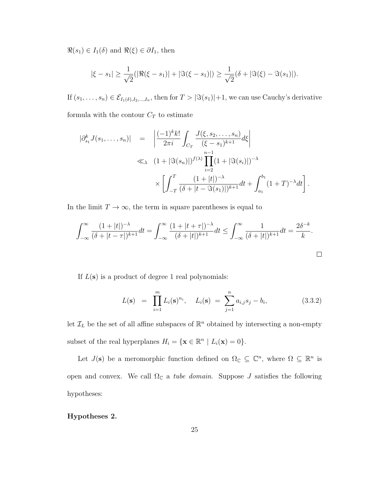$\Re(s_1) \in I_1(\delta)$  and  $\Re(\xi) \in \partial I_1$ , then

$$
|\xi - s_1| \ge \frac{1}{\sqrt{2}}(|\Re(\xi - s_1)| + |\Im(\xi - s_1)|) \ge \frac{1}{\sqrt{2}}(\delta + |\Im(\xi) - \Im(s_1)|).
$$

If  $(s_1, \ldots, s_n) \in \mathcal{E}_{I_1(\delta), I_2, \ldots, I_n}$ , then for  $T > |\Im(s_1)|+1$ , we can use Cauchy's derivative formula with the contour  $C_T$  to estimate

 $|\partial_{s_1}^k J(s_1,\ldots,s_n)| =$   $\frac{(-1)^{k}k!}{2πi}$   $\int_{C_T}$  $J(\xi, s_2, \ldots, s_n)$  $\frac{(\xi, 0, 2, \dots, 0, n)}{(\xi - s_1)^{k+1}} d\xi$   $\ll_{\lambda} \ (1 + |\Im(s_n)|)^{f(\lambda)}$ n−1<br>∏  $i=2$  $(1 + |\Im(s_i)|)^{-\lambda}$ 

$$
\times \left[ \int_{-T}^{T} \frac{(1+|t|)^{-\lambda}}{(\delta+|t-\Im(s_1)|)^{k+1}} dt + \int_{a_1}^{b_1} (1+T)^{-\lambda} dt \right].
$$

In the limit  $T\rightarrow\infty,$  the term in square parentheses is equal to

$$
\int_{-\infty}^{\infty} \frac{(1+|t|)^{-\lambda}}{(\delta+|t-\tau|)^{k+1}} dt = \int_{-\infty}^{\infty} \frac{(1+|t+\tau|)^{-\lambda}}{(\delta+|t|)^{k+1}} dt \le \int_{-\infty}^{\infty} \frac{1}{(\delta+|t|)^{k+1}} dt = \frac{2\delta^{-k}}{k}.
$$

If  $L(s)$  is a product of degree 1 real polynomials:

<span id="page-30-1"></span>
$$
L(\mathbf{s}) = \prod_{i=1}^{m} L_i(\mathbf{s})^{n_i}, \quad L_i(\mathbf{s}) = \sum_{j=1}^{n} a_{i,j} s_j - b_i,
$$
 (3.3.2)

let  $\mathcal{I}_L$  be the set of all affine subspaces of  $\mathbb{R}^n$  obtained by intersecting a non-empty subset of the real hyperplanes  $H_i = \{ \mathbf{x} \in \mathbb{R}^n \mid L_i(\mathbf{x}) = 0 \}.$ 

Let  $J(\mathbf{s})$  be a meromorphic function defined on  $\Omega_{\mathbb{C}} \subseteq \mathbb{C}^n$ , where  $\Omega \subseteq \mathbb{R}^n$  is open and convex. We call  $\Omega_{\mathbb{C}}$  a *tube domain*. Suppose *J* satisfies the following hypotheses:

#### <span id="page-30-0"></span>Hypotheses 2.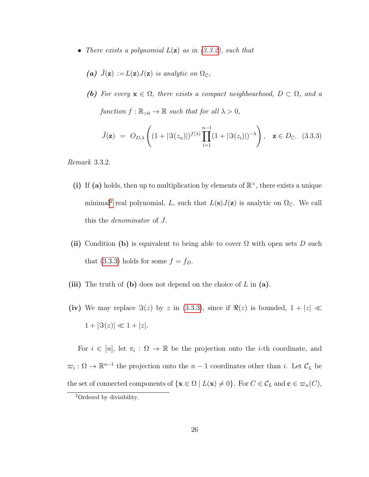• There exists a polynomial  $L(\mathbf{z})$  as in [\(3.3.2\)](#page-30-1), such that

(a) 
$$
\tilde{J}(\mathbf{z}) := L(\mathbf{z})J(\mathbf{z})
$$
 is analytic on  $\Omega_{\mathbb{C}}$ ,

(b) For every  $\mathbf{x} \in \Omega$ , there exists a compact neighbourhood,  $D \subset \Omega$ , and a function  $f : \mathbb{R}_{>0} \to \mathbb{R}$  such that for all  $\lambda > 0$ ,

<span id="page-31-1"></span>
$$
\tilde{J}(\mathbf{z}) = O_{D,\lambda}\left( (1+|\Im(z_n)|)^{f(\lambda)} \prod_{i=1}^{n-1} (1+|\Im(z_i)|)^{-\lambda} \right), \quad \mathbf{z} \in D_{\mathbb{C}}.\tag{3.3.3}
$$

Remark 3.3.2.

- (i) If (a) holds, then up to multiplication by elements of  $\mathbb{R}^{\times}$ , there exists a unique minimal<sup>[2](#page-31-0)</sup> real polynomial, L, such that  $L(s)J(z)$  is analytic on  $\Omega_{\mathbb{C}}$ . We call this the denominator of J.
- (ii) Condition (b) is equivalent to being able to cover  $\Omega$  with open sets D such that [\(3.3.3\)](#page-31-1) holds for some  $f = f_D$ .
- (iii) The truth of (b) does not depend on the choice of  $L$  in (a).
- (iv) We may replace  $\Im(z)$  by z in [\(3.3.3\)](#page-31-1), since if  $\Re(z)$  is bounded,  $1 + |z| \ll$  $1 + |\Im(z)| \ll 1 + |z|.$

For  $i \in [n]$ , let  $\pi_i : \Omega \to \mathbb{R}$  be the projection onto the *i*-th coordinate, and  $\overline{\omega}_i : \Omega \to \mathbb{R}^{n-1}$  the projection onto the  $n-1$  coordinates other than i. Let  $\mathcal{C}_L$  be the set of connected components of  $\{x \in \Omega \mid L(x) \neq 0\}$ . For  $C \in \mathcal{C}_L$  and  $\mathbf{c} \in \mathcal{C}_n(C)$ ,

<span id="page-31-0"></span><sup>2</sup>Ordered by divisibility.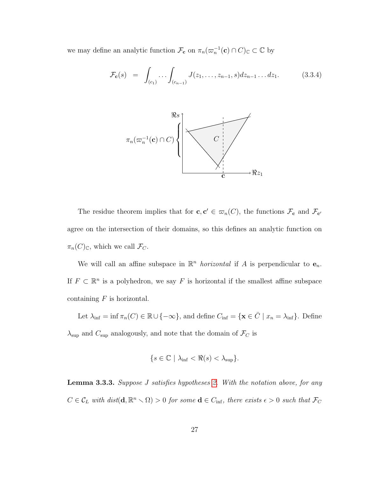we may define an analytic function  $\mathcal{F}_{\mathbf{c}}$  on  $\pi_n(\varpi_n^{-1}(\mathbf{c}) \cap C)_{\mathbb{C}} \subset \mathbb{C}$  by

<span id="page-32-1"></span>
$$
\mathcal{F}_{\mathbf{c}}(s) = \int_{(c_1)} \dots \int_{(c_{n-1})} J(z_1, \dots, z_{n-1}, s) dz_{n-1} \dots dz_1.
$$
 (3.3.4)



The residue theorem implies that for  $\mathbf{c}, \mathbf{c}' \in \varpi_n(C)$ , the functions  $\mathcal{F}_{\mathbf{c}}$  and  $\mathcal{F}_{\mathbf{c}'}$ agree on the intersection of their domains, so this defines an analytic function on  $\pi_n(C)_{\mathbb{C}}$ , which we call  $\mathcal{F}_C$ .

We will call an affine subspace in  $\mathbb{R}^n$  *horizontal* if A is perpendicular to  $e_n$ . If  $F \subset \mathbb{R}^n$  is a polyhedron, we say F is horizontal if the smallest affine subspace containing  $F$  is horizontal.

Let  $\lambda_{\inf} = \inf \pi_n(C) \in \mathbb{R} \cup \{-\infty\}$ , and define  $C_{\inf} = \{ \mathbf{x} \in \overline{C} \mid x_n = \lambda_{\inf} \}$ . Define  $\lambda_{\sup}$  and  $C_{\sup}$  analogously, and note that the domain of  $\mathcal{F}_C$  is

$$
\{s \in \mathbb{C} \mid \lambda_{\inf} < \Re(s) < \lambda_{\sup} \}.
$$

<span id="page-32-0"></span>Lemma 3.3.3. Suppose J satisfies hypotheses [2.](#page-30-0) With the notation above, for any  $C \in \mathcal{C}_L$  with  $dist(\mathbf{d}, \mathbb{R}^n \setminus \Omega) > 0$  for some  $\mathbf{d} \in C_{\inf}$ , there exists  $\epsilon > 0$  such that  $\mathcal{F}_C$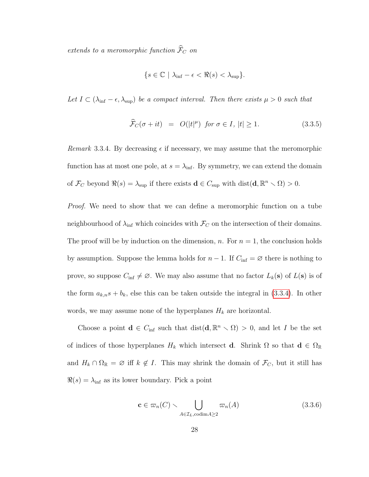extends to a meromorphic function  $\widehat{\mathcal{F}}_C$  on

$$
\{s \in \mathbb{C} \mid \lambda_{\inf} - \epsilon < \Re(s) < \lambda_{\sup} \}.
$$

Let  $I \subset (\lambda_{\inf} - \epsilon, \lambda_{\sup})$  be a compact interval. Then there exists  $\mu > 0$  such that

$$
\widehat{\mathcal{F}}_C(\sigma + it) = O(|t|^{\mu}) \text{ for } \sigma \in I, |t| \ge 1. \tag{3.3.5}
$$

Remark 3.3.4. By decreasing  $\epsilon$  if necessary, we may assume that the meromorphic function has at most one pole, at  $s = \lambda_{\text{inf}}$ . By symmetry, we can extend the domain of  $\mathcal{F}_C$  beyond  $\Re(s) = \lambda_{\sup}$  if there exists  $\mathbf{d} \in C_{\sup}$  with  $dist(\mathbf{d}, \mathbb{R}^n \setminus \Omega) > 0$ .

*Proof.* We need to show that we can define a meromorphic function on a tube neighbourhood of  $\lambda_{\text{inf}}$  which coincides with  $\mathcal{F}_C$  on the intersection of their domains. The proof will be by induction on the dimension, n. For  $n = 1$ , the conclusion holds by assumption. Suppose the lemma holds for  $n-1$ . If  $C_{\text{inf}} = \emptyset$  there is nothing to prove, so suppose  $C_{\inf} \neq \emptyset$ . We may also assume that no factor  $L_k(s)$  of  $L(s)$  is of the form  $a_{k,n}s + b_k$ , else this can be taken outside the integral in [\(3.3.4\)](#page-32-1). In other words, we may assume none of the hyperplanes  $H_k$  are horizontal.

Choose a point  $\mathbf{d} \in C_{\inf}$  such that  $\text{dist}(\mathbf{d}, \mathbb{R}^n \setminus \Omega) > 0$ , and let I be the set of indices of those hyperplanes  $H_k$  which intersect **d**. Shrink  $\Omega$  so that  $\mathbf{d} \in \Omega_{\mathbb{R}}$ and  $H_k \cap \Omega_{\mathbb{R}} = \emptyset$  iff  $k \notin I$ . This may shrink the domain of  $\mathcal{F}_C$ , but it still has  $\Re(s) = \lambda_{\text{inf}}$  as its lower boundary. Pick a point

<span id="page-33-0"></span>
$$
\mathbf{c} \in \varpi_n(C) \smallsetminus \bigcup_{A \in \mathcal{I}_L, \text{codim} A \ge 2} \varpi_n(A) \tag{3.3.6}
$$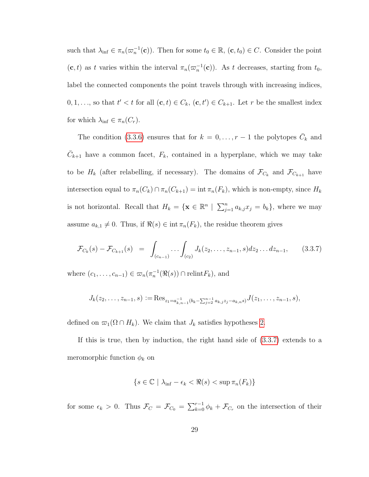such that  $\lambda_{\inf} \in \pi_n(\varpi_n^{-1}(\mathbf{c}))$ . Then for some  $t_0 \in \mathbb{R}$ ,  $(\mathbf{c}, t_0) \in C$ . Consider the point  $(c, t)$  as t varies within the interval  $\pi_n(\varpi_n^{-1}(c))$ . As t decreases, starting from  $t_0$ , label the connected components the point travels through with increasing indices,  $0, 1, \ldots$ , so that  $t' < t$  for all  $(c, t) \in C_k$ ,  $(c, t') \in C_{k+1}$ . Let r be the smallest index for which  $\lambda_{\text{inf}} \in \pi_n(C_r)$ .

The condition [\(3.3.6\)](#page-33-0) ensures that for  $k = 0, \ldots, r - 1$  the polytopes  $\overline{C}_k$  and  $\overline{C}_{k+1}$  have a common facet,  $F_k$ , contained in a hyperplane, which we may take to be  $H_k$  (after relabelling, if necessary). The domains of  $\mathcal{F}_{C_k}$  and  $\mathcal{F}_{C_{k+1}}$  have intersection equal to  $\pi_n(C_k) \cap \pi_n(C_{k+1}) = \text{int } \pi_n(F_k)$ , which is non-empty, since  $H_k$ is not horizontal. Recall that  $H_k = \{ \mathbf{x} \in \mathbb{R}^n \mid \sum_{j=1}^n a_{k,j} x_j = b_k \}$ , where we may assume  $a_{k,1} \neq 0$ . Thus, if  $\Re(s) \in \text{int } \pi_n(F_k)$ , the residue theorem gives

<span id="page-34-0"></span>
$$
\mathcal{F}_{C_k}(s) - \mathcal{F}_{C_{k+1}}(s) = \int_{(c_{n-1})} \dots \int_{(c_2)} J_k(z_2, \dots, z_{n-1}, s) dz_2 \dots dz_{n-1}, \qquad (3.3.7)
$$

where  $(c_1, \ldots, c_{n-1}) \in \varpi_n(\pi_n^{-1}(\Re(s)) \cap \text{relint} F_k)$ , and

$$
J_k(z_2,\ldots,z_{n-1},s):=\text{Res}_{z_1=a_{k,n-1}^{-1}(b_k-\sum_{j=2}^{n-1}a_{k,j}z_j-a_{k,n}s)}J(z_1,\ldots,z_{n-1},s),
$$

defined on  $\varpi_1(\Omega \cap H_k)$ . We claim that  $J_k$  satisfies hypotheses [2.](#page-30-0)

If this is true, then by induction, the right hand side of [\(3.3.7\)](#page-34-0) extends to a meromorphic function  $\phi_k$  on

$$
\{s \in \mathbb{C} \mid \lambda_{\inf} - \epsilon_k < \Re(s) < \sup \pi_n(F_k)\}
$$

for some  $\epsilon_k > 0$ . Thus  $\mathcal{F}_C = \mathcal{F}_{C_0} = \sum_{k=0}^{r-1} \phi_k + \mathcal{F}_{C_r}$  on the intersection of their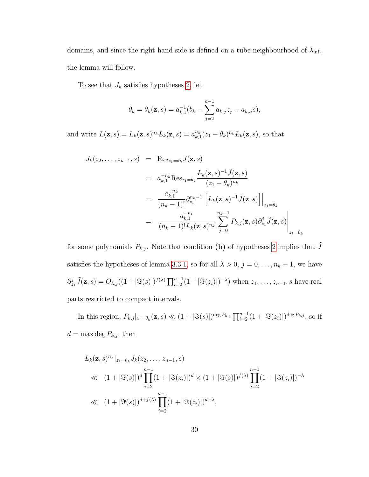domains, and since the right hand side is defined on a tube neighbourhood of  $\lambda_{\rm inf}$ , the lemma will follow.

To see that  $J_k$  satisfies hypotheses [2,](#page-30-0) let

$$
\theta_k = \theta_k(\mathbf{z}, s) = a_{k,1}^{-1}(b_k - \sum_{j=2}^{n-1} a_{k,j} z_j - a_{k,n} s),
$$

and write  $L(\mathbf{z}, s) = L_k(\mathbf{z}, s)^{n_k} L_k(\mathbf{z}, s) = a_{k,1}^{n_k}(z_1 - \theta_k)^{n_k} L_k(\mathbf{z}, s)$ , so that

$$
J_k(z_2, \ldots, z_{n-1}, s) = \text{Res}_{z_1 = \theta_k} J(\mathbf{z}, s)
$$
  
\n
$$
= a_{k,1}^{-n_k} \text{Res}_{z_1 = \theta_k} \frac{L_k(\mathbf{z}, s)^{-1} \tilde{J}(\mathbf{z}, s)}{(z_1 - \theta_k)^{n_k}}
$$
  
\n
$$
= \frac{a_{k,1}^{-n_k}}{(n_k - 1)!} \partial_{z_1}^{n_k - 1} \left[ L_k(\mathbf{z}, s)^{-1} \tilde{J}(\mathbf{z}, s) \right] \Big|_{z_1 = \theta_k}
$$
  
\n
$$
= \frac{a_{k,1}^{-n_k}}{(n_k - 1)! L_k(\mathbf{z}, s)^{n_k}} \sum_{j=0}^{n_k - 1} P_{k,j}(\mathbf{z}, s) \partial_{z_1}^j \tilde{J}(\mathbf{z}, s) \Big|_{z_1 = \theta_k}
$$

for some polynomials  $P_{k,j}$ . Note that condition (b) of hypotheses [2](#page-30-0) implies that  $\tilde{J}$ satisfies the hypotheses of lemma [3.3.1,](#page-29-1) so for all  $\lambda > 0$ ,  $j = 0, \ldots, n_k - 1$ , we have  $\partial_{z_1}^j \tilde{J}(\mathbf{z},s) = O_{\lambda,j}((1+|\Im(s)|)^{f(\lambda)} \prod_{i=2}^{n-1} (1+|\Im(z_i)|)^{-\lambda})$  when  $z_1, \ldots, z_{n-1}, s$  have real parts restricted to compact intervals.

In this region,  $P_{k,j}|_{z_1=\theta_k}(\mathbf{z},s) \ll (1+|\Im(s)|)^{\deg P_{k,j}} \prod_{i=2}^{n-1} (1+|\Im(z_i)|)^{\deg P_{k,j}}$ , so if  $d = \max \deg P_{k,j}$ , then

$$
L_k(\mathbf{z},s)^{n_k}|_{z_1=\theta_k} J_k(z_2,\ldots,z_{n-1},s)
$$
  
\n
$$
\ll (1+|\Im(s)|)^d \prod_{i=2}^{n-1} (1+|\Im(z_i)|)^d \times (1+|\Im(s)|)^{f(\lambda)} \prod_{i=2}^{n-1} (1+|\Im(z_i)|)^{-\lambda}
$$
  
\n
$$
\ll (1+|\Im(s)|)^{d+f(\lambda)} \prod_{i=2}^{n-1} (1+|\Im(z_i)|)^{d-\lambda},
$$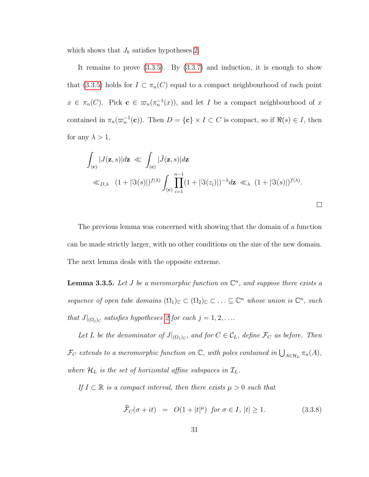which shows that  $J_k$  satisfies hypotheses [2.](#page-30-0)

It remains to prove  $(3.3.5)$ . By  $(3.3.7)$  and induction, it is enough to show that [\(3.3.5\)](#page-33-0) holds for  $I \subset \pi_n(C)$  equal to a compact neighbourhood of each point  $x \in \pi_n(C)$ . Pick  $\mathbf{c} \in \pi_n(\pi_n^{-1}(x))$ , and let I be a compact neighbourhood of x contained in  $\pi_n(\varpi_n^{-1}(c))$ . Then  $D = \{c\} \times I \subset C$  is compact, so if  $\Re(s) \in I$ , then for any  $\lambda > 1$ ,

$$
\int_{(\mathbf{c})} |J(\mathbf{z},s)| d\mathbf{z} \ll \int_{(\mathbf{c})} |\tilde{J}(\mathbf{z},s)| d\mathbf{z} \ll_{D,\lambda} (1+|\Im(s)|)^{f(\lambda)} \int_{(\mathbf{c})} \prod_{i=1}^{n-1} (1+|\Im(z_i)|)^{-\lambda} d\mathbf{z} \ll_{\lambda} (1+|\Im(s)|)^{f(\lambda)}.
$$

The previous lemma was concerned with showing that the domain of a function can be made strictly larger, with no other conditions on the size of the new domain. The next lemma deals with the opposite extreme.

<span id="page-36-0"></span>**Lemma 3.3.5.** Let *J* be a meromorphic function on  $\mathbb{C}^n$ , and suppose there exists a sequence of open tube domains  $(\Omega_1)_{\mathbb{C}} \subset (\Omega_2)_{\mathbb{C}} \subset \ldots \subseteq \mathbb{C}^n$  whose union is  $\mathbb{C}^n$ , such that  $J|_{(\Omega_j)_{\mathbb{C}}}$  satisfies hypotheses [2](#page-30-0) for each  $j = 1, 2, \ldots$ 

Let L be the denominator of  $J|_{(\Omega_1)_\mathbb{C}}$ , and for  $C \in \mathcal{C}_L$ , define  $\mathcal{F}_C$  as before. Then  $\mathcal{F}_C$  extends to a meromorphic function on  $\mathbb{C}$ , with poles contained in  $\bigcup_{A\in\mathcal{H}_L}\pi_n(A)$ , where  $\mathcal{H}_L$  is the set of horizontal affine subspaces in  $\mathcal{I}_L$ .

If  $I \subset \mathbb{R}$  is a compact interval, then there exists  $\mu > 0$  such that

$$
\widehat{\mathcal{F}}_C(\sigma + it) = O(1+|t|^{\mu}) \text{ for } \sigma \in I, |t| \ge 1. \tag{3.3.8}
$$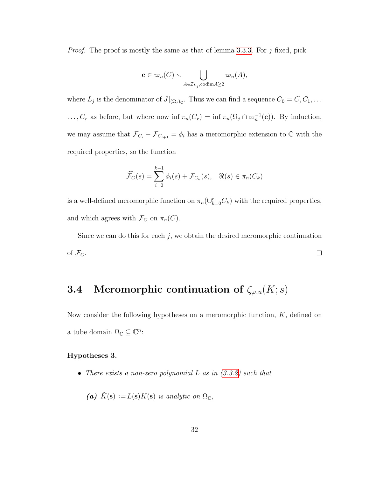*Proof.* The proof is mostly the same as that of lemma [3.3.3.](#page-32-0) For  $j$  fixed, pick

$$
\mathbf{c} \in \varpi_n(C) \smallsetminus \bigcup_{A \in \mathcal{I}_{L_j}, \text{codim} A \ge 2} \varpi_n(A),
$$

where  $L_j$  is the denominator of  $J|_{(\Omega_j)_{\mathbb{C}}}$ . Thus we can find a sequence  $C_0 = C, C_1, \ldots$ ...,  $C_r$  as before, but where now inf  $\pi_n(C_r) = \inf \pi_n(\Omega_j \cap \varpi_n^{-1}(c))$ . By induction, we may assume that  $\mathcal{F}_{C_i} - \mathcal{F}_{C_{i+1}} = \phi_i$  has a meromorphic extension to  $\mathbb C$  with the required properties, so the function

$$
\widehat{\mathcal{F}_C}(s) = \sum_{i=0}^{k-1} \phi_i(s) + \mathcal{F}_{C_k}(s), \quad \Re(s) \in \pi_n(C_k)
$$

is a well-defined meromorphic function on  $\pi_n(\cup_{k=0}^r C_k)$  with the required properties, and which agrees with  $\mathcal{F}_C$  on  $\pi_n(C)$ .

Since we can do this for each  $j$ , we obtain the desired meromorphic continuation of  $\mathcal{F}_C$ .  $\Box$ 

## 3.4 Meromorphic continuation of  $\zeta_{\varphi,u}(K;s)$

Now consider the following hypotheses on a meromorphic function,  $K$ , defined on a tube domain  $\Omega_{\mathbb{C}} \subseteq \mathbb{C}^n$ :

#### <span id="page-37-0"></span>Hypotheses 3.

• There exists a non-zero polynomial L as in  $(3.3.2)$  such that

(a) 
$$
\tilde{K}(\mathbf{s}) := L(\mathbf{s})K(\mathbf{s})
$$
 is analytic on  $\Omega_{\mathbb{C}}$ ,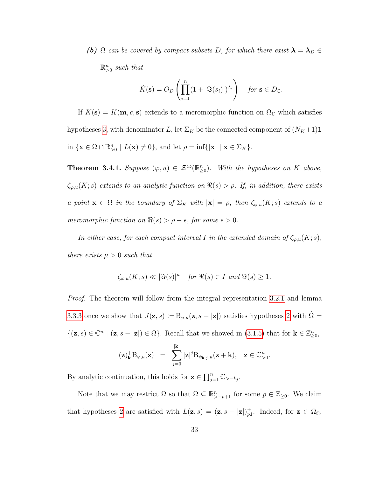(b)  $\Omega$  can be covered by compact subsets D, for which there exist  $\lambda = \lambda_D \in$  $\mathbb{R}^n_{>0}$  such that

$$
\tilde{K}(\mathbf{s}) = O_D\left(\prod_{i=1}^n (1 + |\Im(s_i)|)^{\lambda_i}\right) \quad \text{for } \mathbf{s} \in D_{\mathbb{C}}.
$$

If  $K(\mathbf{s}) = K(\mathbf{m}, c, \mathbf{s})$  extends to a meromorphic function on  $\Omega_{\mathbb{C}}$  which satisfies hypotheses [3,](#page-37-0) with denominator L, let  $\Sigma_K$  be the connected component of  $(N_K+1)\mathbf{1}$ in  $\{ \mathbf{x} \in \Omega \cap \mathbb{R}_{>0}^n \mid L(\mathbf{x}) \neq 0 \}$ , and let  $\rho = \inf \{ |\mathbf{x}| \mid \mathbf{x} \in \Sigma_K \}$ .

<span id="page-38-0"></span>**Theorem 3.4.1.** Suppose  $(\varphi, u) \in \mathcal{Z}^{\infty}(\mathbb{R}_{\geq 0}^n)$ . With the hypotheses on K above,  $\zeta_{\varphi,u}(K; s)$  extends to an analytic function on  $\Re(s) > \rho$ . If, in addition, there exists a point  $\mathbf{x} \in \Omega$  in the boundary of  $\Sigma_K$  with  $|\mathbf{x}| = \rho$ , then  $\zeta_{\varphi,u}(K; s)$  extends to a meromorphic function on  $\Re(s) > \rho - \epsilon$ , for some  $\epsilon > 0$ .

In either case, for each compact interval I in the extended domain of  $\zeta_{\varphi,u}(K; s)$ , there exists  $\mu > 0$  such that

$$
\zeta_{\varphi,u}(K;s) \ll |\Im(s)|^{\mu} \quad \text{for } \Re(s) \in I \text{ and } \Im(s) \ge 1.
$$

Proof. The theorem will follow from the integral representation [3.2.1](#page-27-0) and lemma [3.3.3](#page-32-0) once we show that  $J(\mathbf{z}, s) := B_{\varphi, u}(\mathbf{z}, s - |\mathbf{z}|)$  satisfies hypotheses [2](#page-30-0) with  $\hat{\Omega} =$  $\{(\mathbf{z},s)\in\mathbb{C}^n\mid(\mathbf{z},s-|\mathbf{z}|)\in\Omega\}$ . Recall that we showed in [\(3.1.5\)](#page-25-0) that for  $\mathbf{k}\in\mathbb{Z}_{\geq0}^n$ ,

$$
(\mathbf{z})_{\mathbf{k}}^{+}B_{\varphi,u}(\mathbf{z}) = \sum_{j=0}^{|\mathbf{k}|} |\mathbf{z}|^{j}B_{\psi_{\mathbf{k},j},u}(\mathbf{z}+\mathbf{k}), \quad \mathbf{z} \in \mathbb{C}_{>0}^{n}.
$$

By analytic continuation, this holds for  $\mathbf{z} \in \prod_{j=1}^n \mathbb{C}_{> -k_j}$ .

Note that we may restrict  $\Omega$  so that  $\Omega \subseteq \mathbb{R}_{>p+1}^n$  for some  $p \in \mathbb{Z}_{\geq 0}$ . We claim that hypotheses [2](#page-30-0) are satisfied with  $L(\mathbf{z}, s) = (\mathbf{z}, s - |\mathbf{z}|)_{p_1}^+$ . Indeed, for  $\mathbf{z} \in \Omega_{\mathbb{C}}$ ,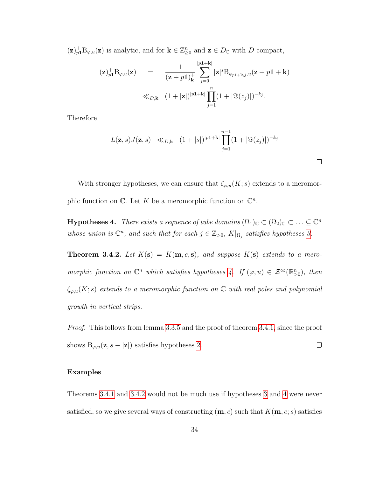$(\mathbf{z})^+_{p_1} \mathbf{B}_{\varphi,u}(\mathbf{z})$  is analytic, and for  $\mathbf{k} \in \mathbb{Z}_{\geq 0}^n$  and  $\mathbf{z} \in D_{\mathbb{C}}$  with D compact,

$$
\begin{array}{rcl}\n\left(\mathbf{z}\right)_{p\mathbf{1}}^{+} \mathrm{B}_{\varphi,u}(\mathbf{z}) & = & \frac{1}{\left(\mathbf{z}+p\mathbf{1}\right)_{\mathbf{k}}^{+}} \sum_{j=0}^{\left|p\mathbf{1}+\mathbf{k}\right|} |\mathbf{z}|^{j} \mathrm{B}_{\psi_{p\mathbf{1}+\mathbf{k},j},u}(\mathbf{z}+p\mathbf{1}+\mathbf{k}) \\
&\ll_{D,\mathbf{k}} \left(1+|\mathbf{z}|\right)^{\left|p\mathbf{1}+\mathbf{k}\right|} \prod_{j=1}^{n} \left(1+\left|\Im(z_{j})\right|\right)^{-k_{j}}.\n\end{array}
$$

Therefore

$$
L(\mathbf{z},s)J(\mathbf{z},s) \ll_{D,\mathbf{k}} (1+|s|)^{|p1+\mathbf{k}|} \prod_{j=1}^{n-1} (1+|\Im(z_j)|)^{-k_j}
$$

 $\Box$ 

With stronger hypotheses, we can ensure that  $\zeta_{\varphi,u}(K; s)$  extends to a meromorphic function on  $\mathbb{C}$ . Let K be a meromorphic function on  $\mathbb{C}^n$ .

<span id="page-39-0"></span>**Hypotheses 4.** There exists a sequence of tube domains  $(\Omega_1)_{\mathbb{C}} \subset (\Omega_2)_{\mathbb{C}} \subset \ldots \subseteq \mathbb{C}^n$ whose union is  $\mathbb{C}^n$ , and such that for each  $j \in \mathbb{Z}_{>0}$ ,  $K|_{\Omega_j}$  satisfies hypotheses [3.](#page-37-0)

<span id="page-39-1"></span>**Theorem 3.4.2.** Let  $K(s) = K(m, c, s)$ , and suppose  $K(s)$  extends to a meromorphic function on  $\mathbb{C}^n$  which satisfies hypotheses [4.](#page-39-0) If  $(\varphi, u) \in \mathcal{Z}^{\infty}(\mathbb{R}^n_{>0})$ , then  $\zeta_{\varphi,u}(K; s)$  extends to a meromorphic function on  $\mathbb C$  with real poles and polynomial growth in vertical strips.

Proof. This follows from lemma [3.3.5](#page-36-0) and the proof of theorem [3.4.1,](#page-38-0) since the proof shows  $B_{\varphi, u}(\mathbf{z}, s - |\mathbf{z}|)$  satisfies hypotheses [2.](#page-30-0)  $\Box$ 

#### Examples

Theorems [3.4.1](#page-38-0) and [3.4.2](#page-39-1) would not be much use if hypotheses [3](#page-37-0) and [4](#page-39-0) were never satisfied, so we give several ways of constructing  $(m, c)$  such that  $K(m, c; s)$  satisfies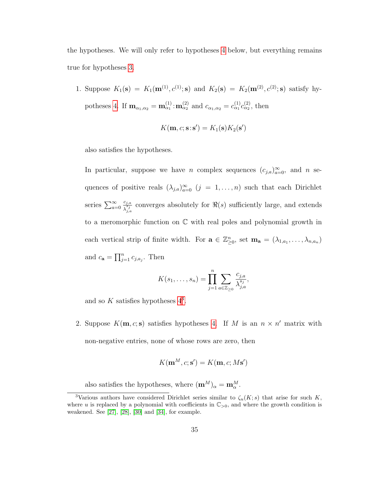the hypotheses. We will only refer to hypotheses [4](#page-39-0) below, but everything remains true for hypotheses [3.](#page-37-0)

<span id="page-40-1"></span>1. Suppose  $K_1(\mathbf{s}) = K_1(\mathbf{m}^{(1)}, c^{(1)}; \mathbf{s})$  and  $K_2(\mathbf{s}) = K_2(\mathbf{m}^{(2)}, c^{(2)}; \mathbf{s})$  satisfy hy-potheses [4.](#page-39-0) If  $m_{\alpha_1,\alpha_2} = m_{\alpha_1}^{(1)} : m_{\alpha_2}^{(2)}$  and  $c_{\alpha_1,\alpha_2} = c_{\alpha_1}^{(1)} c_{\alpha_2}^{(2)}$ , then

$$
K(\mathbf{m}, c; \mathbf{s} : \mathbf{s}') = K_1(\mathbf{s}) K_2(\mathbf{s}')
$$

also satisfies the hypotheses.

In particular, suppose we have *n* complex sequences  $(c_{j,a})_{a=0}^{\infty}$ , and *n* sequences of positive reals  $(\lambda_{j,a})_{a=0}^{\infty}$   $(j = 1, \ldots, n)$  such that each Dirichlet series  $\sum_{a=0}^{\infty}$  $c_{j,a}$  $\frac{c_{j,a}}{\lambda_{j,a}^{sj}}$  converges absolutely for  $\Re(s)$  sufficiently large, and extends to a meromorphic function on  $\mathbb C$  with real poles and polynomial growth in each vertical strip of finite width. For  $\mathbf{a} \in \mathbb{Z}_{\geq 0}^n$ , set  $\mathbf{m}_\mathbf{a} = (\lambda_{1,a_1}, \ldots, \lambda_{n,a_n})$ and  $c_{\mathbf{a}} = \prod_{j=1}^{n} c_{j,a_j}$ . Then

$$
K(s_1,\ldots,s_n)=\prod_{j=1}^n\sum_{a\in\mathbb{Z}_{\geq 0}}\frac{c_{j,a}}{\lambda_{j,a}^{s_j}},
$$

and so  $K$  satisfies hypotheses  $4^3$ .

2. Suppose  $K(m, c; s)$  satisfies hypotheses [4.](#page-39-0) If M is an  $n \times n'$  matrix with non-negative entries, none of whose rows are zero, then

$$
K(\mathbf{m}^M, c; \mathbf{s}') = K(\mathbf{m}, c; M\mathbf{s}')
$$

<span id="page-40-0"></span>also satisfies the hypotheses, where  $({\bf m}^M)_{\alpha} = {\bf m}_{\alpha}^M$ .

<sup>&</sup>lt;sup>3</sup>Various authors have considered Dirichlet series similar to  $\zeta_u(K; s)$  that arise for such K, where u is replaced by a polynomial with coefficients in  $\mathbb{C}_{>0}$ , and where the growth condition is weakened. See  $[27]$ ,  $[28]$ ,  $[30]$  and  $[34]$ , for example.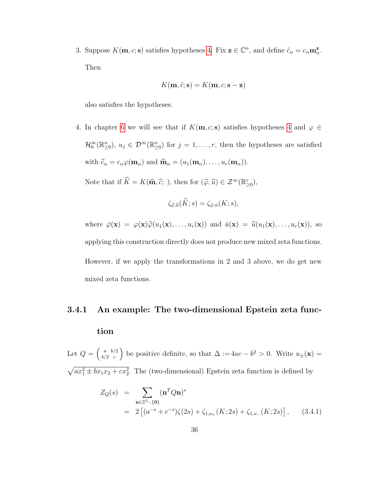3. Suppose  $K(\mathbf{m}, c; \mathbf{s})$  satisfies hypotheses [4.](#page-39-0) Fix  $\mathbf{z} \in \mathbb{C}^n$ , and define  $\tilde{c}_{\alpha} = c_{\alpha} \mathbf{m}_{\alpha}^{\mathbf{z}}$ . Then

$$
K(\mathbf{m}, \tilde{c}; \mathbf{s}) = K(\mathbf{m}, c; \mathbf{s} - \mathbf{z})
$$

also satisfies the hypotheses.

4. In chapter [6](#page-68-0) we will see that if  $K(m, c; s)$  satisfies hypotheses [4](#page-39-0) and  $\varphi \in$  $\mathcal{H}_0^{\infty}(\mathbb{R}_{\geq 0}^n), u_j \in \mathcal{D}^{\infty}(\mathbb{R}_{\geq 0}^n)$  for  $j = 1, \ldots, r$ , then the hypotheses are satisfied with  $\hat{c}_{\alpha} = c_{\alpha} \varphi(\mathbf{m}_{\alpha})$  and  $\hat{\mathbf{m}}_{\alpha} = (u_1(\mathbf{m}_{\alpha}), \dots, u_r(\mathbf{m}_{\alpha})).$ 

Note that if  $\widehat{K} = K(\widehat{\mathbf{m}}, \widehat{c};)$ , then for  $(\widehat{\varphi}, \widehat{u}) \in \mathcal{Z}^{\infty}(\mathbb{R}_{\geq 0}^{r}),$ 

$$
\zeta_{\widehat{\varphi},\widehat{u}}(\widehat{K};s)=\zeta_{\check{\varphi},\check{u}}(K;s),
$$

where  $\check{\varphi}(\mathbf{x}) = \varphi(\mathbf{x})\hat{\varphi}(u_1(\mathbf{x}), \dots, u_r(\mathbf{x}))$  and  $\check{u}(\mathbf{x}) = \hat{u}(u_1(\mathbf{x}), \dots, u_r(\mathbf{x})),$  so applying this construction directly does not produce new mixed zeta functions. However, if we apply the transformations in 2 and 3 above, we do get new mixed zeta functions.

# 3.4.1 An example: The two-dimensional Epstein zeta function

Let  $Q = \begin{pmatrix} a & b/2 \\ b/2 & c \end{pmatrix}$  $\binom{a}{b/2}$  be positive definite, so that  $\Delta := 4ac - b^2 > 0$ . Write  $u_{\pm}(\mathbf{x}) =$  $\sqrt{ax_1^2 \pm bx_1x_2+cx_2^2}$ . The (two-dimensional) Epstein zeta function is defined by

$$
Z_Q(s) = \sum_{\mathbf{n} \in \mathbb{Z}^2 \setminus \{\mathbf{0}\}} (\mathbf{n}^T Q \mathbf{n})^s
$$
  
=  $2 \left[ (a^{-s} + c^{-s}) \zeta(2s) + \zeta_{1,u_+}(K; 2s) + \zeta_{1,u_-}(K; 2s) \right],$  (3.4.1)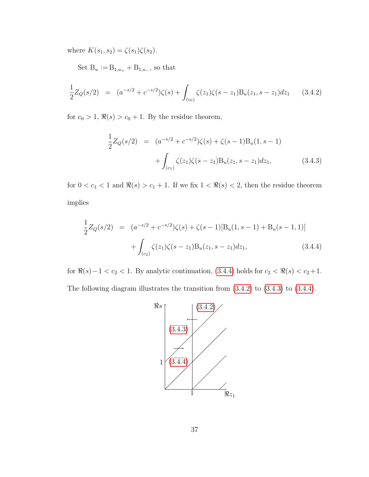where  $K(s_1, s_2) = \zeta(s_1)\zeta(s_2)$ .

Set  $B_u := B_{1,u_+} + B_{1,u_-}$ , so that

<span id="page-42-1"></span>
$$
\frac{1}{2}Z_Q(s/2) = (a^{-s/2} + c^{-s/2})\zeta(s) + \int_{(c_0)} \zeta(z_1)\zeta(s-z_1)B_u(z_1, s-z_1)dz_1 \qquad (3.4.2)
$$

for  $c_0 > 1$ ,  $\Re(s) > c_0 + 1$ . By the residue theorem,

<span id="page-42-2"></span>
$$
\frac{1}{2}Z_Q(s/2) = (a^{-s/2} + c^{-s/2})\zeta(s) + \zeta(s-1)B_u(1, s-1) \n+ \int_{(c_1)} \zeta(z_1)\zeta(s-z_1)B_u(z_1, s-z_1)dz_1,
$$
\n(3.4.3)

for  $0 < c_1 < 1$  and  $\Re(s) > c_1 + 1$ . If we fix  $1 < \Re(s) < 2$ , then the residue theorem implies

<span id="page-42-0"></span>
$$
\frac{1}{2}Z_Q(s/2) = (a^{-s/2} + c^{-s/2})\zeta(s) + \zeta(s-1)[B_u(1, s-1) + B_u(s-1, 1)] + \int_{(c_2)} \zeta(z_1)\zeta(s-z_1)B_u(z_1, s-z_1)dz_1,
$$
\n(3.4.4)

for  $\Re(s)-1 < c_2 < 1$ . By analytic continuation, [\(3.4.4\)](#page-42-0) holds for  $c_2 < \Re(s) < c_2+1$ . The following diagram illustrates the transition from [\(3.4.2\)](#page-42-1) to [\(3.4.3\)](#page-42-2) to [\(3.4.4\)](#page-42-0).

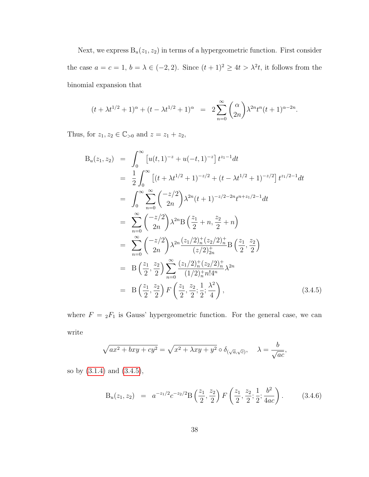Next, we express  $B_u(z_1, z_2)$  in terms of a hypergeometric function. First consider the case  $a = c = 1$ ,  $b = \lambda \in (-2, 2)$ . Since  $(t + 1)^2 \ge 4t > \lambda^2 t$ , it follows from the binomial expansion that

$$
(t + \lambda t^{1/2} + 1)^{\alpha} + (t - \lambda t^{1/2} + 1)^{\alpha} = 2 \sum_{n=0}^{\infty} {\alpha \choose 2n} \lambda^{2n} t^{n} (t + 1)^{\alpha - 2n}.
$$

Thus, for  $z_1, z_2 \in \mathbb{C}_{>0}$  and  $z = z_1 + z_2$ ,

<span id="page-43-0"></span>
$$
B_u(z_1, z_2) = \int_0^\infty \left[ u(t, 1)^{-z} + u(-t, 1)^{-z} \right] t^{z_1 - 1} dt
$$
  
\n
$$
= \frac{1}{2} \int_0^\infty \left[ (t + \lambda t^{1/2} + 1)^{-z/2} + (t - \lambda t^{1/2} + 1)^{-z/2} \right] t^{z_1/2 - 1} dt
$$
  
\n
$$
= \int_0^\infty \sum_{n=0}^\infty \left( \frac{-z/2}{2n} \right) \lambda^{2n} (t + 1)^{-z/2 - 2n} t^{n + z_1/2 - 1} dt
$$
  
\n
$$
= \sum_{n=0}^\infty \left( \frac{-z/2}{2n} \right) \lambda^{2n} B \left( \frac{z_1}{2} + n, \frac{z_2}{2} + n \right)
$$
  
\n
$$
= \sum_{n=0}^\infty \left( \frac{-z/2}{2n} \right) \lambda^{2n} \frac{(z_1/2)_n^+(z_2/2)_n^+}{(z/2)_{2n}^+} B \left( \frac{z_1}{2}, \frac{z_2}{2} \right)
$$
  
\n
$$
= B \left( \frac{z_1}{2}, \frac{z_2}{2} \right) \sum_{n=0}^\infty \frac{(z_1/2)_n^+(z_2/2)_n^+}{(1/2)_n^+ n! 4^n} \lambda^{2n}
$$
  
\n
$$
= B \left( \frac{z_1}{2}, \frac{z_2}{2} \right) F \left( \frac{z_1}{2}, \frac{z_2}{2}; \frac{1}{2}; \frac{\lambda^2}{4} \right), \qquad (3.4.5)
$$

where  $F = {}_2F_1$  is Gauss' hypergeometric function. For the general case, we can write

$$
\sqrt{ax^2 + bxy + cy^2} = \sqrt{x^2 + \lambda xy + y^2} \circ \delta_{(\sqrt{a}, \sqrt{c})}, \quad \lambda = \frac{b}{\sqrt{ac}},
$$

so by [\(3.1.4\)](#page-24-0) and [\(3.4.5\)](#page-43-0),

$$
B_u(z_1, z_2) = a^{-z_1/2} c^{-z_2/2} B\left(\frac{z_1}{2}, \frac{z_2}{2}\right) F\left(\frac{z_1}{2}, \frac{z_2}{2}; \frac{1}{2}; \frac{b^2}{4ac}\right). \tag{3.4.6}
$$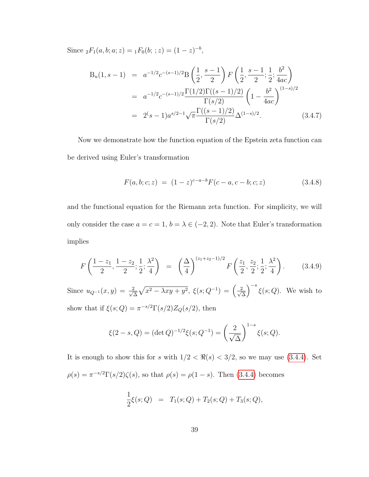Since  ${}_2F_1(a, b; a; z) = {}_1F_0(b; ; z) = (1 - z)^{-b}$ ,

<span id="page-44-0"></span>
$$
B_u(1, s-1) = a^{-1/2}c^{-(s-1)/2}B\left(\frac{1}{2}, \frac{s-1}{2}\right)F\left(\frac{1}{2}, \frac{s-1}{2}; \frac{1}{2}; \frac{b^2}{4ac}\right)
$$
  

$$
= a^{-1/2}c^{-(s-1)/2}\frac{\Gamma(1/2)\Gamma((s-1)/2)}{\Gamma(s/2)}\left(1 - \frac{b^2}{4ac}\right)^{(1-s)/2}
$$
  

$$
= 2^s(s-1)a^{s/2-1}\sqrt{\pi}\frac{\Gamma((s-1)/2)}{\Gamma(s/2)}\Delta^{(1-s)/2}.
$$
 (3.4.7)

Now we demonstrate how the function equation of the Epstein zeta function can be derived using Euler's transformation

$$
F(a, b; c; z) = (1 - z)^{c-a-b} F(c-a, c-b; c; z)
$$
\n(3.4.8)

and the functional equation for the Riemann zeta function. For simplicity, we will only consider the case  $a = c = 1$ ,  $b = \lambda \in (-2, 2)$ . Note that Euler's transformation implies

<span id="page-44-1"></span>
$$
F\left(\frac{1-z_1}{2}, \frac{1-z_2}{2}; \frac{1}{2}; \frac{\lambda^2}{4}\right) = \left(\frac{\Delta}{4}\right)^{(z_1+z_2-1)/2} F\left(\frac{z_1}{2}, \frac{z_2}{2}; \frac{1}{2}; \frac{\lambda^2}{4}\right). \tag{3.4.9}
$$

Since  $u_{Q^{-1}}(x, y) = \frac{2}{\sqrt{2}}$  $\frac{2}{\Delta}\sqrt{x^2 - \lambda xy + y^2}, \ \xi(s; Q^{-1}) = \left(\frac{2}{\sqrt{x^2 - \lambda^2}}\right)$ ∆  $\int^{-s} \xi(s; Q)$ . We wish to show that if  $\xi(s; Q) = \pi^{-s/2} \Gamma(s/2) Z_Q(s/2)$ , then

$$
\xi(2-s,Q) = (\det Q)^{-1/2} \xi(s; Q^{-1}) = \left(\frac{2}{\sqrt{\Delta}}\right)^{1-s} \xi(s; Q).
$$

It is enough to show this for s with  $1/2 < \Re(s) < 3/2$ , so we may use [\(3.4.4\)](#page-42-0). Set  $\rho(s) = \pi^{-s/2} \Gamma(s/2) \zeta(s)$ , so that  $\rho(s) = \rho(1-s)$ . Then [\(3.4.4\)](#page-42-0) becomes

$$
\frac{1}{2}\xi(s;Q) = T_1(s;Q) + T_2(s;Q) + T_3(s;Q),
$$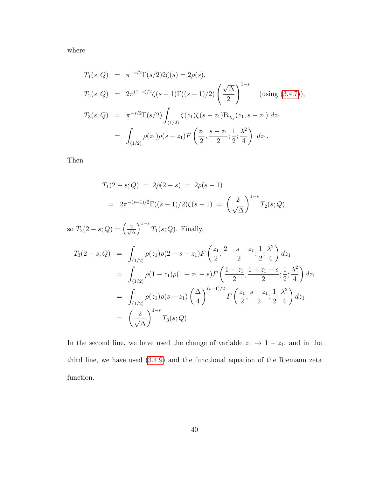where

$$
T_1(s; Q) = \pi^{-s/2} \Gamma(s/2) 2\zeta(s) = 2\rho(s),
$$
  
\n
$$
T_2(s; Q) = 2\pi^{(1-s)/2} \zeta(s-1) \Gamma((s-1)/2) \left(\frac{\sqrt{\Delta}}{2}\right)^{1-s} \text{ (using (3.4.7))},
$$
  
\n
$$
T_3(s; Q) = \pi^{-s/2} \Gamma(s/2) \int_{(1/2)} \zeta(z_1) \zeta(s-z_1) B_{u_Q}(z_1, s-z_1) dz_1
$$
  
\n
$$
= \int_{(1/2)} \rho(z_1) \rho(s-z_1) F\left(\frac{z_1}{2}, \frac{s-z_1}{2}; \frac{1}{2}; \frac{\lambda^2}{4}\right) dz_1.
$$

Then

$$
T_1(2-s; Q) = 2\rho(2-s) = 2\rho(s-1)
$$
  
=  $2\pi^{-(s-1)/2}\Gamma((s-1)/2)\zeta(s-1) = \left(\frac{2}{\sqrt{\Delta}}\right)^{1-s}T_2(s; Q),$ 

so  $T_2(2-s; Q) = \left(\frac{2}{\sqrt{2}}\right)^2$ ∆  $\int^{1-s} T_1(s; Q)$ . Finally,

$$
T_3(2-s; Q) = \int_{(1/2)} \rho(z_1)\rho(2-s-z_1)F\left(\frac{z_1}{2}, \frac{2-s-z_1}{2}; \frac{1}{2}; \frac{\lambda^2}{4}\right)dz_1
$$
  
\n
$$
= \int_{(1/2)} \rho(1-z_1)\rho(1+z_1-s)F\left(\frac{1-z_1}{2}, \frac{1+z_1-s}{2}; \frac{1}{2}; \frac{\lambda^2}{4}\right)dz_1
$$
  
\n
$$
= \int_{(1/2)} \rho(z_1)\rho(s-z_1)\left(\frac{\Delta}{4}\right)^{(s-1)/2}F\left(\frac{z_1}{2}, \frac{s-z_1}{2}; \frac{1}{2}; \frac{\lambda^2}{4}\right)dz_1
$$
  
\n
$$
= \left(\frac{2}{\sqrt{\Delta}}\right)^{1-s}T_3(s; Q).
$$

In the second line, we have used the change of variable  $z_1 \mapsto 1 - z_1$ , and in the third line, we have used [\(3.4.9\)](#page-44-1) and the functional equation of the Riemann zeta function.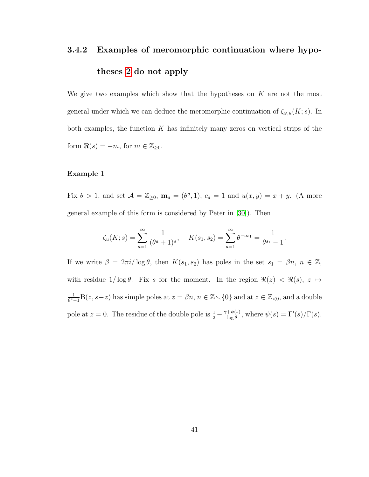# 3.4.2 Examples of meromorphic continuation where hypotheses [2](#page-30-0) do not apply

We give two examples which show that the hypotheses on  $K$  are not the most general under which we can deduce the meromorphic continuation of  $\zeta_{\varphi,u}(K; s)$ . In both examples, the function  $K$  has infinitely many zeros on vertical strips of the form  $\Re(s) = -m$ , for  $m \in \mathbb{Z}_{\geq 0}$ .

#### Example 1

Fix  $\theta > 1$ , and set  $\mathcal{A} = \mathbb{Z}_{\geq 0}$ ,  $\mathbf{m}_a = (\theta^a, 1)$ ,  $c_a = 1$  and  $u(x, y) = x + y$ . (A more general example of this form is considered by Peter in [\[30\]](#page-82-2)). Then

$$
\zeta_u(K;s) = \sum_{a=1}^{\infty} \frac{1}{(\theta^a + 1)^s}, \quad K(s_1, s_2) = \sum_{a=1}^{\infty} \theta^{-as_1} = \frac{1}{\theta^{s_1} - 1}.
$$

If we write  $\beta = 2\pi i/\log \theta$ , then  $K(s_1, s_2)$  has poles in the set  $s_1 = \beta n$ ,  $n \in \mathbb{Z}$ , with residue  $1/\log \theta$ . Fix s for the moment. In the region  $\Re(z) < \Re(s), z \mapsto$ 1  $\frac{1}{\theta^z-1}B(z,s-z)$  has simple poles at  $z = \beta n$ ,  $n \in \mathbb{Z} \setminus \{0\}$  and at  $z \in \mathbb{Z}_{\leq 0}$ , and a double pole at  $z = 0$ . The residue of the double pole is  $\frac{1}{2} - \frac{\gamma + \psi(s)}{\log \theta}$  $\frac{\partial^{\psi(s)}}{\partial \log \theta}$ , where  $\psi(s) = \Gamma'(s)/\Gamma(s)$ .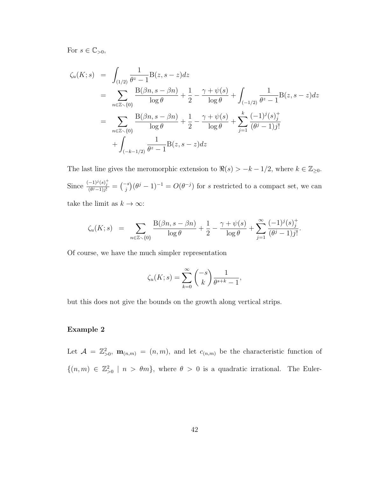For  $s \in \mathbb{C}_{>0}$ ,

$$
\zeta_u(K;s) = \int_{(1/2)} \frac{1}{\theta^z - 1} B(z, s - z) dz
$$
  
= 
$$
\sum_{n \in \mathbb{Z} \setminus \{0\}} \frac{B(\beta n, s - \beta n)}{\log \theta} + \frac{1}{2} - \frac{\gamma + \psi(s)}{\log \theta} + \int_{(-1/2)} \frac{1}{\theta^z - 1} B(z, s - z) dz
$$
  
= 
$$
\sum_{n \in \mathbb{Z} \setminus \{0\}} \frac{B(\beta n, s - \beta n)}{\log \theta} + \frac{1}{2} - \frac{\gamma + \psi(s)}{\log \theta} + \sum_{j=1}^k \frac{(-1)^j (s)_j^+}{(\theta^j - 1) j!}
$$
  
+ 
$$
\int_{(-k-1/2)} \frac{1}{\theta^z - 1} B(z, s - z) dz
$$

The last line gives the meromorphic extension to  $\Re(s) > -k - 1/2$ , where  $k \in \mathbb{Z}_{\geq 0}$ . Since  $\frac{(-1)^{j}(s)^{+}_{j}}{(\theta^{j}-1)^{j}} = {j \choose j} (\theta^{j}-1)^{-1} = O(\theta^{-j})$  for s restricted to a compact set, we can take the limit as  $k \to \infty$ :

$$
\zeta_u(K;s) = \sum_{n \in \mathbb{Z} \setminus \{0\}} \frac{\mathcal{B}(\beta n, s - \beta n)}{\log \theta} + \frac{1}{2} - \frac{\gamma + \psi(s)}{\log \theta} + \sum_{j=1}^{\infty} \frac{(-1)^j (s)_j^+}{(\theta^j - 1) j!}.
$$

Of course, we have the much simpler representation

$$
\zeta_u(K;s) = \sum_{k=0}^{\infty} \binom{-s}{k} \frac{1}{\theta^{s+k} - 1},
$$

but this does not give the bounds on the growth along vertical strips.

#### Example 2

Let  $\mathcal{A} = \mathbb{Z}_{>0}^2$ ,  $\mathbf{m}_{(n,m)} = (n,m)$ , and let  $c_{(n,m)}$  be the characteristic function of  $\{(n,m) \in \mathbb{Z}_{>0}^2 \mid n > \theta m\}$ , where  $\theta > 0$  is a quadratic irrational. The Euler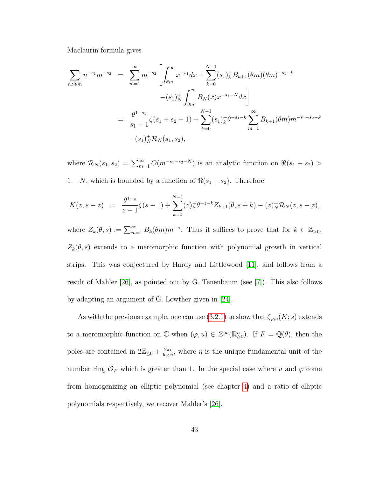Maclaurin formula gives

$$
\sum_{m>\theta m} n^{-s_1} m^{-s_2} = \sum_{m=1}^{\infty} m^{-s_2} \left[ \int_{\theta m}^{\infty} x^{-s_1} dx + \sum_{k=0}^{N-1} (s_1)_k^+ B_{k+1}(\theta m) (\theta m)^{-s_1-k} - (s_1)_N^+ \int_{\theta m}^{\infty} B_N(x) x^{-s_1-N} dx \right]
$$
  

$$
= \frac{\theta^{1-s_1}}{s_1 - 1} \zeta(s_1 + s_2 - 1) + \sum_{k=0}^{N-1} (s_1)_k^+ \theta^{-s_1-k} \sum_{m=1}^{\infty} B_{k+1}(\theta m) m^{-s_1-s_2-k} - (s_1)_N^+ \mathcal{R}_N(s_1, s_2),
$$

where  $\mathcal{R}_N(s_1, s_2) = \sum_{m=1}^{\infty} O(m^{-s_1 - s_2 - N})$  is an analytic function on  $\Re(s_1 + s_2)$  $1 - N$ , which is bounded by a function of  $\Re(s_1 + s_2)$ . Therefore

$$
K(z,s-z) = \frac{\theta^{1-z}}{z-1}\zeta(s-1) + \sum_{k=0}^{N-1} (z)_k^+ \theta^{-z-k} Z_{k+1}(\theta, s+k) - (z)_N^+ \mathcal{R}_N(z, s-z),
$$

where  $Z_k(\theta, s) \coloneqq \sum_{m=1}^{\infty} B_k(\theta m) m^{-s}$ . Thus it suffices to prove that for  $k \in \mathbb{Z}_{>0}$ ,  $Z_k(\theta, s)$  extends to a meromorphic function with polynomial growth in vertical strips. This was conjectured by Hardy and Littlewood [\[11\]](#page-80-0), and follows from a result of Mahler [\[26\]](#page-82-3), as pointed out by G. Tenenbaum (see [\[7\]](#page-80-1)). This also follows by adapting an argument of G. Lowther given in [\[24\]](#page-82-4).

As with the previous example, one can use [\(3.2.1\)](#page-27-1) to show that  $\zeta_{\varphi,u}(K; s)$  extends to a meromorphic function on  $\mathbb C$  when  $(\varphi, u) \in \mathcal Z^{\infty}(\mathbb{R}^n_{\geq 0})$ . If  $F = \mathbb Q(\theta)$ , then the poles are contained in  $2\mathbb{Z}_{\leq 0} + \frac{2\pi i}{\log n}$  $\frac{2\pi i}{\log n}$ , where  $\eta$  is the unique fundamental unit of the number ring  $\mathcal{O}_F$  which is greater than 1. In the special case where u and  $\varphi$  come from homogenizing an elliptic polynomial (see chapter [4\)](#page-52-0) and a ratio of elliptic polynomials respectively, we recover Mahler's [\[26\]](#page-82-3).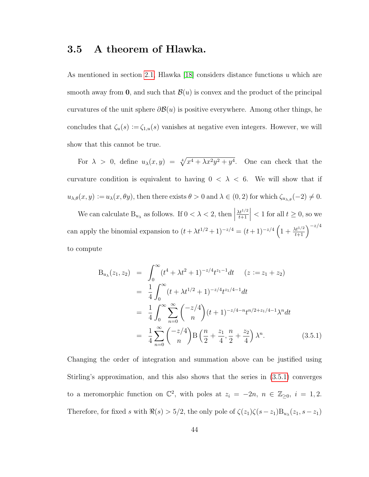## 3.5 A theorem of Hlawka.

As mentioned in section [2.1,](#page-13-0) Hlawka [\[18\]](#page-81-0) considers distance functions u which are smooth away from 0, and such that  $\mathcal{B}(u)$  is convex and the product of the principal curvatures of the unit sphere  $\partial \mathcal{B}(u)$  is positive everywhere. Among other things, he concludes that  $\zeta_u(s) := \zeta_{1,u}(s)$  vanishes at negative even integers. However, we will show that this cannot be true.

For  $\lambda > 0$ , define  $u_{\lambda}(x, y) = \sqrt[4]{x^4 + \lambda x^2 y^2 + y^4}$ . One can check that the curvature condition is equivalent to having  $0 < \lambda < 6$ . We will show that if  $u_{\lambda,\theta}(x,y) := u_{\lambda}(x,\theta y)$ , then there exists  $\theta > 0$  and  $\lambda \in (0,2)$  for which  $\zeta_{u_{\lambda,\theta}}(-2) \neq 0$ .

We can calculate  $B_{u_{\lambda}}$  as follows. If  $0 < \lambda < 2$ , then  $\Big|$  $\lambda t^{1/2}$  $t+1$  $\begin{array}{c} \begin{array}{c} \begin{array}{c} \end{array} \\ \begin{array}{c} \end{array} \end{array} \end{array}$  $< 1$  for all  $t \geq 0$ , so we can apply the binomial expansion to  $(t + \lambda t^{1/2} + 1)^{-z/4} = (t + 1)^{-z/4} \left(1 + \frac{\lambda t^{1/2}}{t+1}\right)^{-z/4}$ to compute

<span id="page-49-0"></span>
$$
B_{u_{\lambda}}(z_1, z_2) = \int_0^{\infty} (t^4 + \lambda t^2 + 1)^{-z/4} t^{z_1 - 1} dt \quad (z := z_1 + z_2)
$$
  
\n
$$
= \frac{1}{4} \int_0^{\infty} (t + \lambda t^{1/2} + 1)^{-z/4} t^{z_1/4 - 1} dt
$$
  
\n
$$
= \frac{1}{4} \int_0^{\infty} \sum_{n=0}^{\infty} {\binom{-z/4}{n}} (t + 1)^{-z/4 - n} t^{n/2 + z_1/4 - 1} \lambda^n dt
$$
  
\n
$$
= \frac{1}{4} \sum_{n=0}^{\infty} {\binom{-z/4}{n}} B\left(\frac{n}{2} + \frac{z_1}{4}, \frac{n}{2} + \frac{z_2}{4}\right) \lambda^n.
$$
 (3.5.1)

Changing the order of integration and summation above can be justified using Stirling's approximation, and this also shows that the series in [\(3.5.1\)](#page-49-0) converges to a meromorphic function on  $\mathbb{C}^2$ , with poles at  $z_i = -2n, n \in \mathbb{Z}_{\geq 0}, i = 1, 2$ . Therefore, for fixed s with  $\Re(s) > 5/2$ , the only pole of  $\zeta(z_1)\zeta(s-z_1)B_{u_\lambda}(z_1, s-z_1)$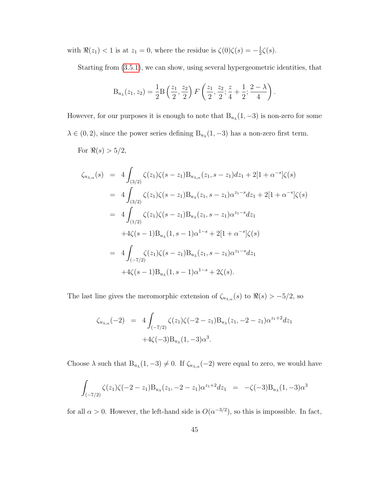with  $\Re(z_1) < 1$  is at  $z_1 = 0$ , where the residue is  $\zeta(0)\zeta(s) = -\frac{1}{2}$  $\frac{1}{2}\zeta(s).$ 

Starting from [\(3.5.1\)](#page-49-0), we can show, using several hypergeometric identities, that

$$
B_{u_{\lambda}}(z_1, z_2) = \frac{1}{2} B\left(\frac{z_1}{2}, \frac{z_2}{2}\right) F\left(\frac{z_1}{2}, \frac{z_2}{2}; \frac{z}{4} + \frac{1}{2}; \frac{2-\lambda}{4}\right).
$$

However, for our purposes it is enough to note that  $B_{u_\lambda}(1, -3)$  is non-zero for some  $\lambda \in (0, 2)$ , since the power series defining  $B_{u_{\lambda}}(1, -3)$  has a non-zero first term. For  $\Re(s) > 5/2$ ,

$$
\zeta_{u_{\lambda,\alpha}}(s) = 4 \int_{(3/2)} \zeta(z_1)\zeta(s-z_1)B_{u_{\lambda,\alpha}}(z_1, s-z_1)dz_1 + 2[1+\alpha^{-s}]\zeta(s)
$$
  
\n
$$
= 4 \int_{(3/2)} \zeta(z_1)\zeta(s-z_1)B_{u_{\lambda}}(z_1, s-z_1)\alpha^{z_1-s}dz_1 + 2[1+\alpha^{-s}]\zeta(s)
$$
  
\n
$$
= 4 \int_{(1/2)} \zeta(z_1)\zeta(s-z_1)B_{u_{\lambda}}(z_1, s-z_1)\alpha^{z_1-s}dz_1
$$
  
\n
$$
+4\zeta(s-1)B_{u_{\lambda}}(1, s-1)\alpha^{1-s} + 2[1+\alpha^{-s}]\zeta(s)
$$
  
\n
$$
= 4 \int_{(-7/2)} \zeta(z_1)\zeta(s-z_1)B_{u_{\lambda}}(z_1, s-z_1)\alpha^{z_1-s}dz_1
$$
  
\n
$$
+4\zeta(s-1)B_{u_{\lambda}}(1, s-1)\alpha^{1-s} + 2\zeta(s).
$$

The last line gives the meromorphic extension of  $\zeta_{u_{\lambda,\alpha}}(s)$  to  $\Re(s) > -5/2$ , so

$$
\zeta_{u_{\lambda,\alpha}}(-2) = 4 \int_{(-7/2)} \zeta(z_1)\zeta(-2-z_1)B_{u_{\lambda}}(z_1, -2-z_1)\alpha^{z_1+2}dz_1
$$
  
+4\zeta(-3)B\_{u\_{\lambda}}(1, -3)\alpha^3.

Choose  $\lambda$  such that  $B_{u_{\lambda}}(1, -3) \neq 0$ . If  $\zeta_{u_{\lambda,\alpha}}(-2)$  were equal to zero, we would have

$$
\int_{(-7/2)} \zeta(z_1)\zeta(-2-z_1)B_{u_\lambda}(z_1, -2-z_1)\alpha^{z_1+2}dz_1 = -\zeta(-3)B_{u_\lambda}(1, -3)\alpha^3
$$

for all  $\alpha > 0$ . However, the left-hand side is  $O(\alpha^{-3/2})$ , so this is impossible. In fact,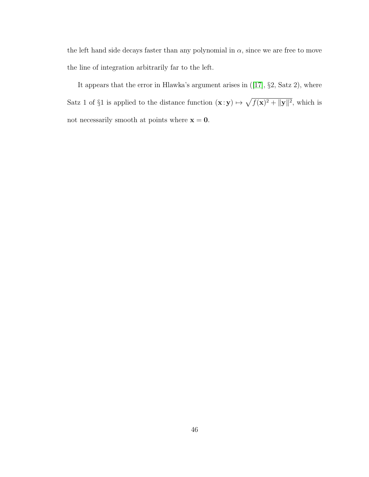the left hand side decays faster than any polynomial in  $\alpha$ , since we are free to move the line of integration arbitrarily far to the left.

It appears that the error in Hlawka's argument arises in([\[17\]](#page-81-1), §2, Satz 2), where Satz 1 of §1 is applied to the distance function  $(\mathbf{x} : \mathbf{y}) \mapsto \sqrt{f(\mathbf{x})^2 + ||\mathbf{y}||^2}$ , which is not necessarily smooth at points where  $x = 0$ .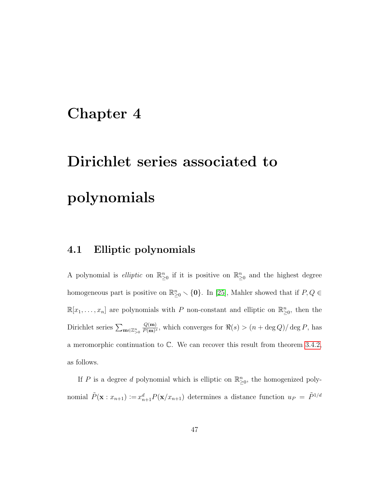# <span id="page-52-0"></span>Chapter 4

# Dirichlet series associated to polynomials

## 4.1 Elliptic polynomials

A polynomial is *elliptic* on  $\mathbb{R}^n_{\geq 0}$  if it is positive on  $\mathbb{R}^n_{\geq 0}$  and the highest degree homogeneous part is positive on  $\mathbb{R}^n_{\geq 0} \setminus \{0\}$ . In [\[25\]](#page-82-5), Mahler showed that if  $P, Q \in$  $\mathbb{R}[x_1,\ldots,x_n]$  are polynomials with P non-constant and elliptic on  $\mathbb{R}^n_{\geq 0}$ , then the Dirichlet series  $\sum_{\mathbf{m}\in\mathbb{Z}_{>0}^n}$  $Q(\mathbf{m})$  $\frac{Q(\mathbf{m})}{P(\mathbf{m})^s}$ , which converges for  $\Re(s) > (n + \deg Q)/\deg P$ , has a meromorphic continuation to C. We can recover this result from theorem [3.4.2,](#page-39-1) as follows.

If P is a degree d polynomial which is elliptic on  $\mathbb{R}^n_{\geq 0}$ , the homogenized polynomial  $\tilde{P}(\mathbf{x}:x_{n+1}) := x_{n+1}^d P(\mathbf{x}/x_{n+1})$  determines a distance function  $u_P = \tilde{P}^{1/d}$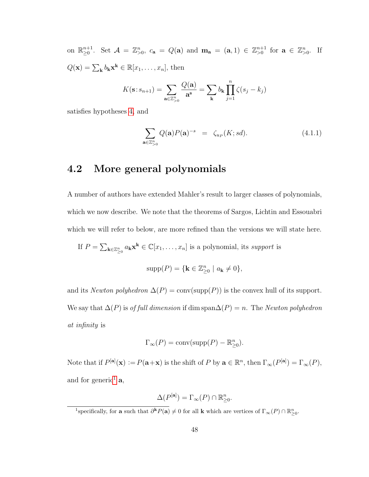on  $\mathbb{R}_{\geq 0}^{n+1}$ . Set  $\mathcal{A} = \mathbb{Z}_{\geq 0}^n$ ,  $c_{\mathbf{a}} = Q(\mathbf{a})$  and  $\mathbf{m}_{\mathbf{a}} = (\mathbf{a}, 1) \in \mathbb{Z}_{\geq 0}^{n+1}$  for  $\mathbf{a} \in \mathbb{Z}_{\geq 0}^n$ . If  $Q(\mathbf{x}) = \sum_{\mathbf{k}} b_{\mathbf{k}} \mathbf{x}^{\mathbf{k}} \in \mathbb{R}[x_1, \dots, x_n],$  then

$$
K(\mathbf{s}:s_{n+1}) = \sum_{\mathbf{a}\in\mathbb{Z}_{\geq 0}^n} \frac{Q(\mathbf{a})}{\mathbf{a}^{\mathbf{s}}} = \sum_{\mathbf{k}} b_{\mathbf{k}} \prod_{j=1}^n \zeta(s_j - k_j)
$$

satisfies hypotheses [4,](#page-39-0) and

<span id="page-53-1"></span>
$$
\sum_{\mathbf{a}\in\mathbb{Z}_{>0}^n} Q(\mathbf{a}) P(\mathbf{a})^{-s} = \zeta_{u_P}(K; sd). \tag{4.1.1}
$$

## 4.2 More general polynomials

A number of authors have extended Mahler's result to larger classes of polynomials, which we now describe. We note that the theorems of Sargos, Lichtin and Essouabri which we will refer to below, are more refined than the versions we will state here.

If  $P = \sum_{\mathbf{k} \in \mathbb{Z}_{\geq 0}^n} a_{\mathbf{k}} \mathbf{x}^{\mathbf{k}} \in \mathbb{C}[x_1, \dots, x_n]$  is a polynomial, its support is

$$
supp(P) = \{ \mathbf{k} \in \mathbb{Z}_{\geq 0}^n \mid a_{\mathbf{k}} \neq 0 \},
$$

and its Newton polyhedron  $\Delta(P) = \text{conv}(\text{supp}(P))$  is the convex hull of its support. We say that  $\Delta(P)$  is *of full dimension* if dim span $\Delta(P) = n$ . The *Newton polyhedron* at infinity is

$$
\Gamma_{\infty}(P) = \text{conv}(\text{supp}(P) - \mathbb{R}_{\geq 0}^n).
$$

Note that if  $P^{[\mathbf{a}]}(\mathbf{x}) := P(\mathbf{a} + \mathbf{x})$  is the shift of P by  $\mathbf{a} \in \mathbb{R}^n$ , then  $\Gamma_{\infty}(P^{[\mathbf{a}]}) = \Gamma_{\infty}(P)$ , and for generic<sup>[1](#page-53-0)</sup>  $a$ ,

$$
\Delta(P^{[\mathbf{a}]}) = \Gamma_{\infty}(P) \cap \mathbb{R}_{\geq 0}^n.
$$

<span id="page-53-0"></span><sup>&</sup>lt;sup>1</sup>specifically, for **a** such that  $\partial^{\bf k}P({\bf a})\neq 0$  for all **k** which are vertices of  $\Gamma_\infty(P)\cap \mathbb{R}_{\geq 0}^n$ .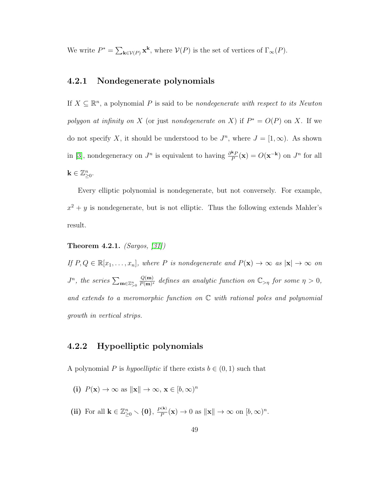We write  $P^* = \sum_{\mathbf{k} \in \mathcal{V}(P)} \mathbf{x}^{\mathbf{k}}$ , where  $\mathcal{V}(P)$  is the set of vertices of  $\Gamma_\infty(P)$ .

#### 4.2.1 Nondegenerate polynomials

If  $X \subseteq \mathbb{R}^n$ , a polynomial P is said to be *nondegenerate with respect to its Newton* polygon at infinity on X (or just nondegenerate on X) if  $P^* = O(P)$  on X. If we do not specify X, it should be understood to be  $J<sup>n</sup>$ , where  $J = [1, \infty)$ . As shown in [\[3\]](#page-79-0), nondegeneracy on  $J^n$  is equivalent to having  $\frac{\partial^k P}{P}$  $\frac{\kappa_P}{P}(\mathbf{x}) = O(\mathbf{x}^{-\mathbf{k}})$  on  $J^n$  for all  $\mathbf{k} \in \mathbb{Z}_{\geq 0}^n$ .

Every elliptic polynomial is nondegenerate, but not conversely. For example,  $x^2 + y$  is nondegenerate, but is not elliptic. Thus the following extends Mahler's result.

#### <span id="page-54-0"></span>Theorem 4.2.1. (Sargos,  $[31]$ )

If  $P, Q \in \mathbb{R}[x_1, \ldots, x_n]$ , where P is nondegenerate and  $P(\mathbf{x}) \to \infty$  as  $|\mathbf{x}| \to \infty$  on  $J^n$ , the series  $\sum_{\mathbf{m}\in\mathbb{Z}_{>0}^n}$  $Q(\mathbf{m})$  $\frac{Q(m)}{P(m)^s}$  defines an analytic function on  $\mathbb{C}_{\geq \eta}$  for some  $\eta > 0$ , and extends to a meromorphic function on  $\mathbb C$  with rational poles and polynomial growth in vertical strips.

#### 4.2.2 Hypoelliptic polynomials

A polynomial P is hypoelliptic if there exists  $b \in (0, 1)$  such that

- (i)  $P(\mathbf{x}) \to \infty$  as  $\|\mathbf{x}\| \to \infty$ ,  $\mathbf{x} \in [b, \infty)^n$
- (ii) For all  $\mathbf{k} \in \mathbb{Z}_{\geq 0}^n \setminus \{\mathbf{0}\},\, \frac{P^{(\mathbf{k})}}{P}$  $\frac{P^{(k)}}{P}(\mathbf{x}) \to 0$  as  $\|\mathbf{x}\| \to \infty$  on  $[b,\infty)^n$ .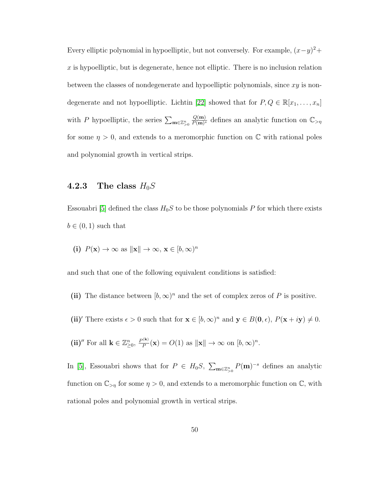Every elliptic polynomial in hypoelliptic, but not conversely. For example,  $(x-y)^2$ +  $x$  is hypoelliptic, but is degenerate, hence not elliptic. There is no inclusion relation between the classes of nondegenerate and hypoelliptic polynomials, since  $xy$  is non-degenerate and not hypoelliptic. Lichtin [\[22\]](#page-82-6) showed that for  $P, Q \in \mathbb{R}[x_1, \ldots, x_n]$ with P hypoelliptic, the series  $\sum_{\mathbf{m}\in\mathbb{Z}_{>0}^n}$  $Q(\mathbf{m})$  $\frac{Q(m)}{P(m)^s}$  defines an analytic function on  $\mathbb{C}_{\geq \eta}$ for some  $\eta > 0$ , and extends to a meromorphic function on C with rational poles and polynomial growth in vertical strips.

#### 4.2.3 The class  $H_0S$

Essouabri [\[5\]](#page-79-1) defined the class  $H_0S$  to be those polynomials P for which there exists  $b \in (0,1)$  such that

(i) 
$$
P(\mathbf{x}) \to \infty
$$
 as  $\|\mathbf{x}\| \to \infty$ ,  $\mathbf{x} \in [b, \infty)^n$ 

and such that one of the following equivalent conditions is satisfied:

- (ii) The distance between  $[b,\infty)^n$  and the set of complex zeros of P is positive.
- (ii)' There exists  $\epsilon > 0$  such that for  $\mathbf{x} \in [b, \infty)^n$  and  $\mathbf{y} \in B(\mathbf{0}, \epsilon)$ ,  $P(\mathbf{x} + i\mathbf{y}) \neq 0$ .
- (ii)<sup>*''*</sup> For all  $\mathbf{k} \in \mathbb{Z}_{\geq 0}^n$ ,  $\frac{P^{(\mathbf{k})}}{P}$  $\frac{P^{(k)}}{P}(\mathbf{x}) = O(1)$  as  $\|\mathbf{x}\| \to \infty$  on  $[b, \infty)^n$ .

In [\[5\]](#page-79-1), Essouabri shows that for  $P \in H_0S$ ,  $\sum_{\mathbf{m}\in\mathbb{Z}_{\geq 0}^n} P(\mathbf{m})^{-s}$  defines an analytic function on  $\mathbb{C}_{>\eta}$  for some  $\eta > 0$ , and extends to a meromorphic function on  $\mathbb{C}$ , with rational poles and polynomial growth in vertical strips.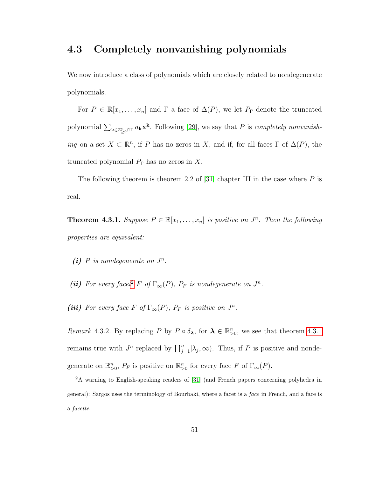### 4.3 Completely nonvanishing polynomials

We now introduce a class of polynomials which are closely related to nondegenerate polynomials.

For  $P \in \mathbb{R}[x_1,\ldots,x_n]$  and  $\Gamma$  a face of  $\Delta(P)$ , we let  $P_{\Gamma}$  denote the truncated polynomial  $\sum_{\mathbf{k}\in\mathbb{Z}_{\geq0}^n\cap\Gamma} a_{\mathbf{k}}\mathbf{x}^{\mathbf{k}}$ . Following [\[29\]](#page-82-7), we say that P is *completely nonvanish*ing on a set  $X \subset \mathbb{R}^n$ , if P has no zeros in X, and if, for all faces  $\Gamma$  of  $\Delta(P)$ , the truncated polynomial  $P_{\Gamma}$  has no zeros in X.

The following theorem is theorem 2.2 of [\[31\]](#page-83-1) chapter III in the case where  $P$  is real.

<span id="page-56-1"></span>**Theorem 4.3.1.** Suppose  $P \in \mathbb{R}[x_1, \ldots, x_n]$  is positive on  $J^n$ . Then the following properties are equivalent:

- (i) P is nondegenerate on  $J^n$ .
- (ii) For every facet<sup>[2](#page-56-0)</sup> F of  $\Gamma_{\infty}(P)$ ,  $P_F$  is nondegenerate on  $J^n$ .
- (iii) For every face F of  $\Gamma_{\infty}(P)$ ,  $P_F$  is positive on  $J^n$ .

<span id="page-56-2"></span>Remark 4.3.2. By replacing P by  $P \circ \delta_{\lambda}$ , for  $\lambda \in \mathbb{R}_{>0}^n$ , we see that theorem [4.3.1](#page-56-1) remains true with  $J^n$  replaced by  $\prod_{j=1}^n[\lambda_j,\infty)$ . Thus, if P is positive and nondegenerate on  $\mathbb{R}^n_{>0}$ ,  $P_F$  is positive on  $\mathbb{R}^n_{>0}$  for every face F of  $\Gamma_\infty(P)$ .

<span id="page-56-0"></span><sup>2</sup>A warning to English-speaking readers of [\[31\]](#page-83-1) (and French papers concerning polyhedra in general): Sargos uses the terminology of Bourbaki, where a facet is a face in French, and a face is a facette.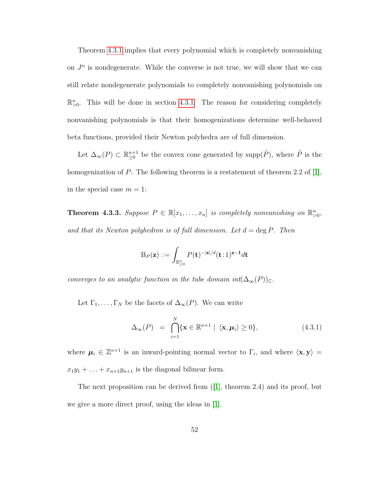Theorem [4.3.1](#page-56-1) implies that every polynomial which is completely nonvanishing on  $J<sup>n</sup>$  is nondegenerate. While the converse is not true, we will show that we can still relate nondegenerate polynomials to completely nonvanishing polynomials on  $\mathbb{R}^n_{>0}$ . This will be done in section [4.3.1.](#page-61-0) The reason for considering completely nonvanishing polynomials is that their homogenizations determine well-behaved beta functions, provided their Newton polyhedra are of full dimension.

Let  $\Delta_{\infty}(P) \subset \mathbb{R}_{\geq 0}^{n+1}$  be the convex cone generated by supp $(\tilde{P})$ , where  $\tilde{P}$  is the homogenization of P. The following theorem is a restatement of theorem 2.2 of [\[1\]](#page-79-2), in the special case  $m = 1$ :

<span id="page-57-0"></span>**Theorem 4.3.3.** Suppose  $P \in \mathbb{R}[x_1, \ldots, x_n]$  is completely nonvanishing on  $\mathbb{R}^n_{>0}$ , and that its Newton polyhedron is of full dimension. Let  $d = \deg P$ . Then

$$
\mathrm{B}_P(\mathbf{z}) \,:=\, \int_{\mathbb{R}^n_{\geq 0}} P(\mathbf{t})^{-|\mathbf{z}|/d} (\mathbf{t}\,:\,1)^{\mathbf{z}-\mathbf{1}} d\mathbf{t}
$$

converges to an analytic function in the tube domain  $int(\Delta_{\infty}(P))_{\mathbb{C}}$ .

Let  $\Gamma_1, \ldots, \Gamma_N$  be the facets of  $\Delta_{\infty}(P)$ . We can write

$$
\Delta_{\infty}(P) = \bigcap_{i=1}^{N} \{ \mathbf{x} \in \mathbb{R}^{n+1} \mid \langle \mathbf{x}, \boldsymbol{\mu}_i \rangle \ge 0 \},\tag{4.3.1}
$$

where  $\mu_i \in \mathbb{Z}^{n+1}$  is an inward-pointing normal vector to  $\Gamma_i$ , and where  $\langle \mathbf{x}, \mathbf{y} \rangle =$  $x_1y_1 + \ldots + x_{n+1}y_{n+1}$  is the diagonal bilinear form.

The next proposition can be derived from([\[1\]](#page-79-2), theorem 2.4) and its proof, but we give a more direct proof, using the ideas in [\[1\]](#page-79-2).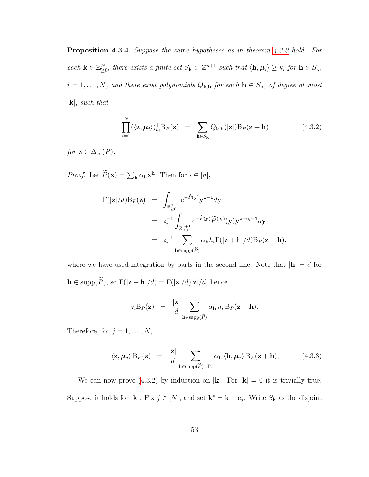Proposition 4.3.4. Suppose the same hypotheses as in theorem [4.3.3](#page-57-0) hold. For each  $\mathbf{k} \in \mathbb{Z}_{\geq 0}^N$ , there exists a finite set  $S_{\mathbf{k}} \subset \mathbb{Z}^{n+1}$  such that  $\langle \mathbf{h}, \mu_i \rangle \geq k_i$  for  $\mathbf{h} \in S_{\mathbf{k}}$ ,  $i = 1, \ldots, N$ , and there exist polynomials  $Q_{\mathbf{k},\mathbf{h}}$  for each  $\mathbf{h} \in S_{\mathbf{k}}$ , of degree at most  $|\mathbf{k}|$ , such that

<span id="page-58-0"></span>
$$
\prod_{i=1}^{N} (\langle \mathbf{z}, \boldsymbol{\mu}_i \rangle)_{k_i}^+ B_P(\mathbf{z}) = \sum_{\mathbf{h} \in S_{\mathbf{k}}} Q_{\mathbf{k}, \mathbf{h}}(|\mathbf{z}|) B_P(\mathbf{z} + \mathbf{h}) \tag{4.3.2}
$$

for  $z \in \Delta_{\infty}(P)$ .

*Proof.* Let  $\tilde{P}(\mathbf{x}) = \sum_{\mathbf{h}} \alpha_{\mathbf{h}} \mathbf{x}^{\mathbf{h}}$ . Then for  $i \in [n]$ ,

$$
\Gamma(|\mathbf{z}|/d)B_P(\mathbf{z}) = \int_{\mathbb{R}_{\geq 0}^{n+1}} e^{-\widetilde{P}(\mathbf{y})} \mathbf{y}^{\mathbf{z}-1} d\mathbf{y}
$$
\n
$$
= z_i^{-1} \int_{\mathbb{R}_{\geq 0}^{n+1}} e^{-\widetilde{P}(\mathbf{y})} \widetilde{P}^{(\mathbf{e}_i)}(\mathbf{y}) \mathbf{y}^{\mathbf{z}+\mathbf{e}_i-1} d\mathbf{y}
$$
\n
$$
= z_i^{-1} \sum_{\mathbf{h} \in \text{supp}(\widetilde{P})} \alpha_{\mathbf{h}} h_i \Gamma(|\mathbf{z} + \mathbf{h}|/d) B_P(\mathbf{z} + \mathbf{h}),
$$

where we have used integration by parts in the second line. Note that  $|\mathbf{h}| = d$  for  $\mathbf{h}\in \text{supp}(\widetilde{P}),$  so  $\Gamma(|\mathbf{z}+\mathbf{h}|/d)=\Gamma(|\mathbf{z}|/d)|\mathbf{z}|/d,$  hence

$$
z_i \mathbf{B}_P(\mathbf{z}) = \frac{|\mathbf{z}|}{d} \sum_{\mathbf{h} \in \text{supp}(\widetilde{P})} \alpha_{\mathbf{h}} h_i \mathbf{B}_P(\mathbf{z} + \mathbf{h}).
$$

Therefore, for  $j = 1, \ldots, N$ ,

$$
\langle \mathbf{z}, \boldsymbol{\mu}_j \rangle B_P(\mathbf{z}) = \frac{|\mathbf{z}|}{d} \sum_{\mathbf{h} \in \text{supp}(\tilde{P}) \backslash \Gamma_j} \alpha_{\mathbf{h}} \langle \mathbf{h}, \boldsymbol{\mu}_j \rangle B_P(\mathbf{z} + \mathbf{h}), \tag{4.3.3}
$$

We can now prove  $(4.3.2)$  by induction on  $|\mathbf{k}|$ . For  $|\mathbf{k}| = 0$  it is trivially true. Suppose it holds for |**k**|. Fix  $j \in [N]$ , and set  $\mathbf{k}^* = \mathbf{k} + \mathbf{e}_j$ . Write  $S_{\mathbf{k}}$  as the disjoint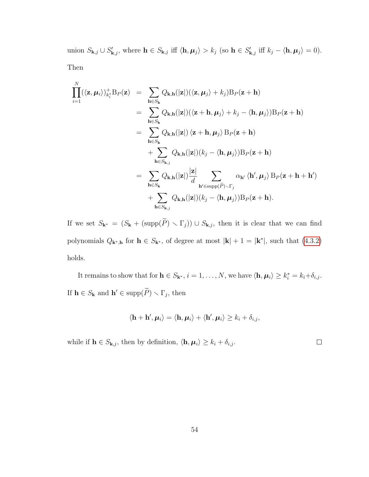union  $S_{\mathbf{k},j} \cup S'_{\mathbf{k},j}$ , where  $\mathbf{h} \in S_{\mathbf{k},j}$  iff  $\langle \mathbf{h}, \boldsymbol{\mu}_j \rangle > k_j$  (so  $\mathbf{h} \in S'_{\mathbf{k},j}$  iff  $k_j - \langle \mathbf{h}, \boldsymbol{\mu}_j \rangle = 0$ ). Then

$$
\prod_{i=1}^{N} (\langle \mathbf{z}, \mu_i \rangle)_{k_i^*}^+ B_P(\mathbf{z}) = \sum_{\mathbf{h} \in S_{\mathbf{k}}} Q_{\mathbf{k},\mathbf{h}}(|\mathbf{z}|) (\langle \mathbf{z}, \mu_j \rangle + k_j) B_P(\mathbf{z} + \mathbf{h})
$$
\n
$$
= \sum_{\mathbf{h} \in S_{\mathbf{k}}} Q_{\mathbf{k},\mathbf{h}}(|\mathbf{z}|) (\langle \mathbf{z} + \mathbf{h}, \mu_j \rangle + k_j - \langle \mathbf{h}, \mu_j \rangle) B_P(\mathbf{z} + \mathbf{h})
$$
\n
$$
= \sum_{\mathbf{h} \in S_{\mathbf{k}}} Q_{\mathbf{k},\mathbf{h}}(|\mathbf{z}|) \langle \mathbf{z} + \mathbf{h}, \mu_j \rangle B_P(\mathbf{z} + \mathbf{h})
$$
\n
$$
+ \sum_{\mathbf{h} \in S_{\mathbf{k},j}} Q_{\mathbf{k},\mathbf{h}}(|\mathbf{z}|) (k_j - \langle \mathbf{h}, \mu_j \rangle) B_P(\mathbf{z} + \mathbf{h})
$$
\n
$$
= \sum_{\mathbf{h} \in S_{\mathbf{k}}} Q_{\mathbf{k},\mathbf{h}}(|\mathbf{z}|) \frac{|\mathbf{z}|}{d} \sum_{\mathbf{h}' \in \text{supp}(\tilde{P}) \setminus \Gamma_j} \alpha_{\mathbf{h}'} \langle \mathbf{h}', \mu_j \rangle B_P(\mathbf{z} + \mathbf{h} + \mathbf{h}')
$$
\n
$$
+ \sum_{\mathbf{h} \in S_{\mathbf{k},j}} Q_{\mathbf{k},\mathbf{h}}(|\mathbf{z}|) (k_j - \langle \mathbf{h}, \mu_j \rangle) B_P(\mathbf{z} + \mathbf{h}).
$$

If we set  $S_{\mathbf{k}^*} = (S_{\mathbf{k}} + (\text{supp}(\tilde{P}) \setminus \Gamma_j)) \cup S_{\mathbf{k},j}$ , then it is clear that we can find polynomials  $Q_{\mathbf{k}^*,\mathbf{h}}$  for  $\mathbf{h} \in S_{\mathbf{k}^*}$ , of degree at most  $|\mathbf{k}| + 1 = |\mathbf{k}^*|$ , such that  $(4.3.2)$ holds.

It remains to show that for  $\mathbf{h} \in S_{\mathbf{k}^*}, i = 1, \ldots, N$ , we have  $\langle \mathbf{h}, \boldsymbol{\mu}_i \rangle \geq k_i^* = k_i + \delta_{i,j}$ . If  $\mathbf{h} \in S_{\mathbf{k}}$  and  $\mathbf{h}' \in \text{supp}(\widetilde{P}) \setminus \Gamma_j$ , then

$$
\langle \mathbf{h} + \mathbf{h}', \boldsymbol{\mu}_i \rangle = \langle \mathbf{h}, \boldsymbol{\mu}_i \rangle + \langle \mathbf{h}', \boldsymbol{\mu}_i \rangle \geq k_i + \delta_{i,j},
$$

while if  $\mathbf{h} \in S_{\mathbf{k},j}$ , then by definition,  $\langle \mathbf{h}, \boldsymbol{\mu}_i \rangle \geq k_i + \delta_{i,j}$ .

 $\Box$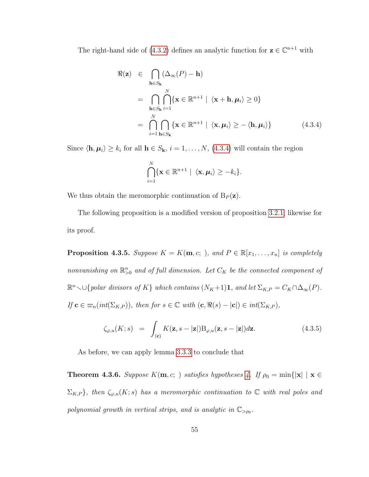The right-hand side of [\(4.3.2\)](#page-58-0) defines an analytic function for  $z \in \mathbb{C}^{n+1}$  with

<span id="page-60-0"></span>
$$
\Re(\mathbf{z}) \in \bigcap_{\mathbf{h} \in S_{\mathbf{k}}} (\Delta_{\infty}(P) - \mathbf{h})
$$
  
\n
$$
= \bigcap_{\mathbf{h} \in S_{\mathbf{k}}} \bigcap_{i=1}^{N} \{ \mathbf{x} \in \mathbb{R}^{n+1} \mid \langle \mathbf{x} + \mathbf{h}, \mu_{i} \rangle \ge 0 \}
$$
  
\n
$$
= \bigcap_{i=1}^{N} \bigcap_{\mathbf{h} \in S_{\mathbf{k}}} \{ \mathbf{x} \in \mathbb{R}^{n+1} \mid \langle \mathbf{x}, \mu_{i} \rangle \ge -\langle \mathbf{h}, \mu_{i} \rangle \}
$$
(4.3.4)

Since  $\langle \mathbf{h}, \boldsymbol{\mu}_i \rangle \geq k_i$  for all  $\mathbf{h} \in S_{\mathbf{k}}$ ,  $i = 1, \ldots, N$ , [\(4.3.4\)](#page-60-0) will contain the region

$$
\bigcap_{i=1}^N \{ \mathbf{x} \in \mathbb{R}^{n+1} \mid \langle \mathbf{x}, \boldsymbol{\mu}_i \rangle \geq -k_i \}.
$$

We thus obtain the meromorphic continuation of  $B_P(z)$ .

The following proposition is a modified version of proposition [3.2.1;](#page-27-1) likewise for its proof.

**Proposition 4.3.5.** Suppose  $K = K(m, c; )$ , and  $P \in \mathbb{R}[x_1, \ldots, x_n]$  is completely nonvanishing on  $\mathbb{R}^n_{>0}$  and of full dimension. Let  $C_K$  be the connected component of  $\mathbb{R}^n$  v $\cup$ {polar divisors of K} which contains  $(N_K+1)$ 1, and let  $\Sigma_{K,P} = C_K \cap \Delta_\infty(P)$ . If  $\mathbf{c} \in \varpi_n(int(\Sigma_{K,P}))$ , then for  $s \in \mathbb{C}$  with  $(\mathbf{c}, \Re(s) - |\mathbf{c}|) \in int(\Sigma_{K,P})$ ,

$$
\zeta_{\varphi,u}(K;s) = \int_{(\mathbf{c})} K(\mathbf{z},s-|\mathbf{z}|) \mathcal{B}_{\varphi,u}(\mathbf{z},s-|\mathbf{z}|) d\mathbf{z}.
$$
 (4.3.5)

As before, we can apply lemma [3.3.3](#page-32-0) to conclude that

<span id="page-60-1"></span>**Theorem [4.](#page-39-0)3.6.** Suppose  $K(m, c; \cdot)$  satisfies hypotheses 4. If  $\rho_0 = \min\{|x| \mid x \in$  $\Sigma_{K,P}$ , then  $\zeta_{\varphi,u}(K; s)$  has a meromorphic continuation to  $\mathbb C$  with real poles and polynomial growth in vertical strips, and is analytic in  $\mathbb{C}_{\geq \rho_0}$ .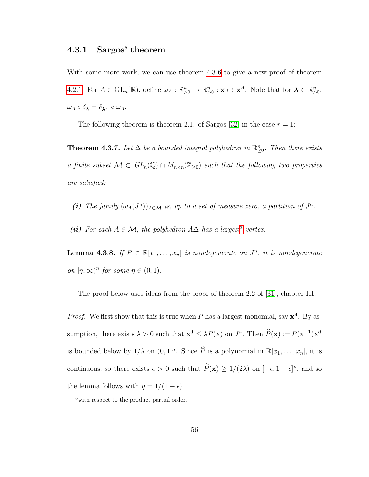#### <span id="page-61-0"></span>4.3.1 Sargos' theorem

With some more work, we can use theorem [4.3.6](#page-60-1) to give a new proof of theorem [4.2.1.](#page-54-0) For  $A \in GL_n(\mathbb{R})$ , define  $\omega_A : \mathbb{R}^n_{>0} \to \mathbb{R}^n_{>0} : \mathbf{x} \mapsto \mathbf{x}^A$ . Note that for  $\boldsymbol{\lambda} \in \mathbb{R}^n_{>0}$ ,  $\omega_A\circ\delta_{\pmb{\lambda}}=\delta_{\pmb{\lambda}^A}\circ\omega_A.$ 

The following theorem is theorem 2.1. of Sargos [\[32\]](#page-83-2) in the case  $r = 1$ :

<span id="page-61-2"></span>**Theorem 4.3.7.** Let  $\Delta$  be a bounded integral polyhedron in  $\mathbb{R}^n_{\geq 0}$ . Then there exists a finite subset  $\mathcal{M} \subset GL_n(\mathbb{Q}) \cap M_{n \times n}(\mathbb{Z}_{\geq 0})$  such that the following two properties are satisfied:

- (i) The family  $(\omega_A(J^n))_{A\in\mathcal{M}}$  is, up to a set of measure zero, a partition of  $J^n$ .
- (ii) For each  $A \in \mathcal{M}$ , the polyhedron  $A\Delta$  has a largest<sup>[3](#page-61-1)</sup> vertex.

**Lemma 4.3.8.** If  $P \in \mathbb{R}[x_1, \ldots, x_n]$  is nondegenerate on  $J^n$ , it is nondegenerate on  $[\eta, \infty)^n$  for some  $\eta \in (0, 1)$ .

The proof below uses ideas from the proof of theorem 2.2 of [\[31\]](#page-83-1), chapter III.

*Proof.* We first show that this is true when P has a largest monomial, say  $x^d$ . By assumption, there exists  $\lambda > 0$  such that  $\mathbf{x}^d \le \lambda P(\mathbf{x})$  on  $J^n$ . Then  $\hat{P}(\mathbf{x}) := P(\mathbf{x}^{-1})\mathbf{x}^d$ is bounded below by  $1/\lambda$  on  $(0, 1]^n$ . Since  $\widehat{P}$  is a polynomial in  $\mathbb{R}[x_1, \ldots, x_n]$ , it is continuous, so there exists  $\epsilon > 0$  such that  $\widehat{P}(\mathbf{x}) \ge 1/(2\lambda)$  on  $[-\epsilon, 1 + \epsilon]^n$ , and so the lemma follows with  $\eta = 1/(1 + \epsilon)$ .

<span id="page-61-1"></span><sup>&</sup>lt;sup>3</sup> with respect to the product partial order.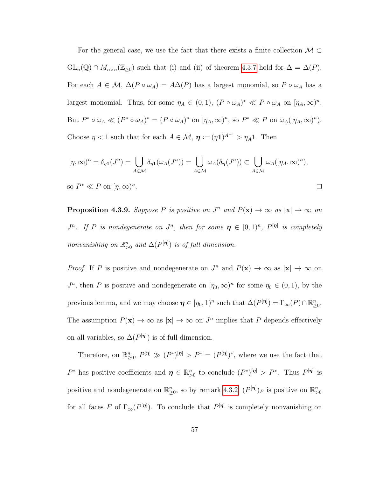For the general case, we use the fact that there exists a finite collection  $\mathcal{M} \subset$  $GL_n(\mathbb{Q}) \cap M_{n \times n}(\mathbb{Z}_{\geq 0})$  such that (i) and (ii) of theorem [4.3.7](#page-61-2) hold for  $\Delta = \Delta(P)$ . For each  $A \in \mathcal{M}$ ,  $\Delta(P \circ \omega_A) = A\Delta(P)$  has a largest monomial, so  $P \circ \omega_A$  has a largest monomial. Thus, for some  $\eta_A \in (0,1)$ ,  $(P \circ \omega_A)^* \ll P \circ \omega_A$  on  $[\eta_A, \infty)^n$ . But  $P^* \circ \omega_A \ll (P^* \circ \omega_A)^* = (P \circ \omega_A)^*$  on  $[\eta_A, \infty)^n$ , so  $P^* \ll P$  on  $\omega_A([\eta_A, \infty)^n)$ . Choose  $\eta < 1$  such that for each  $A \in \mathcal{M}$ ,  $\eta := (\eta \mathbf{1})^{A^{-1}} > \eta_A \mathbf{1}$ . Then

$$
[\eta, \infty)^n = \delta_{\eta 1}(J^n) = \bigcup_{A \in \mathcal{M}} \delta_{\eta 1}(\omega_A(J^n)) = \bigcup_{A \in \mathcal{M}} \omega_A(\delta_{\eta}(J^n)) \subset \bigcup_{A \in \mathcal{M}} \omega_A([\eta_A, \infty)^n),
$$
  
so  $P^* \ll P$  on  $[\eta, \infty)^n$ .

<span id="page-62-0"></span>**Proposition 4.3.9.** Suppose P is positive on  $J^n$  and  $P(x) \to \infty$  as  $|x| \to \infty$  on  $J^n$ . If P is nondegenerate on  $J^n$ , then for some  $\boldsymbol{\eta} \in [0,1)^n$ ,  $P^{[\boldsymbol{\eta}]}$  is completely nonvanishing on  $\mathbb{R}^n_{>0}$  and  $\Delta(P^{[\eta]})$  is of full dimension.

*Proof.* If P is positive and nondegenerate on  $J^n$  and  $P(\mathbf{x}) \to \infty$  as  $|\mathbf{x}| \to \infty$  on  $J^n$ , then P is positive and nondegenerate on  $[\eta_0, \infty)^n$  for some  $\eta_0 \in (0, 1)$ , by the previous lemma, and we may choose  $\boldsymbol{\eta} \in [\eta_0, 1)^n$  such that  $\Delta(P^{[\boldsymbol{\eta}]}) = \Gamma_{\infty}(P) \cap \mathbb{R}_{\geq 0}^n$ . The assumption  $P(\mathbf{x}) \to \infty$  as  $|\mathbf{x}| \to \infty$  on  $J^n$  implies that P depends effectively on all variables, so  $\Delta(P^{[\eta]})$  is of full dimension.

Therefore, on  $\mathbb{R}^n_{\geq 0}$ ,  $P^{[\eta]} \gg (P^*)^{[\eta]} > P^* = (P^{[\eta]})^*$ , where we use the fact that  $P^*$  has positive coefficients and  $\boldsymbol{\eta} \in \mathbb{R}_{>0}^n$  to conclude  $(P^*)^{[\boldsymbol{\eta}]} > P^*$ . Thus  $P^{[\boldsymbol{\eta}]}$  is positive and nondegenerate on  $\mathbb{R}^n_{\geq 0}$ , so by remark [4.3.2,](#page-56-2)  $(P^{[\eta]})_F$  is positive on  $\mathbb{R}^n_{>0}$ for all faces F of  $\Gamma_{\infty}(P^{[\eta]})$ . To conclude that  $P^{[\eta]}$  is completely nonvanishing on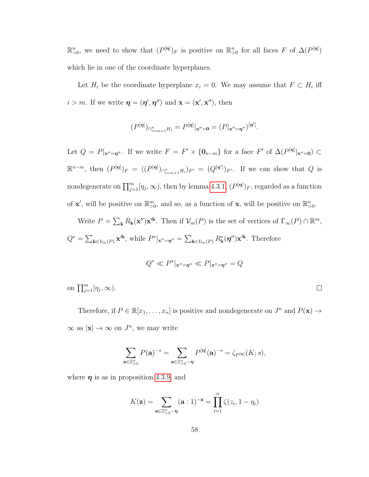$\mathbb{R}_{>0}^n$ , we need to show that  $(P^{[\eta]})_F$  is positive on  $\mathbb{R}_{>0}^n$  for all faces F of  $\Delta(P^{[\eta]})$ which lie in one of the coordinate hyperplanes.

Let  $H_i$  be the coordinate hyperplane  $x_i = 0$ . We may assume that  $F \subset H_i$  iff  $i > m$ . If we write  $\boldsymbol{\eta} = (\boldsymbol{\eta}', \boldsymbol{\eta}'')$  and  $\mathbf{x} = (\mathbf{x}', \mathbf{x}'')$ , then

$$
(P^{[\eta]})_{\cap_{i=m+1}^n H_i} = P^{[\eta]}|_{\mathbf{x}''=\mathbf{0}} = (P|_{\mathbf{x}''=\eta''})^{[\eta']}.
$$

Let  $Q = P|_{\mathbf{x}''=\eta''}$ . If we write  $F = F' \times \{0_{n-m}\}\$ for a face  $F'$  of  $\Delta(P^{[\eta]}|_{\mathbf{x}''=0}) \subset$  $\mathbb{R}^{n-m}$ , then  $(P^{[\eta]})_F = ((P^{[\eta]})_{\cap_{i=m+1}^n H_i})_{F'} = (Q^{[\eta']} )_{F'}.$  If we can show that Q is nondegenerate on  $\prod_{j=1}^{m} [\eta_j,\infty)$ , then by lemma [4.3.1,](#page-56-1)  $(P^{[\eta]})_F$ , regarded as a function of **x'**, will be positive on  $\mathbb{R}^m_{>0}$ , and so, as a function of **x**, will be positive on  $\mathbb{R}^n_{>0}$ .

Write  $P = \sum_{\mathbf{k}} R_{\mathbf{k}}(\mathbf{x}^{"}) \mathbf{x}^{'\mathbf{k}}$ . Then if  $\mathcal{V}_{m}(P)$  is the set of vertices of  $\Gamma_{\infty}(P) \cap \mathbb{R}^{m}$ ,  $Q^* = \sum_{\mathbf{k}\in\mathcal{V}_m(P)} \mathbf{x}^{\prime\mathbf{k}},$  while  $P^*|_{\mathbf{x}''=\boldsymbol{\eta}''} = \sum_{\mathbf{k}\in\mathcal{V}_m(P)} R_{\mathbf{k}}^*(\boldsymbol{\eta}'') \mathbf{x}^{\prime\mathbf{k}}.$  Therefore

$$
Q^* \ll P^*|_{\mathbf{x}''=\boldsymbol{\eta}''} \ll P|_{\mathbf{x}''=\boldsymbol{\eta}''}=Q
$$

on  $\prod_{j=1}^m [\eta_j,\infty)$ .  $\Box$ 

Therefore, if  $P \in \mathbb{R}[x_1, \ldots, x_n]$  is positive and nondegenerate on  $J^n$  and  $P(\mathbf{x}) \to$  $\infty$  as  $|\mathbf{x}| \to \infty$  on  $J^n$ , we may write

$$
\sum_{\mathbf{a}\in\mathbb{Z}_{>0}^n}P(\mathbf{a})^{-s}=\sum_{\mathbf{a}\in\mathbb{Z}_{>0}^n-\eta}P^{[\eta]}(\mathbf{a})^{-s}=\zeta_{P^{[\eta]}}(K;s),
$$

where  $\eta$  is as in proposition [4.3.9,](#page-62-0) and

$$
K(\mathbf{z}) = \sum_{\mathbf{a} \in \mathbb{Z}_{>0}^n - \eta} (\mathbf{a} : 1)^{-\mathbf{z}} = \prod_{i=1}^n \zeta(z_i, 1 - \eta_i)
$$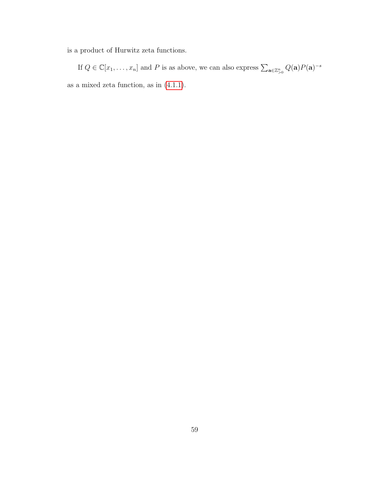is a product of Hurwitz zeta functions.

If  $Q \in \mathbb{C}[x_1,\ldots,x_n]$  and P is as above, we can also express  $\sum_{\mathbf{a}\in\mathbb{Z}_{>0}^n} Q(\mathbf{a}) P(\mathbf{a})^{-s}$ as a mixed zeta function, as in [\(4.1.1\)](#page-53-1).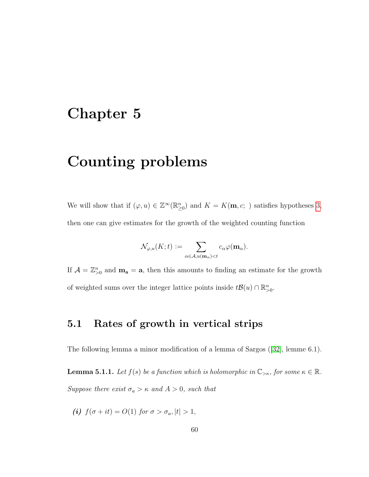# Chapter 5

# Counting problems

We will show that if  $(\varphi, u) \in \mathbb{Z}^{\infty}(\mathbb{R}_{\geq 0}^n)$  and  $K = K(\mathbf{m}, c; )$  satisfies hypotheses [3,](#page-37-0) then one can give estimates for the growth of the weighted counting function

$$
\mathcal{N}_{\varphi,u}(K;t):=\sum_{\alpha\in\mathcal{A},u(\mathbf{m}_\alpha)
$$

If  $\mathcal{A} = \mathbb{Z}_{\geq 0}^n$  and  $\mathbf{m}_a = \mathbf{a}$ , then this amounts to finding an estimate for the growth of weighted sums over the integer lattice points inside  $t\mathcal{B}(u) \cap \mathbb{R}_{>0}^n$ .

## 5.1 Rates of growth in vertical strips

The following lemma a minor modification of a lemma of Sargos([\[32\]](#page-83-2), lemme 6.1).

**Lemma 5.1.1.** Let  $f(s)$  be a function which is holomorphic in  $\mathbb{C}_{>\kappa}$ , for some  $\kappa \in \mathbb{R}$ . Suppose there exist  $\sigma_a > \kappa$  and  $A > 0$ , such that

(i)  $f(\sigma + it) = O(1)$  for  $\sigma > \sigma_a$ ,  $|t| > 1$ ,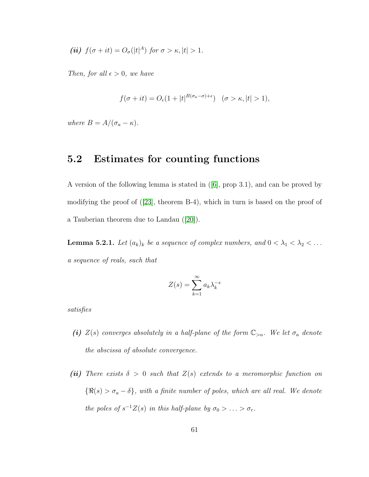$$
(ii) f(\sigma + it) = O_{\sigma}(|t|^A) \text{ for } \sigma > \kappa, |t| > 1.
$$

Then, for all  $\epsilon > 0$ , we have

$$
f(\sigma + it) = O_{\epsilon}(1 + |t|^{B(\sigma_a - \sigma) + \epsilon}) \quad (\sigma > \kappa, |t| > 1),
$$

where  $B = A/(\sigma_a - \kappa)$ .

## 5.2 Estimates for counting functions

A version of the following lemma is stated in([\[6\]](#page-80-2), prop 3.1), and can be proved by modifying the proof of([\[23\]](#page-82-8), theorem B-4), which in turn is based on the proof of a Tauberian theorem due to Landau([\[20\]](#page-81-2)).

**Lemma 5.2.1.** Let  $(a_k)_k$  be a sequence of complex numbers, and  $0 < \lambda_1 < \lambda_2 < \ldots$ a sequence of reals, such that

$$
Z(s) = \sum_{k=1}^{\infty} a_k \lambda_k^{-s}
$$

satisfies

- (i)  $Z(s)$  converges absolutely in a half-plane of the form  $\mathbb{C}_{>\alpha}$ . We let  $\sigma_a$  denote the abscissa of absolute convergence.
- (ii) There exists  $\delta > 0$  such that  $Z(s)$  extends to a meromorphic function on  ${\Re(s) > \sigma_a - \delta}$ , with a finite number of poles, which are all real. We denote the poles of  $s^{-1}Z(s)$  in this half-plane by  $\sigma_0 > \ldots > \sigma_r$ .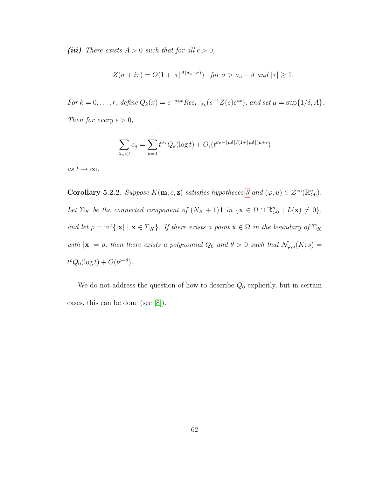(iii) There exists  $A > 0$  such that for all  $\epsilon > 0$ ,

$$
Z(\sigma + i\tau) = O(1 + |\tau|^{A(\sigma_a - \sigma)}) \quad \text{for } \sigma > \sigma_a - \delta \text{ and } |\tau| \ge 1.
$$

For  $k = 0, \ldots, r$ , define  $Q_k(x) = e^{-\sigma_k x} Res_{s=\sigma_k}(s^{-1}Z(s)e^{sx})$ , and set  $\mu = \sup\{1/\delta, A\}$ . Then for every  $\epsilon > 0$ ,

$$
\sum_{\lambda_n < t} c_n = \sum_{k=0}^r t^{\sigma_k} Q_k(\log t) + O_{\epsilon}(t^{\sigma_0 - \lfloor \mu \delta \rfloor / (1 + \lfloor \mu \delta \rfloor) \mu + \epsilon})
$$

as  $t \to \infty$ .

Corollary 5.2.2. Suppose  $K(m, c, z)$  satisfies hypotheses [3](#page-37-0) and  $(\varphi, u) \in \mathcal{Z}^{\infty}(\mathbb{R}_{\geq 0}^n)$ . Let  $\Sigma_K$  be the connected component of  $(N_K + 1)$ **1** in  $\{ \mathbf{x} \in \Omega \cap \mathbb{R}^n_{>0} \mid L(\mathbf{x}) \neq 0 \}$ , and let  $\rho = \inf\{|\mathbf{x}| \mid \mathbf{x} \in \Sigma_K\}$ . If there exists a point  $\mathbf{x} \in \Omega$  in the boundary of  $\Sigma_K$ with  $|\mathbf{x}| = \rho$ , then there exists a polynomial  $Q_0$  and  $\theta > 0$  such that  $\mathcal{N}_{\varphi,u}(K; s) =$  $t^{\rho}Q_0(\log t)+O(t^{\rho-\theta}).$ 

We do not address the question of how to describe  $Q_0$  explicitly, but in certain cases, this can be done (see [\[8\]](#page-80-3)).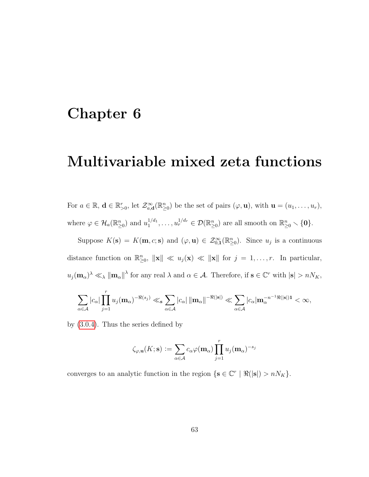# <span id="page-68-0"></span>Chapter 6

# Multivariable mixed zeta functions

For  $a \in \mathbb{R}$ ,  $\mathbf{d} \in \mathbb{R}_{>0}^r$ , let  $\mathcal{Z}_{a,\mathbf{d}}^{\infty}(\mathbb{R}_{\geq 0}^n)$  be the set of pairs  $(\varphi, \mathbf{u})$ , with  $\mathbf{u} = (u_1, \ldots, u_r)$ , where  $\varphi \in \mathcal{H}_a(\mathbb{R}^n_{\geq 0})$  and  $u_1^{1/d_1}$  $v_1^{1/d_1}, \ldots, u_r^{1/d_r} \in \mathcal{D}(\mathbb{R}^n_{\geq 0})$  are all smooth on  $\mathbb{R}^n_{\geq 0} \setminus \{\mathbf{0}\}.$ 

Suppose  $K(\mathbf{s}) = K(\mathbf{m}, c; \mathbf{s})$  and  $(\varphi, \mathbf{u}) \in \mathcal{Z}_{0,1}^{\infty}(\mathbb{R}_{\geq 0}^n)$ . Since  $u_j$  is a continuous distance function on  $\mathbb{R}^n_{\geq 0}$ ,  $\|\mathbf{x}\| \ll u_j(\mathbf{x}) \ll \|\mathbf{x}\|$  for  $j = 1, \ldots, r$ . In particular,  $u_j(\mathbf{m}_\alpha)^\lambda \ll_\lambda \|\mathbf{m}_\alpha\|^\lambda$  for any real  $\lambda$  and  $\alpha \in \mathcal{A}$ . Therefore, if  $\mathbf{s} \in \mathbb{C}^r$  with  $|\mathbf{s}| > nN_K$ ,

$$
\sum_{\alpha\in\mathcal{A}}|c_{\alpha}|\prod_{j=1}^ru_j(\mathbf{m}_{\alpha})^{-\Re(s_j)}\ll_{\mathbf{s}}\sum_{\alpha\in\mathcal{A}}|c_{\alpha}|\,\|\mathbf{m}_{\alpha}\|^{-\Re(|\mathbf{s}|)}\ll\sum_{\alpha\in\mathcal{A}}|c_{\alpha}|\mathbf{m}_{\alpha}^{-n^{-1}\Re(|\mathbf{s}|)\mathbf{1}}<\infty,
$$

by [\(3.0.4\)](#page-22-0). Thus the series defined by

$$
\zeta_{\varphi,\mathbf{u}}(K;\mathbf{s}) := \sum_{\alpha \in \mathcal{A}} c_{\alpha} \varphi(\mathbf{m}_{\alpha}) \prod_{j=1}^{r} u_{j}(\mathbf{m}_{\alpha})^{-s_{j}}
$$

converges to an analytic function in the region  $\{s \in \mathbb{C}^r \mid \Re(|s|) > nN_K\}.$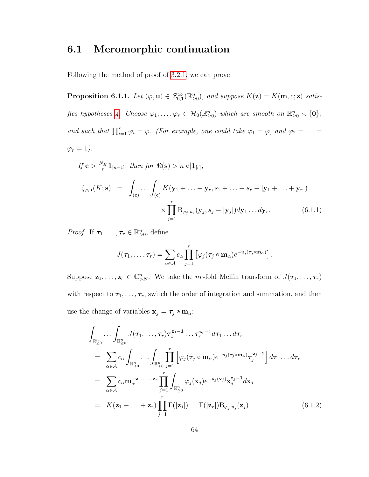## 6.1 Meromorphic continuation

Following the method of proof of [3.2.1,](#page-27-1) we can prove

**Proposition 6.1.1.** Let  $(\varphi, \mathbf{u}) \in \mathcal{Z}_{0,1}^{\infty}(\mathbb{R}_{\geq 0}^n)$ , and suppose  $K(\mathbf{z}) = K(\mathbf{m}, c; \mathbf{z})$  satis-fies hypotheses [4.](#page-39-0) Choose  $\varphi_1, \ldots, \varphi_r \in \mathcal{H}_0(\mathbb{R}_{\geq 0}^n)$  which are smooth on  $\mathbb{R}_{\geq 0}^n \setminus \{\mathbf{0}\},$ and such that  $\prod_{i=1}^r \varphi_i = \varphi$ . (For example, one could take  $\varphi_1 = \varphi$ , and  $\varphi_2 = \ldots =$  $\varphi_r = 1$ .

<span id="page-69-0"></span>
$$
If \mathbf{c} > \frac{N_K}{r} \mathbf{1}_{[n-1]}, then for \mathfrak{R}(\mathbf{s}) > n|\mathbf{c}| \mathbf{1}_{[r]},
$$
  

$$
\zeta_{\varphi,\mathbf{u}}(K; \mathbf{s}) = \int_{(\mathbf{c})} \dots \int_{(\mathbf{c})} K(\mathbf{y}_1 + \dots + \mathbf{y}_r, s_1 + \dots + s_r - |\mathbf{y}_1 + \dots + \mathbf{y}_r|)
$$
  

$$
\times \prod_{j=1}^r B_{\varphi_j, u_j}(\mathbf{y}_j, s_j - |\mathbf{y}_j|) d\mathbf{y}_1 \dots d\mathbf{y}_r.
$$
 (6.1.1)

*Proof.* If  $\tau_1, \ldots, \tau_r \in \mathbb{R}^n_{>0}$ , define

$$
J(\boldsymbol{\tau}_1,\ldots,\boldsymbol{\tau}_r)=\sum_{\alpha\in\mathcal{A}}c_{\alpha}\prod_{j=1}^r\left[\varphi_j(\boldsymbol{\tau}_j\circ\mathbf{m}_{\alpha})e^{-u_j(\boldsymbol{\tau}_j\circ\mathbf{m}_{\alpha})}\right].
$$

Suppose  $\mathbf{z}_1,\ldots,\mathbf{z}_r \in \mathbb{C}_{\geq N}^n$ . We take the nr-fold Mellin transform of  $J(\tau_1,\ldots,\tau_r)$ with respect to  $\tau_1, \ldots, \tau_r$ , switch the order of integration and summation, and then use the change of variables  $\mathbf{x}_j = \boldsymbol{\tau}_j \circ \mathbf{m}_\alpha$ :

<span id="page-69-1"></span>
$$
\int_{\mathbb{R}_{\geq 0}^n} \cdots \int_{\mathbb{R}_{\geq 0}^n} J(\tau_1, \ldots, \tau_r) \tau_1^{\mathbf{z}_1 - 1} \ldots \tau_r^{\mathbf{z}_r - 1} d\tau_1 \ldots d\tau_r
$$
\n
$$
= \sum_{\alpha \in \mathcal{A}} c_{\alpha} \int_{\mathbb{R}_{\geq 0}^n} \cdots \int_{\mathbb{R}_{\geq 0}^n} \prod_{j=1}^r \left[ \varphi_j(\tau_j \circ \mathbf{m}_{\alpha}) e^{-u_j(\tau_j \circ \mathbf{m}_{\alpha})} \tau_j^{\mathbf{z}_j - 1} \right] d\tau_1 \ldots d\tau_r
$$
\n
$$
= \sum_{\alpha \in \mathcal{A}} c_{\alpha} \mathbf{m}_{\alpha}^{-\mathbf{z}_1 - \ldots - \mathbf{z}_r} \prod_{j=1}^r \int_{\mathbb{R}_{\geq 0}^n} \varphi_j(\mathbf{x}_j) e^{-u_j(\mathbf{x}_j)} \mathbf{x}_j^{\mathbf{z}_j - 1} d\mathbf{x}_j
$$
\n
$$
= K(\mathbf{z}_1 + \ldots + \mathbf{z}_r) \prod_{j=1}^r \Gamma(|\mathbf{z}_j|) \ldots \Gamma(|\mathbf{z}_r|) B_{\varphi_j, u_j}(\mathbf{z}_j). \tag{6.1.2}
$$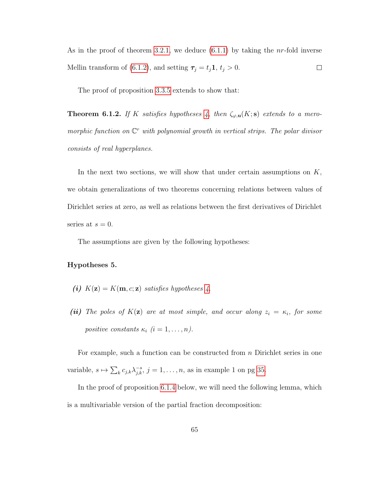As in the proof of theorem [3.2.1,](#page-27-1) we deduce  $(6.1.1)$  by taking the *nr*-fold inverse Mellin transform of [\(6.1.2\)](#page-69-1), and setting  $\tau_j = t_j \mathbf{1}, t_j > 0$ .  $\Box$ 

The proof of proposition [3.3.5](#page-36-0) extends to show that:

**Theorem 6.1.2.** If K satisfies hypotheses [4,](#page-39-0) then  $\zeta_{\varphi,\mathbf{u}}(K;\mathbf{s})$  extends to a meromorphic function on  $\mathbb{C}^r$  with polynomial growth in vertical strips. The polar divisor consists of real hyperplanes.

In the next two sections, we will show that under certain assumptions on  $K$ , we obtain generalizations of two theorems concerning relations between values of Dirichlet series at zero, as well as relations between the first derivatives of Dirichlet series at  $s = 0$ .

The assumptions are given by the following hypotheses:

#### <span id="page-70-0"></span>Hypotheses 5.

- (i)  $K(\mathbf{z}) = K(\mathbf{m}, c; \mathbf{z})$  satisfies hypotheses [4.](#page-39-0)
- (ii) The poles of  $K(\mathbf{z})$  are at most simple, and occur along  $z_i = \kappa_i$ , for some positive constants  $\kappa_i$   $(i = 1, \ldots, n)$ .

For example, such a function can be constructed from n Dirichlet series in one variable,  $s \mapsto \sum_{k} c_{j,k} \lambda_{j,k}^{-s}, j = 1, \ldots, n$ , as in example 1 on pg [35.](#page-40-1)

In the proof of proposition [6.1.4](#page-71-0) below, we will need the following lemma, which is a multivariable version of the partial fraction decomposition: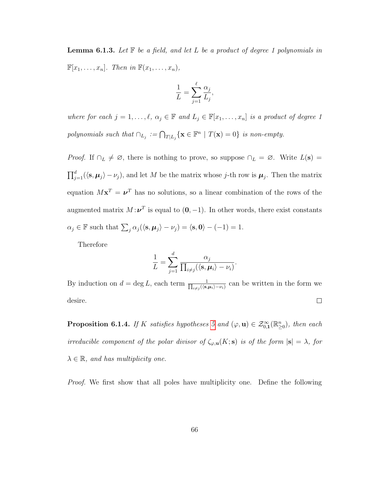**Lemma 6.1.3.** Let  $\mathbb{F}$  be a field, and let L be a product of degree 1 polynomials in  $\mathbb{F}[x_1,\ldots,x_n]$ . Then in  $\mathbb{F}(x_1,\ldots,x_n)$ ,

$$
\frac{1}{L} = \sum_{j=1}^{\ell} \frac{\alpha_j}{L_j},
$$

where for each  $j = 1, ..., \ell, \alpha_j \in \mathbb{F}$  and  $L_j \in \mathbb{F}[x_1, ..., x_n]$  is a product of degree 1 polynomials such that  $\cap_{L_j} := \bigcap_{T|L_j} \{ \mathbf{x} \in \mathbb{F}^n \mid T(\mathbf{x}) = 0 \}$  is non-empty.

*Proof.* If  $\cap_L \neq \emptyset$ , there is nothing to prove, so suppose  $\cap_L = \emptyset$ . Write  $L(s) =$  $\prod_{j=1}^d (\langle \mathbf{s}, \mu_j \rangle - \nu_j)$ , and let M be the matrix whose j-th row is  $\mu_j$ . Then the matrix equation  $Mx^T = \nu^T$  has no solutions, so a linear combination of the rows of the augmented matrix  $M:\nu^T$  is equal to  $(0,-1)$ . In other words, there exist constants  $\alpha_j \in \mathbb{F}$  such that  $\sum_j \alpha_j (\langle \mathbf{s}, \boldsymbol{\mu}_j \rangle - \nu_j) = \langle \mathbf{s}, \mathbf{0} \rangle - (-1) = 1.$ 

Therefore

$$
\frac{1}{L} = \sum_{j=1}^d \frac{\alpha_j}{\prod_{i \neq j} (\langle \mathbf{s}, \boldsymbol{\mu}_i \rangle - \nu_i)}.
$$

By induction on  $d = \deg L$ , each term  $\frac{1}{\prod_{i \neq j}(\langle s, \rangle)}$  $\frac{1}{\mu_{i\neq j}(\langle \mathbf{s}, \mu_i \rangle - \nu_i)}$  can be written in the form we desire.  $\Box$ 

<span id="page-71-0"></span>**Proposition 6.1.4.** If K satisfies hypotheses [5](#page-70-0) and  $(\varphi, \mathbf{u}) \in \mathcal{Z}_{0,1}^{\infty}(\mathbb{R}_{\geq 0}^n)$ , then each irreducible component of the polar divisor of  $\zeta_{\varphi,\mathbf{u}}(K;\mathbf{s})$  is of the form  $|\mathbf{s}| = \lambda$ , for  $\lambda \in \mathbb{R}$ , and has multiplicity one.

*Proof.* We first show that all poles have multiplicity one. Define the following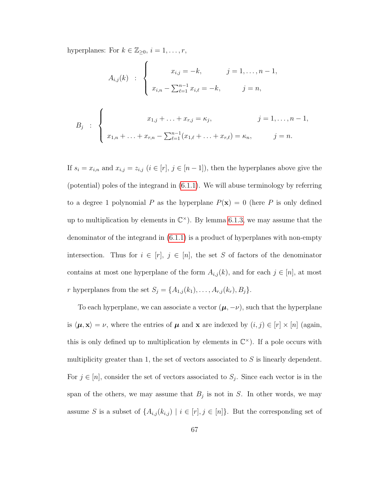hyperplanes: For  $k \in \mathbb{Z}_{\geq 0}$ ,  $i = 1, \ldots, r$ ,

$$
A_{i,j}(k) : \begin{cases} x_{i,j} = -k, & j = 1, ..., n-1, \\ x_{i,n} - \sum_{\ell=1}^{n-1} x_{i,\ell} = -k, & j = n, \end{cases}
$$
  

$$
B_j : \begin{cases} x_{1,j} + ... + x_{r,j} = \kappa_j, & j = 1, ..., n-1, \\ x_{1,n} + ... + x_{r,n} - \sum_{\ell=1}^{n-1} (x_{1,\ell} + ... + x_{r,\ell}) = \kappa_n, & j = n. \end{cases}
$$

If  $s_i = x_{i,n}$  and  $x_{i,j} = z_{i,j}$   $(i \in [r], j \in [n-1])$ , then the hyperplanes above give the (potential) poles of the integrand in [\(6.1.1\)](#page-69-0). We will abuse terminology by referring to a degree 1 polynomial P as the hyperplane  $P(\mathbf{x}) = 0$  (here P is only defined up to multiplication by elements in  $\mathbb{C}^{\times}$ ). By lemma [6.1.3,](#page-71-0) we may assume that the denominator of the integrand in [\(6.1.1\)](#page-69-0) is a product of hyperplanes with non-empty intersection. Thus for  $i \in [r]$ ,  $j \in [n]$ , the set S of factors of the denominator contains at most one hyperplane of the form  $A_{i,j}(k)$ , and for each  $j \in [n]$ , at most r hyperplanes from the set  $S_j = \{A_{1,j}(k_1), \ldots, A_{r,j}(k_r), B_j\}.$ 

To each hyperplane, we can associate a vector  $(\mu, -\nu)$ , such that the hyperplane is  $\langle \mu, \mathbf{x} \rangle = \nu$ , where the entries of  $\mu$  and  $\mathbf{x}$  are indexed by  $(i, j) \in [r] \times [n]$  (again, this is only defined up to multiplication by elements in  $\mathbb{C}^{\times}$ ). If a pole occurs with multiplicity greater than 1, the set of vectors associated to  $S$  is linearly dependent. For  $j \in [n]$ , consider the set of vectors associated to  $S_j$ . Since each vector is in the span of the others, we may assume that  $B_j$  is not in S. In other words, we may assume S is a subset of  $\{A_{i,j}(k_{i,j}) \mid i \in [r], j \in [n]\}$ . But the corresponding set of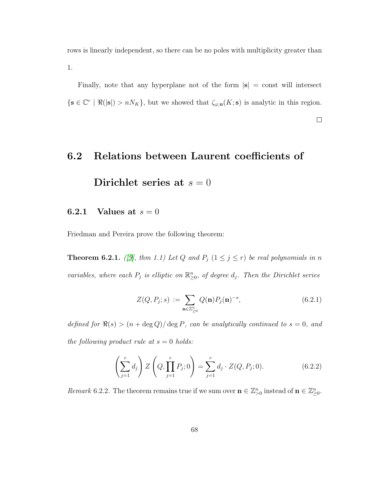rows is linearly independent, so there can be no poles with multiplicity greater than 1.

Finally, note that any hyperplane not of the form  $|\mathbf{s}| = \text{const}$  will intersect  $\{s \in \mathbb{C}^r \mid \Re(|s|) > nN_K\},\$  but we showed that  $\zeta_{\varphi,\mathbf{u}}(K;\mathbf{s})$  is analytic in this region.

 $\Box$ 

# 6.2 Relations between Laurent coefficients of Dirichlet series at  $s = 0$

### 6.2.1 Values at  $s = 0$

Friedman and Pereira prove the following theorem:

**Theorem 6.2.1.** ([\[9\]](#page-80-0), thm 1.1) Let Q and  $P_j$  ( $1 \leq j \leq r$ ) be real polynomials in n variables, where each  $P_j$  is elliptic on  $\mathbb{R}^n_{\geq 0}$ , of degree  $d_j$ . Then the Dirichlet series

$$
Z(Q, P_j; s) := \sum_{\mathbf{n} \in \mathbb{Z}_{\geq 0}^n} Q(\mathbf{n}) P_j(\mathbf{n})^{-s}, \tag{6.2.1}
$$

defined for  $\Re(s) > (n + \deg Q)/\deg P$ , can be analytically continued to  $s = 0$ , and the following product rule at  $s = 0$  holds:

<span id="page-73-0"></span>
$$
\left(\sum_{j=1}^{r} d_j\right) Z\left(Q, \prod_{j=1}^{r} P_j; 0\right) = \sum_{j=1}^{r} d_j \cdot Z(Q, P_j; 0). \tag{6.2.2}
$$

<span id="page-73-1"></span>Remark 6.2.2. The theorem remains true if we sum over  $\mathbf{n} \in \mathbb{Z}_{\geq 0}^n$  instead of  $\mathbf{n} \in \mathbb{Z}_{\geq 0}^n$ .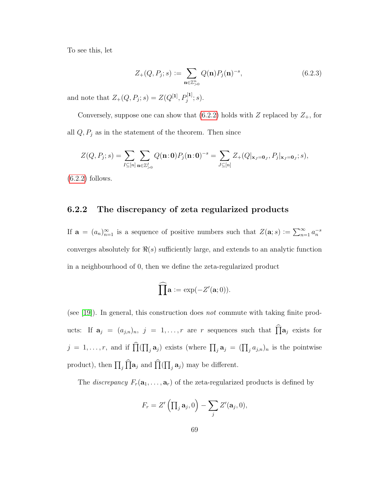To see this, let

$$
Z_{+}(Q, P_{j}; s) := \sum_{\mathbf{n} \in \mathbb{Z}_{>0}^{n}} Q(\mathbf{n}) P_{j}(\mathbf{n})^{-s},
$$
\n(6.2.3)

and note that  $Z_+(Q, P_j; s) = Z(Q^{[1]}, P_j^{[1]}; s).$ 

Conversely, suppose one can show that  $(6.2.2)$  holds with Z replaced by  $Z_+$ , for all  $Q, P_j$  as in the statement of the theorem. Then since

$$
Z(Q, P_j; s) = \sum_{I \subseteq [n]} \sum_{\mathbf{n} \in \mathbb{Z}_{>0}^I} Q(\mathbf{n}:0) P_j(\mathbf{n}:0)^{-s} = \sum_{J \subseteq [n]} Z_+(Q|_{\mathbf{x}_J = \mathbf{0}_J}, P_j|_{\mathbf{x}_J = \mathbf{0}_J}; s),
$$

 $(6.2.2)$  follows.

## 6.2.2 The discrepancy of zeta regularized products

If  $\mathbf{a} = (a_n)_{n=1}^{\infty}$  is a sequence of positive numbers such that  $Z(\mathbf{a}; s) := \sum_{n=1}^{\infty} a_n^{-s}$ converges absolutely for  $\Re(s)$  sufficiently large, and extends to an analytic function in a neighbourhood of 0, then we define the zeta-regularized product

$$
\widehat{\prod} \mathbf{a} := \exp(-Z'(\mathbf{a};0)).
$$

(see [\[19\]](#page-81-0)). In general, this construction does not commute with taking finite products: If  $\mathbf{a}_j = (a_{j,n})_n$ ,  $j = 1, ..., r$  are r sequences such that  $\widehat{\Pi} \mathbf{a}_j$  exists for  $j = 1, \ldots, r$ , and if  $\prod(\prod_j \mathbf{a}_j)$  exists (where  $\prod_j \mathbf{a}_j = (\prod_j a_{j,n})_n$  is the pointwise product), then  $\prod_j \prod_{a_j}$  and  $\prod_{j}(\prod_j a_j)$  may be different.

The *discrepancy*  $F_r(\mathbf{a}_1, \ldots, \mathbf{a}_r)$  of the zeta-regularized products is defined by

$$
F_r = Z'\left(\prod_j \mathbf{a}_j, 0\right) - \sum_j Z'(\mathbf{a}_j, 0),
$$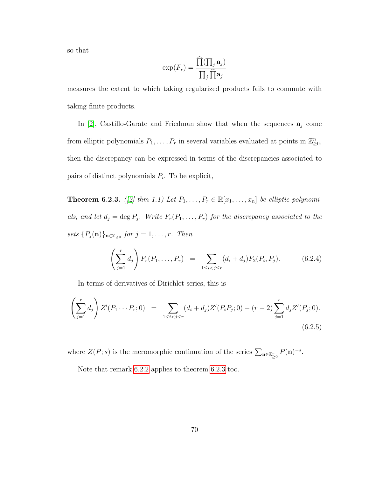so that

$$
\exp(F_r) = \frac{\widehat{\Pi}(\prod_j \mathbf{a}_j)}{\prod_j \widehat{\prod} \mathbf{a}_j}
$$

measures the extent to which taking regularized products fails to commute with taking finite products.

In [\[2\]](#page-79-0), Castillo-Garate and Friedman show that when the sequences  $a_i$  come from elliptic polynomials  $P_1, \ldots, P_r$  in several variables evaluated at points in  $\mathbb{Z}_{\geq 0}^n$ , then the discrepancy can be expressed in terms of the discrepancies associated to pairs of distinct polynomials  $P_i$ . To be explicit,

<span id="page-75-0"></span>**Theorem 6.2.3.** ([\[2\]](#page-79-0) thm 1.1) Let  $P_1, \ldots, P_r \in \mathbb{R}[x_1, \ldots, x_n]$  be elliptic polynomials, and let  $d_j = \deg P_j$ . Write  $F_r(P_1, \ldots, P_r)$  for the discrepancy associated to the sets  ${P_j(n)}_{n \in \mathbb{Z}_{\geq 0}}$  for  $j = 1, \ldots, r$ . Then

$$
\left(\sum_{j=1}^r d_j\right) F_r(P_1,\ldots,P_r) = \sum_{1 \le i < j \le r} (d_i + d_j) F_2(P_i,P_j). \tag{6.2.4}
$$

In terms of derivatives of Dirichlet series, this is

<span id="page-75-1"></span>
$$
\left(\sum_{j=1}^r d_j\right) Z'(P_1 \cdots P_r; 0) = \sum_{1 \le i < j \le r} (d_i + d_j) Z'(P_i P_j; 0) - (r - 2) \sum_{j=1}^r d_j Z'(P_j; 0).
$$
\n(6.2.5)

where  $Z(P; s)$  is the meromorphic continuation of the series  $\sum_{\mathbf{n}\in\mathbb{Z}_{\geq 0}^n} P(\mathbf{n})^{-s}$ .

Note that remark [6.2.2](#page-73-1) applies to theorem [6.2.3](#page-75-0) too.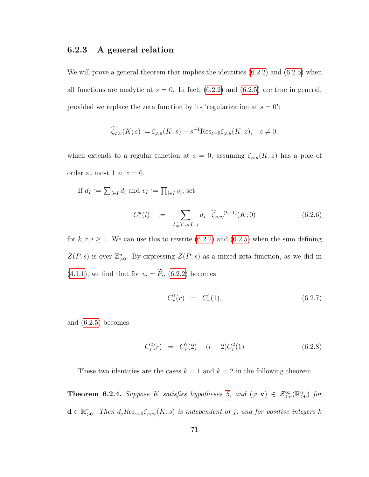#### 6.2.3 A general relation

We will prove a general theorem that implies the identities  $(6.2.2)$  and  $(6.2.5)$  when all functions are analytic at  $s = 0$ . In fact,  $(6.2.2)$  and  $(6.2.5)$  are true in general, provided we replace the zeta function by its 'regularization at  $s = 0$ ':

$$
\widehat{\zeta}_{\varphi,u}(K;s) := \zeta_{\varphi,u}(K;s) - s^{-1} \text{Res}_{z=0} \zeta_{\varphi,u}(K;z), \quad s \neq 0,
$$

which extends to a regular function at  $s = 0$ , assuming  $\zeta_{\varphi,u}(K; z)$  has a pole of order at most 1 at  $z = 0$ .

If 
$$
d_I := \sum_{i \in I} d_i
$$
 and  $v_I := \prod_{i \in I} v_i$ , set

<span id="page-76-0"></span>
$$
C_r^k(i) := \sum_{I \subseteq [r], \#I = i} d_I \cdot \hat{\zeta}_{\varphi, v_I}^{(k-1)}(K; 0)
$$
(6.2.6)

for  $k, r, i \geq 1$ . We can use this to rewrite [\(6.2.2\)](#page-73-0) and [\(6.2.5\)](#page-75-1) when the sum defining  $Z(P, s)$  is over  $\mathbb{Z}_{>0}^n$ . By expressing  $Z(P; s)$  as a mixed zeta function, as we did in  $(4.1.1)$ , we find that for  $v_i = P_i$ ,  $(6.2.2)$  becomes

$$
C_r^1(r) = C_r^1(1), \t\t(6.2.7)
$$

and [\(6.2.5\)](#page-75-1) becomes

$$
C_r^2(r) = C_r^2(2) - (r-2)C_r^2(1)
$$
\n(6.2.8)

These two identities are the cases  $k = 1$  and  $k = 2$  in the following theorem.

**Theorem 6.2.4.** Suppose K satisfies hypotheses [5,](#page-70-0) and  $(\varphi, \mathbf{v}) \in \mathcal{Z}_{0,\mathbf{d}}^{\infty}(\mathbb{R}_{\geq 0}^n)$  for  $\mathbf{d} \in \mathbb{R}_{>0}^r$ . Then  $d_j Res_{s=0} \zeta_{\varphi,v_j}(K; s)$  is independent of j, and for positive integers k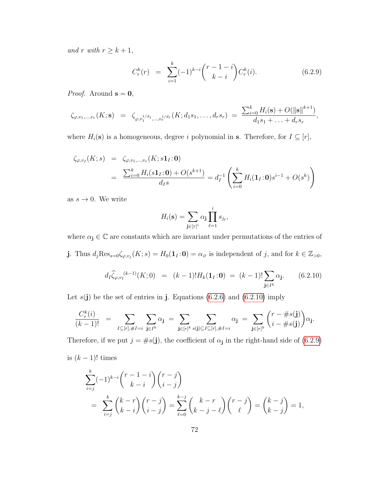and r with  $r \geq k+1$ ,

<span id="page-77-1"></span>
$$
C_r^k(r) = \sum_{i=1}^k (-1)^{k-i} {r-1-i \choose k-i} C_r^k(i). \tag{6.2.9}
$$

*Proof.* Around  $s = 0$ ,

$$
\zeta_{\varphi,v_1,\dots,v_r}(K;\mathbf{s}) = \zeta_{\varphi,v_1^{1/d_1},\dots,v_r^{1/d_r}}(K;d_1s_1,\dots,d_r s_r) = \frac{\sum_{i=0}^k H_i(\mathbf{s}) + O(||\mathbf{s}||^{k+1})}{d_1s_1 + \dots + d_r s_r},
$$

where  $H_i(\mathbf{s})$  is a homogeneous, degree i polynomial in s. Therefore, for  $I \subseteq [r]$ ,

$$
\zeta_{\varphi, v_I}(K; s) = \zeta_{\varphi, v_1, \dots, v_r}(K; s\mathbf{1}_I; \mathbf{0})
$$
  
= 
$$
\frac{\sum_{i=0}^k H_i(s\mathbf{1}_I; \mathbf{0}) + O(s^{k+1})}{d_I s} = d_I^{-1} \left( \sum_{i=0}^k H_i(\mathbf{1}_I; \mathbf{0}) s^{i-1} + O(s^k) \right)
$$

as  $s \to 0$ . We write

$$
H_i(\mathbf{s}) = \sum_{\mathbf{j} \in [r]^i} \alpha_{\mathbf{j}} \prod_{\ell=1}^i s_{j_\ell},
$$

where  $\alpha_{\mathbf{j}}\in\mathbb{C}$  are constants which are invariant under permutations of the entries of **j**. Thus  $d_j \text{Res}_{s=0} \zeta_{\varphi,v_j}(K; s) = H_0(\mathbf{1}_I; \mathbf{0}) = \alpha_{\varnothing}$  is independent of j, and for  $k \in \mathbb{Z}_{>0}$ ,

<span id="page-77-0"></span>
$$
d_I \widehat{\zeta}_{\varphi, v_I}^{(k-1)}(K; 0) = (k-1)! H_k(\mathbf{1}_I : \mathbf{0}) = (k-1)! \sum_{\mathbf{j} \in I^k} \alpha_{\mathbf{j}}.
$$
 (6.2.10)

Let  $s(j)$  be the set of entries in j. Equations [\(6.2.6\)](#page-76-0) and [\(6.2.10\)](#page-77-0) imply

$$
\frac{C_r^k(i)}{(k-1)!} = \sum_{I \subseteq [r], \#I = i} \sum_{\mathbf{j} \in I^k} \alpha_{\mathbf{j}} = \sum_{\mathbf{j} \in [r]^k} \sum_{s(\mathbf{j}) \subseteq I \subseteq [r], \#I = i} \alpha_{\mathbf{j}} = \sum_{\mathbf{j} \in [r]^k} {r - \#s(\mathbf{j}) \choose i - \#s(\mathbf{j})} \alpha_{\mathbf{j}}.
$$

Therefore, if we put  $j = \#s(j)$ , the coefficient of  $\alpha_j$  in the right-hand side of [\(6.2.9\)](#page-77-1) is  $(k-1)!$  times

$$
\sum_{i=j}^{k} (-1)^{k-i} \binom{r-1-i}{k-i} \binom{r-j}{i-j}
$$
\n
$$
= \sum_{i=j}^{k} \binom{k-r}{k-i} \binom{r-j}{i-j} = \sum_{\ell=0}^{k-j} \binom{k-r}{k-j-\ell} \binom{r-j}{\ell} = \binom{k-j}{k-j} = 1,
$$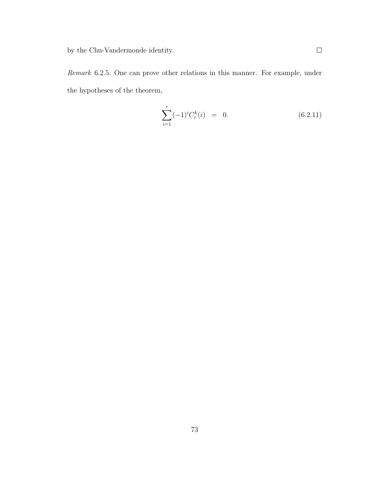Remark 6.2.5. One can prove other relations in this manner. For example, under the hypotheses of the theorem,

$$
\sum_{i=1}^{r} (-1)^{i} C_{r}^{k}(i) = 0.
$$
 (6.2.11)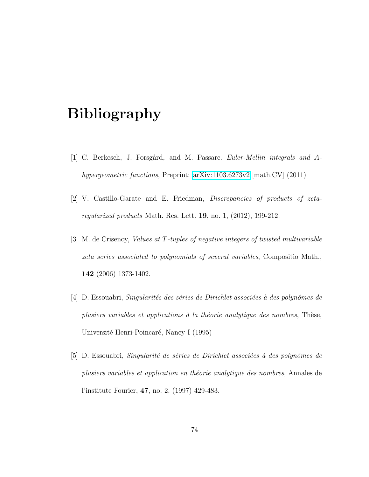# Bibliography

- [1] C. Berkesch, J. Forsgård, and M. Passare. *Euler-Mellin integrals and A*hypergeometric functions, Preprint: [arXiv:1103.6273v2](http://arxiv.org/abs/1103.6273) [math.CV] (2011)
- <span id="page-79-0"></span>[2] V. Castillo-Garate and E. Friedman, Discrepancies of products of zetaregularized products Math. Res. Lett. 19, no. 1, (2012), 199-212.
- [3] M. de Crisenoy, Values at T-tuples of negative integers of twisted multivariable zeta series associated to polynomials of several variables, Compositio Math., 142 (2006) 1373-1402.
- [4] D. Essouabri, Singularités des séries de Dirichlet associées à des polynômes de plusiers variables et applications à la théorie analytique des nombres, Thèse, Université Henri-Poincaré, Nancy I (1995)
- $[5]$  D. Essouabri, *Singularité de séries de Dirichlet associées à des polynômes de* plusiers variables et application en théorie analytique des nombres, Annales de l'institute Fourier, 47, no. 2, (1997) 429-483.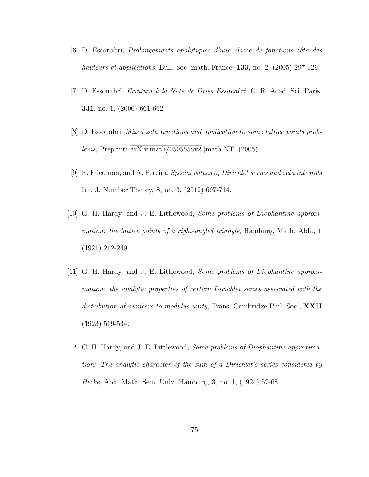- $[6]$  D. Essouabri, *Prolongements analytiques d'une classe de fonctions zêta des* hauteurs et applications, Bull. Soc. math. France, 133, no. 2, (2005) 297-329.
- [7] D. Essouabri, *Erratum à la Note de Driss Essouabri*, C. R. Acad. Sci. Paris, 331, no. 1, (2000) 661-662.
- [8] D. Essouabri, Mixed zeta functions and application to some lattice points problems, Preprint: [arXiv:math/0505558v2](http://arxiv.org/abs/math/0505558v2) [math.NT] (2005)
- <span id="page-80-0"></span>[9] E. Friedman, and A. Pereira, Special values of Dirichlet series and zeta integrals Int. J. Number Theory, 8, no. 3, (2012) 697-714.
- [10] G. H. Hardy, and J. E. Littlewood, Some problems of Diophantine approximation: the lattice points of a right-angled triangle, Hamburg. Math. Abh.,  $1$ (1921) 212-249.
- [11] G. H. Hardy, and J. E. Littlewood, Some problems of Diophantine approximation: the analytic properties of certain Dirichlet series associated with the distribution of numbers to modulus unity, Trans. Cambridge Phil. Soc., **XXII** (1923) 519-534.
- [12] G. H. Hardy, and J. E. Littlewood, Some problems of Diophantine approximation: The analytic character of the sum of a Dirichlet's series considered by Hecke, Abh. Math. Sem. Univ. Hamburg, 3, no. 1, (1924) 57-68.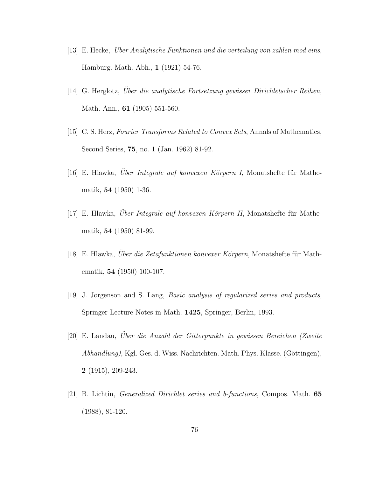- [13] E. Hecke, Uber Analytische Funktionen und die verteilung von zahlen mod eins, Hamburg. Math. Abh., 1 (1921) 54-76.
- [14] G. Herglotz, Uber die analytische Fortsetzung gewisser Dirichletscher Reihen, Math. Ann., 61 (1905) 551-560.
- [15] C. S. Herz, Fourier Transforms Related to Convex Sets, Annals of Mathematics, Second Series, 75, no. 1 (Jan. 1962) 81-92.
- [16] E. Hlawka, Über Integrale auf konvexen Körpern I, Monatshefte für Mathematik, 54 (1950) 1-36.
- $[17]$  E. Hlawka, Uber Integrale auf konvexen Körpern II, Monatshefte für Mathematik, 54 (1950) 81-99.
- [18] E. Hlawka, Uber die Zetafunktionen konvexer Körpern, Monatshefte für Mathematik, 54 (1950) 100-107.
- <span id="page-81-0"></span>[19] J. Jorgenson and S. Lang, *Basic analysis of regularized series and products*, Springer Lecture Notes in Math. 1425, Springer, Berlin, 1993.
- [20] E. Landau, Uber die Anzahl der Gitterpunkte in gewissen Bereichen (Zweite ¨  $Abhandlung$ , Kgl. Ges. d. Wiss. Nachrichten. Math. Phys. Klasse. (Göttingen), 2 (1915), 209-243.
- [21] B. Lichtin, Generalized Dirichlet series and b-functions, Compos. Math. 65 (1988), 81-120.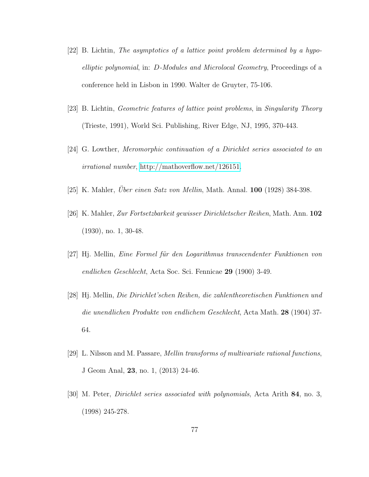- [22] B. Lichtin, The asymptotics of a lattice point problem determined by a hypoelliptic polynomial, in: D-Modules and Microlocal Geometry, Proceedings of a conference held in Lisbon in 1990. Walter de Gruyter, 75-106.
- [23] B. Lichtin, Geometric features of lattice point problems, in Singularity Theory (Trieste, 1991), World Sci. Publishing, River Edge, NJ, 1995, 370-443.
- [24] G. Lowther, Meromorphic continuation of a Dirichlet series associated to an irrational number, [http://mathoverflow.net/126151.](http://mathoverflow.net/questions/126151/meromorphic-continuation-of-a-dirichlet-series-associated-to-an-irrational-number)
- $[25]$  K. Mahler, *Uber einen Satz von Mellin*, Math. Annal. **100** (1928) 384-398.
- [26] K. Mahler, Zur Fortsetzbarkeit gewisser Dirichletscher Reihen, Math. Ann. 102 (1930), no. 1, 30-48.
- [27] Hj. Mellin, Eine Formel für den Logarithmus transcendenter Funktionen von endlichen Geschlecht, Acta Soc. Sci. Fennicae 29 (1900) 3-49.
- [28] Hj. Mellin, Die Dirichlet'schen Reihen, die zahlentheoretischen Funktionen und die unendlichen Produkte von endlichem Geschlecht, Acta Math. 28 (1904) 37- 64.
- [29] L. Nilsson and M. Passare, Mellin transforms of multivariate rational functions, J Geom Anal, 23, no. 1, (2013) 24-46.
- [30] M. Peter, Dirichlet series associated with polynomials, Acta Arith 84, no. 3, (1998) 245-278.